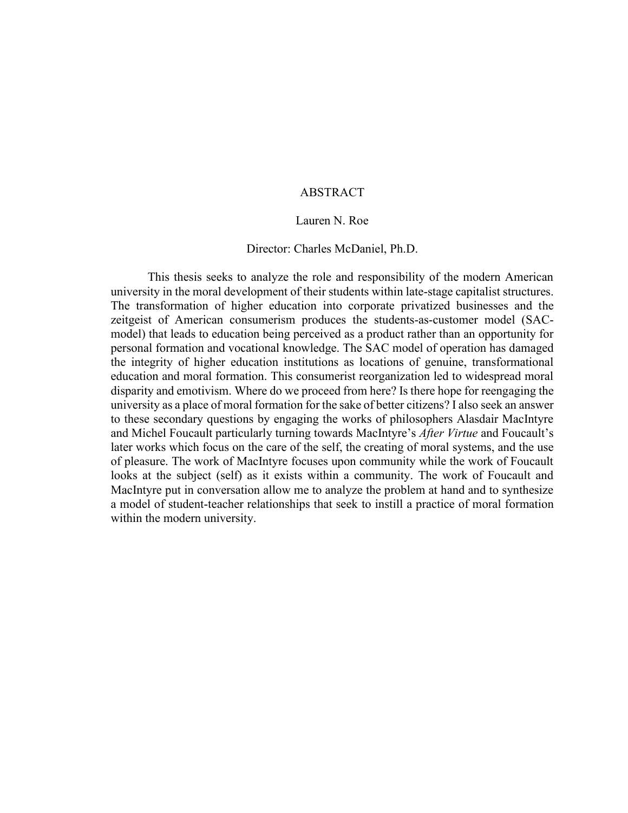# ABSTRACT

#### Lauren N. Roe

#### Director: Charles McDaniel, Ph.D.

This thesis seeks to analyze the role and responsibility of the modern American university in the moral development of their students within late-stage capitalist structures. The transformation of higher education into corporate privatized businesses and the zeitgeist of American consumerism produces the students-as-customer model (SACmodel) that leads to education being perceived as a product rather than an opportunity for personal formation and vocational knowledge. The SAC model of operation has damaged the integrity of higher education institutions as locations of genuine, transformational education and moral formation. This consumerist reorganization led to widespread moral disparity and emotivism. Where do we proceed from here? Is there hope for reengaging the university as a place of moral formation for the sake of better citizens? I also seek an answer to these secondary questions by engaging the works of philosophers Alasdair MacIntyre and Michel Foucault particularly turning towards MacIntyre's *After Virtue* and Foucault's later works which focus on the care of the self, the creating of moral systems, and the use of pleasure. The work of MacIntyre focuses upon community while the work of Foucault looks at the subject (self) as it exists within a community. The work of Foucault and MacIntyre put in conversation allow me to analyze the problem at hand and to synthesize a model of student-teacher relationships that seek to instill a practice of moral formation within the modern university.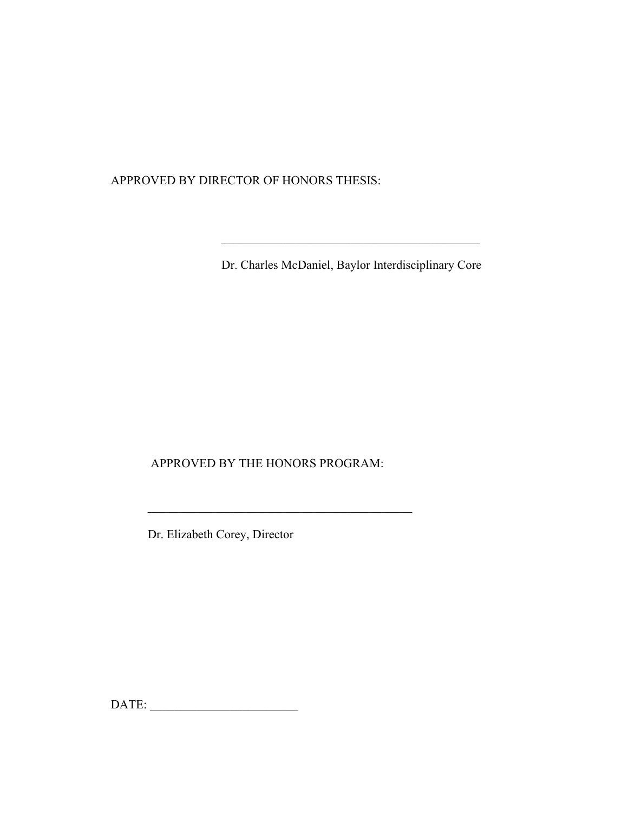APPROVED BY DIRECTOR OF HONORS THESIS:

Dr. Charles McDaniel, Baylor Interdisciplinary Core

\_\_\_\_\_\_\_\_\_\_\_\_\_\_\_\_\_\_\_\_\_\_\_\_\_\_\_\_\_\_\_\_\_\_\_\_\_\_\_\_\_\_

APPROVED BY THE HONORS PROGRAM:

\_\_\_\_\_\_\_\_\_\_\_\_\_\_\_\_\_\_\_\_\_\_\_\_\_\_\_\_\_\_\_\_\_\_\_\_\_\_\_\_\_\_\_

Dr. Elizabeth Corey, Director

DATE: \_\_\_\_\_\_\_\_\_\_\_\_\_\_\_\_\_\_\_\_\_\_\_\_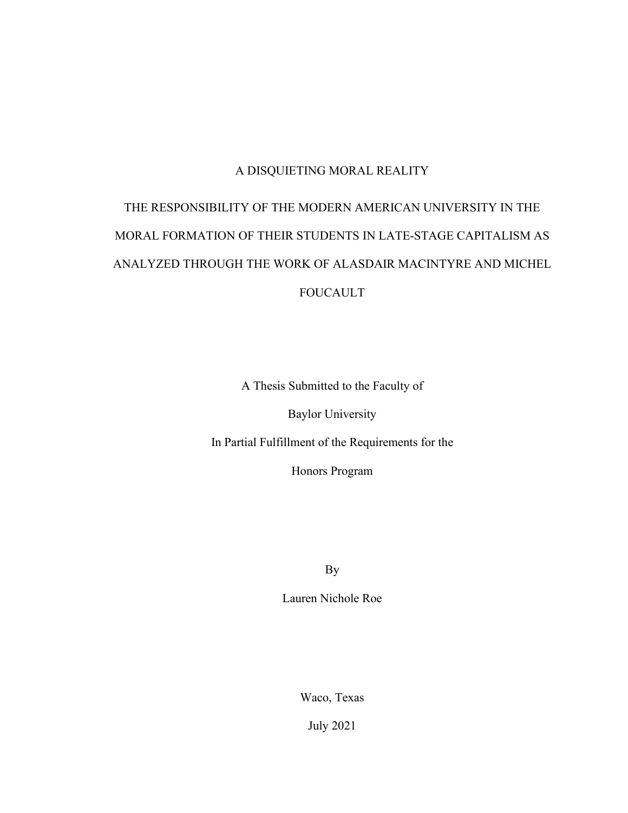# A DISQUIETING MORAL REALITY

# THE RESPONSIBILITY OF THE MODERN AMERICAN UNIVERSITY IN THE MORAL FORMATION OF THEIR STUDENTS IN LATE-STAGE CAPITALISM AS ANALYZED THROUGH THE WORK OF ALASDAIR MACINTYRE AND MICHEL FOUCAULT

A Thesis Submitted to the Faculty of

Baylor University

In Partial Fulfillment of the Requirements for the

Honors Program

By

Lauren Nichole Roe

Waco, Texas

July 2021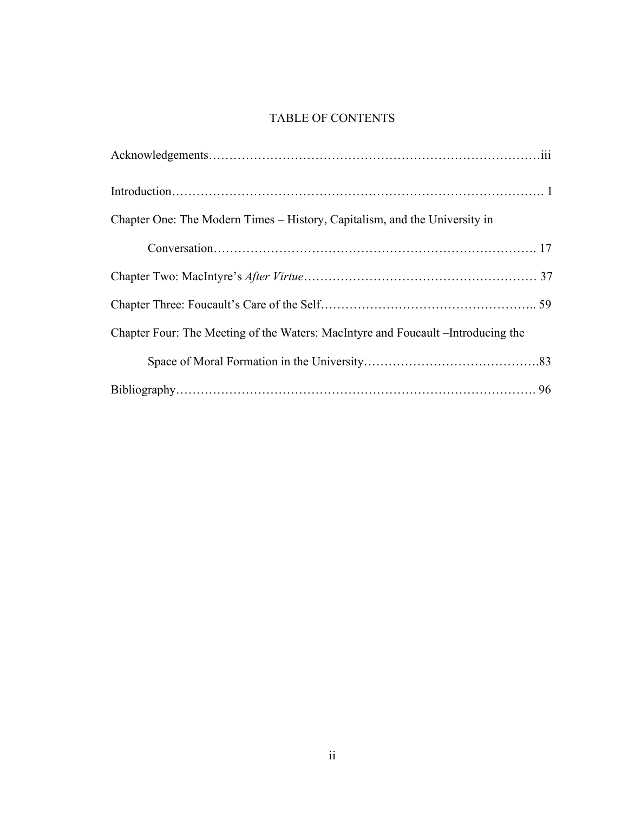# TABLE OF CONTENTS

| Chapter One: The Modern Times – History, Capitalism, and the University in        |
|-----------------------------------------------------------------------------------|
|                                                                                   |
|                                                                                   |
|                                                                                   |
| Chapter Four: The Meeting of the Waters: MacIntyre and Foucault – Introducing the |
|                                                                                   |
|                                                                                   |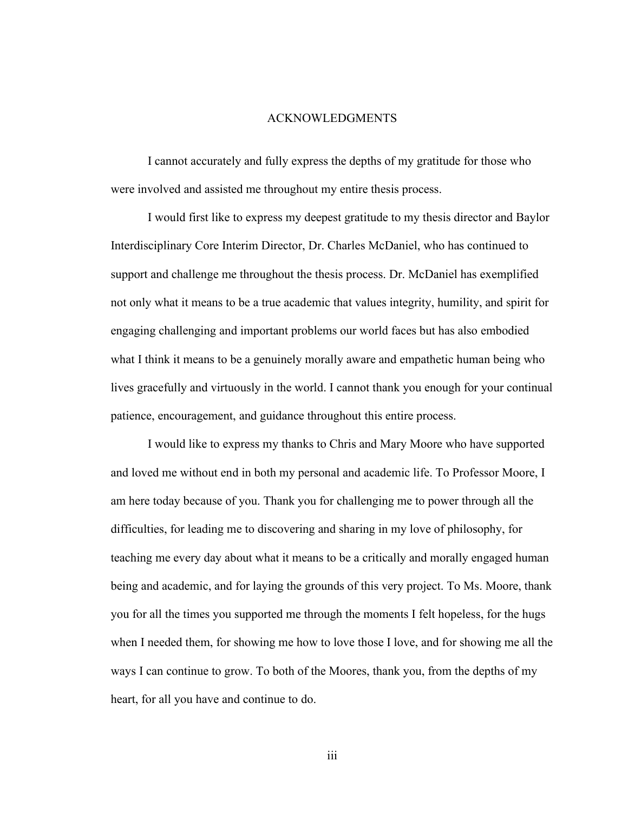#### ACKNOWLEDGMENTS

I cannot accurately and fully express the depths of my gratitude for those who were involved and assisted me throughout my entire thesis process.

I would first like to express my deepest gratitude to my thesis director and Baylor Interdisciplinary Core Interim Director, Dr. Charles McDaniel, who has continued to support and challenge me throughout the thesis process. Dr. McDaniel has exemplified not only what it means to be a true academic that values integrity, humility, and spirit for engaging challenging and important problems our world faces but has also embodied what I think it means to be a genuinely morally aware and empathetic human being who lives gracefully and virtuously in the world. I cannot thank you enough for your continual patience, encouragement, and guidance throughout this entire process.

I would like to express my thanks to Chris and Mary Moore who have supported and loved me without end in both my personal and academic life. To Professor Moore, I am here today because of you. Thank you for challenging me to power through all the difficulties, for leading me to discovering and sharing in my love of philosophy, for teaching me every day about what it means to be a critically and morally engaged human being and academic, and for laying the grounds of this very project. To Ms. Moore, thank you for all the times you supported me through the moments I felt hopeless, for the hugs when I needed them, for showing me how to love those I love, and for showing me all the ways I can continue to grow. To both of the Moores, thank you, from the depths of my heart, for all you have and continue to do.

iii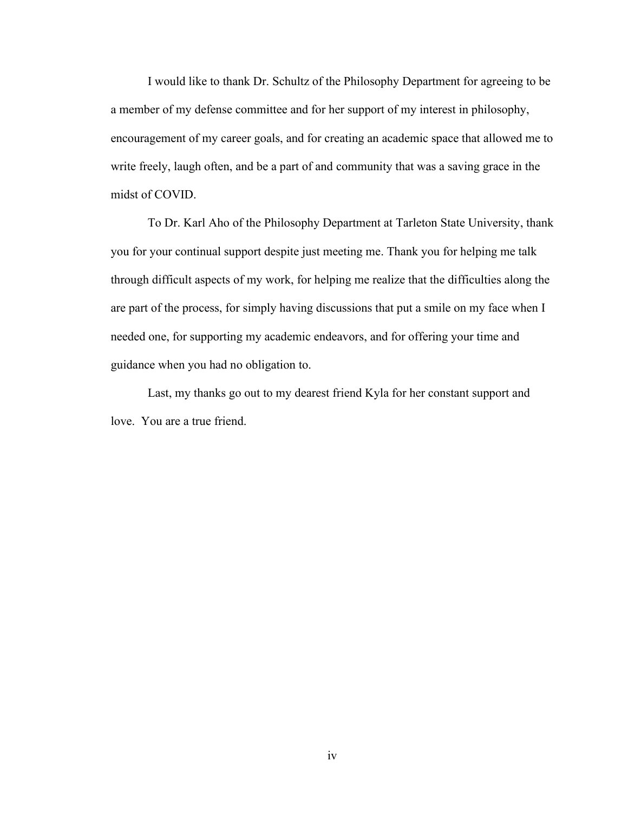I would like to thank Dr. Schultz of the Philosophy Department for agreeing to be a member of my defense committee and for her support of my interest in philosophy, encouragement of my career goals, and for creating an academic space that allowed me to write freely, laugh often, and be a part of and community that was a saving grace in the midst of COVID.

To Dr. Karl Aho of the Philosophy Department at Tarleton State University, thank you for your continual support despite just meeting me. Thank you for helping me talk through difficult aspects of my work, for helping me realize that the difficulties along the are part of the process, for simply having discussions that put a smile on my face when I needed one, for supporting my academic endeavors, and for offering your time and guidance when you had no obligation to.

Last, my thanks go out to my dearest friend Kyla for her constant support and love. You are a true friend.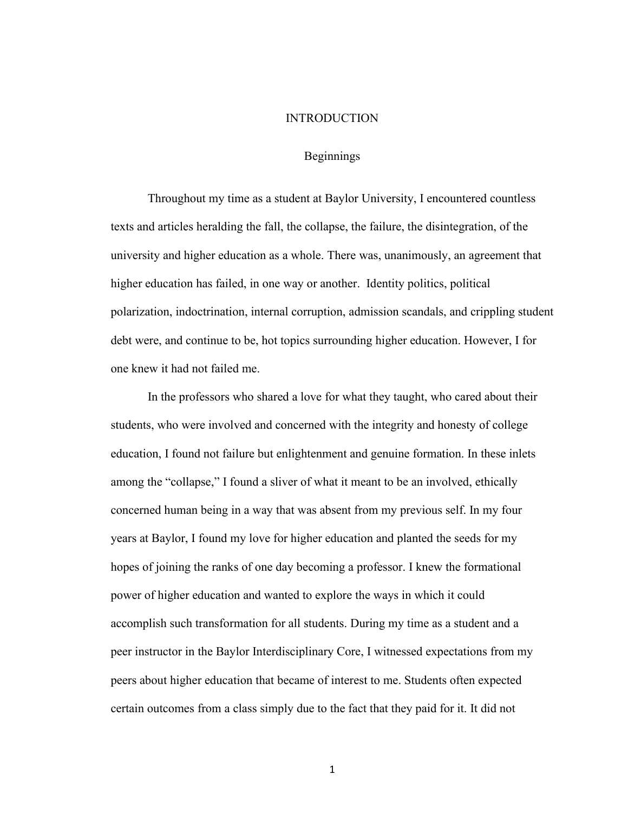#### INTRODUCTION

# Beginnings

Throughout my time as a student at Baylor University, I encountered countless texts and articles heralding the fall, the collapse, the failure, the disintegration, of the university and higher education as a whole. There was, unanimously, an agreement that higher education has failed, in one way or another. Identity politics, political polarization, indoctrination, internal corruption, admission scandals, and crippling student debt were, and continue to be, hot topics surrounding higher education. However, I for one knew it had not failed me.

In the professors who shared a love for what they taught, who cared about their students, who were involved and concerned with the integrity and honesty of college education, I found not failure but enlightenment and genuine formation. In these inlets among the "collapse," I found a sliver of what it meant to be an involved, ethically concerned human being in a way that was absent from my previous self. In my four years at Baylor, I found my love for higher education and planted the seeds for my hopes of joining the ranks of one day becoming a professor. I knew the formational power of higher education and wanted to explore the ways in which it could accomplish such transformation for all students. During my time as a student and a peer instructor in the Baylor Interdisciplinary Core, I witnessed expectations from my peers about higher education that became of interest to me. Students often expected certain outcomes from a class simply due to the fact that they paid for it. It did not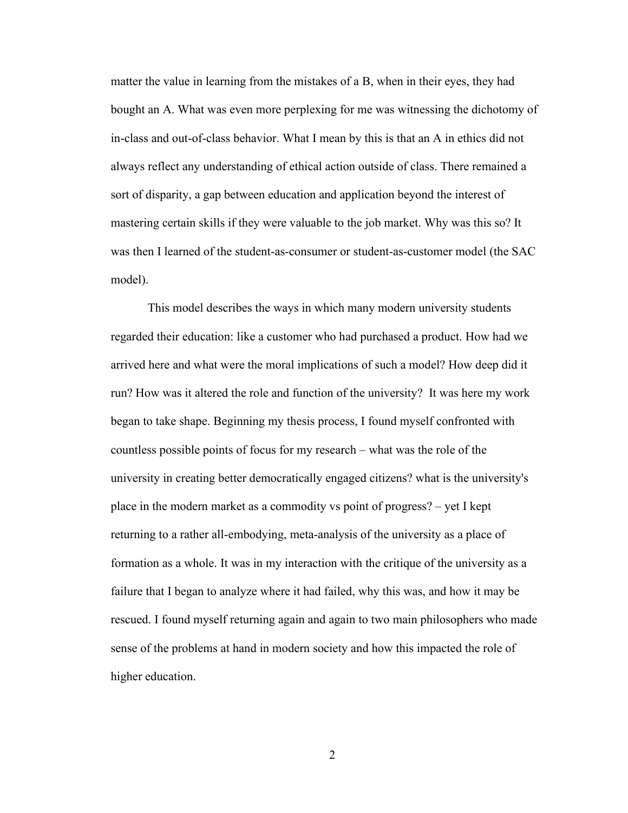matter the value in learning from the mistakes of a B, when in their eyes, they had bought an A. What was even more perplexing for me was witnessing the dichotomy of in-class and out-of-class behavior. What I mean by this is that an A in ethics did not always reflect any understanding of ethical action outside of class. There remained a sort of disparity, a gap between education and application beyond the interest of mastering certain skills if they were valuable to the job market. Why was this so? It was then I learned of the student-as-consumer or student-as-customer model (the SAC model).

This model describes the ways in which many modern university students regarded their education: like a customer who had purchased a product. How had we arrived here and what were the moral implications of such a model? How deep did it run? How was it altered the role and function of the university? It was here my work began to take shape. Beginning my thesis process, I found myself confronted with countless possible points of focus for my research – what was the role of the university in creating better democratically engaged citizens? what is the university's place in the modern market as a commodity vs point of progress? – yet I kept returning to a rather all-embodying, meta-analysis of the university as a place of formation as a whole. It was in my interaction with the critique of the university as a failure that I began to analyze where it had failed, why this was, and how it may be rescued. I found myself returning again and again to two main philosophers who made sense of the problems at hand in modern society and how this impacted the role of higher education.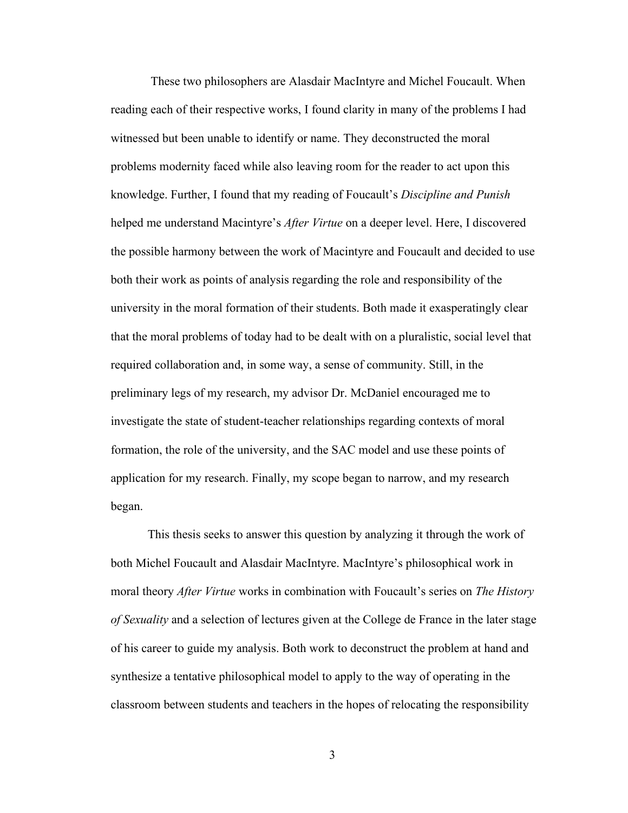These two philosophers are Alasdair MacIntyre and Michel Foucault. When reading each of their respective works, I found clarity in many of the problems I had witnessed but been unable to identify or name. They deconstructed the moral problems modernity faced while also leaving room for the reader to act upon this knowledge. Further, I found that my reading of Foucault's *Discipline and Punish* helped me understand Macintyre's *After Virtue* on a deeper level. Here, I discovered the possible harmony between the work of Macintyre and Foucault and decided to use both their work as points of analysis regarding the role and responsibility of the university in the moral formation of their students. Both made it exasperatingly clear that the moral problems of today had to be dealt with on a pluralistic, social level that required collaboration and, in some way, a sense of community. Still, in the preliminary legs of my research, my advisor Dr. McDaniel encouraged me to investigate the state of student-teacher relationships regarding contexts of moral formation, the role of the university, and the SAC model and use these points of application for my research. Finally, my scope began to narrow, and my research began.

This thesis seeks to answer this question by analyzing it through the work of both Michel Foucault and Alasdair MacIntyre. MacIntyre's philosophical work in moral theory *After Virtue* works in combination with Foucault's series on *The History of Sexuality* and a selection of lectures given at the College de France in the later stage of his career to guide my analysis. Both work to deconstruct the problem at hand and synthesize a tentative philosophical model to apply to the way of operating in the classroom between students and teachers in the hopes of relocating the responsibility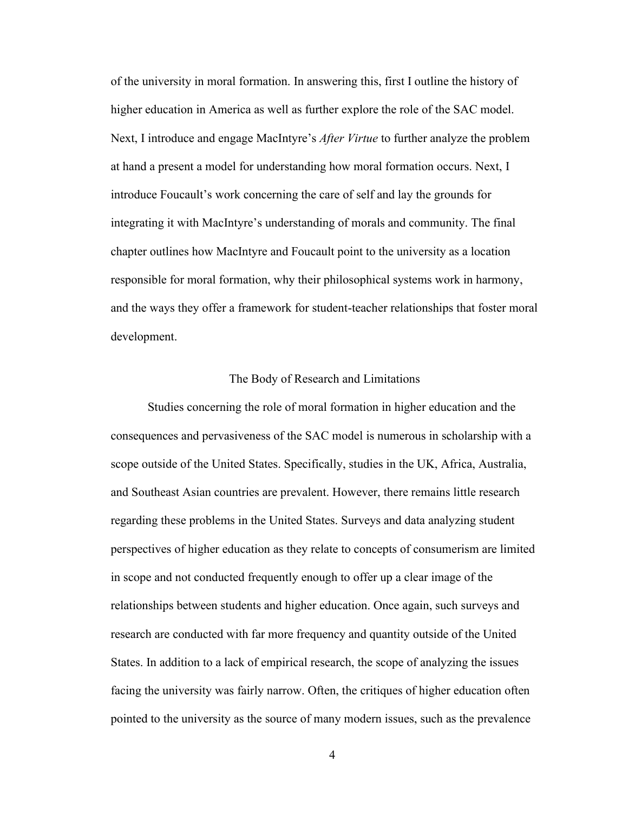of the university in moral formation. In answering this, first I outline the history of higher education in America as well as further explore the role of the SAC model. Next, I introduce and engage MacIntyre's *After Virtue* to further analyze the problem at hand a present a model for understanding how moral formation occurs. Next, I introduce Foucault's work concerning the care of self and lay the grounds for integrating it with MacIntyre's understanding of morals and community. The final chapter outlines how MacIntyre and Foucault point to the university as a location responsible for moral formation, why their philosophical systems work in harmony, and the ways they offer a framework for student-teacher relationships that foster moral development.

### The Body of Research and Limitations

Studies concerning the role of moral formation in higher education and the consequences and pervasiveness of the SAC model is numerous in scholarship with a scope outside of the United States. Specifically, studies in the UK, Africa, Australia, and Southeast Asian countries are prevalent. However, there remains little research regarding these problems in the United States. Surveys and data analyzing student perspectives of higher education as they relate to concepts of consumerism are limited in scope and not conducted frequently enough to offer up a clear image of the relationships between students and higher education. Once again, such surveys and research are conducted with far more frequency and quantity outside of the United States. In addition to a lack of empirical research, the scope of analyzing the issues facing the university was fairly narrow. Often, the critiques of higher education often pointed to the university as the source of many modern issues, such as the prevalence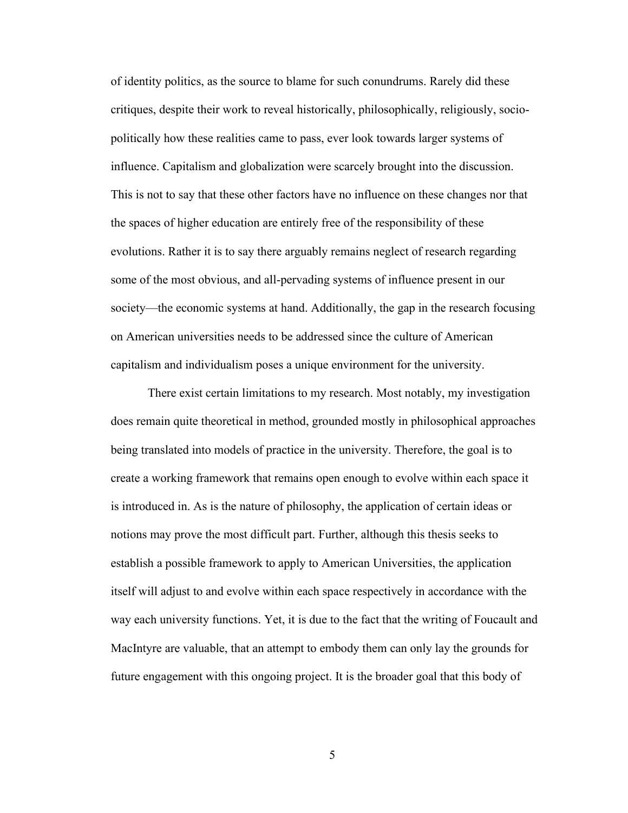of identity politics, as the source to blame for such conundrums. Rarely did these critiques, despite their work to reveal historically, philosophically, religiously, sociopolitically how these realities came to pass, ever look towards larger systems of influence. Capitalism and globalization were scarcely brought into the discussion. This is not to say that these other factors have no influence on these changes nor that the spaces of higher education are entirely free of the responsibility of these evolutions. Rather it is to say there arguably remains neglect of research regarding some of the most obvious, and all-pervading systems of influence present in our society—the economic systems at hand. Additionally, the gap in the research focusing on American universities needs to be addressed since the culture of American capitalism and individualism poses a unique environment for the university.

There exist certain limitations to my research. Most notably, my investigation does remain quite theoretical in method, grounded mostly in philosophical approaches being translated into models of practice in the university. Therefore, the goal is to create a working framework that remains open enough to evolve within each space it is introduced in. As is the nature of philosophy, the application of certain ideas or notions may prove the most difficult part. Further, although this thesis seeks to establish a possible framework to apply to American Universities, the application itself will adjust to and evolve within each space respectively in accordance with the way each university functions. Yet, it is due to the fact that the writing of Foucault and MacIntyre are valuable, that an attempt to embody them can only lay the grounds for future engagement with this ongoing project. It is the broader goal that this body of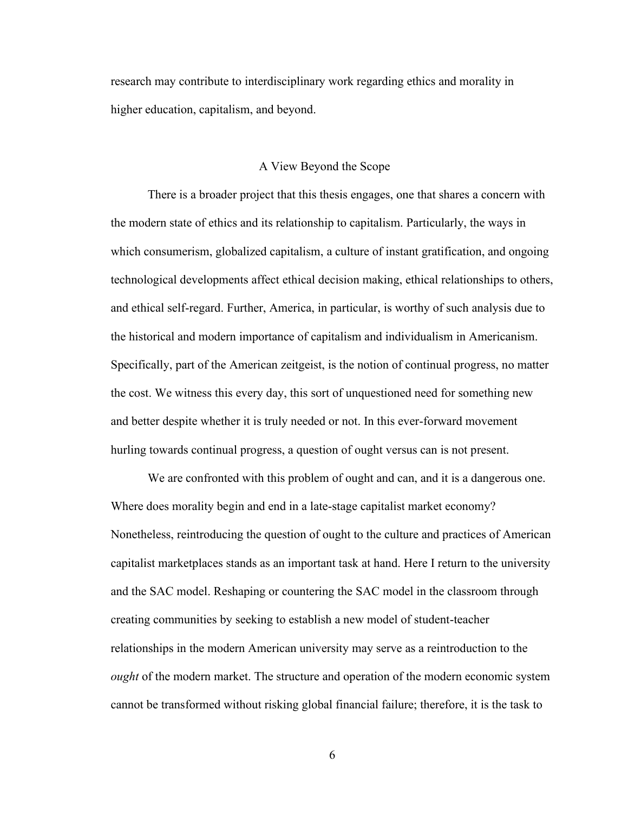research may contribute to interdisciplinary work regarding ethics and morality in higher education, capitalism, and beyond.

## A View Beyond the Scope

There is a broader project that this thesis engages, one that shares a concern with the modern state of ethics and its relationship to capitalism. Particularly, the ways in which consumerism, globalized capitalism, a culture of instant gratification, and ongoing technological developments affect ethical decision making, ethical relationships to others, and ethical self-regard. Further, America, in particular, is worthy of such analysis due to the historical and modern importance of capitalism and individualism in Americanism. Specifically, part of the American zeitgeist, is the notion of continual progress, no matter the cost. We witness this every day, this sort of unquestioned need for something new and better despite whether it is truly needed or not. In this ever-forward movement hurling towards continual progress, a question of ought versus can is not present.

We are confronted with this problem of ought and can, and it is a dangerous one. Where does morality begin and end in a late-stage capitalist market economy? Nonetheless, reintroducing the question of ought to the culture and practices of American capitalist marketplaces stands as an important task at hand. Here I return to the university and the SAC model. Reshaping or countering the SAC model in the classroom through creating communities by seeking to establish a new model of student-teacher relationships in the modern American university may serve as a reintroduction to the *ought* of the modern market. The structure and operation of the modern economic system cannot be transformed without risking global financial failure; therefore, it is the task to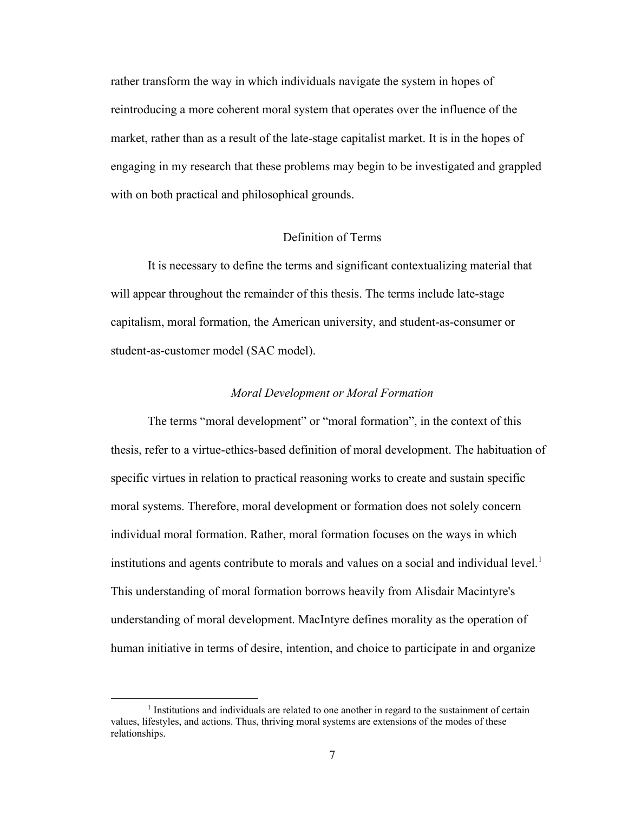rather transform the way in which individuals navigate the system in hopes of reintroducing a more coherent moral system that operates over the influence of the market, rather than as a result of the late-stage capitalist market. It is in the hopes of engaging in my research that these problems may begin to be investigated and grappled with on both practical and philosophical grounds.

# Definition of Terms

It is necessary to define the terms and significant contextualizing material that will appear throughout the remainder of this thesis. The terms include late-stage capitalism, moral formation, the American university, and student-as-consumer or student-as-customer model (SAC model).

#### *Moral Development or Moral Formation*

The terms "moral development" or "moral formation", in the context of this thesis, refer to a virtue-ethics-based definition of moral development. The habituation of specific virtues in relation to practical reasoning works to create and sustain specific moral systems. Therefore, moral development or formation does not solely concern individual moral formation. Rather, moral formation focuses on the ways in which institutions and agents contribute to morals and values on a social and individual level.<sup>1</sup> This understanding of moral formation borrows heavily from Alisdair Macintyre's understanding of moral development. MacIntyre defines morality as the operation of human initiative in terms of desire, intention, and choice to participate in and organize

<sup>&</sup>lt;sup>1</sup> Institutions and individuals are related to one another in regard to the sustainment of certain values, lifestyles, and actions. Thus, thriving moral systems are extensions of the modes of these relationships.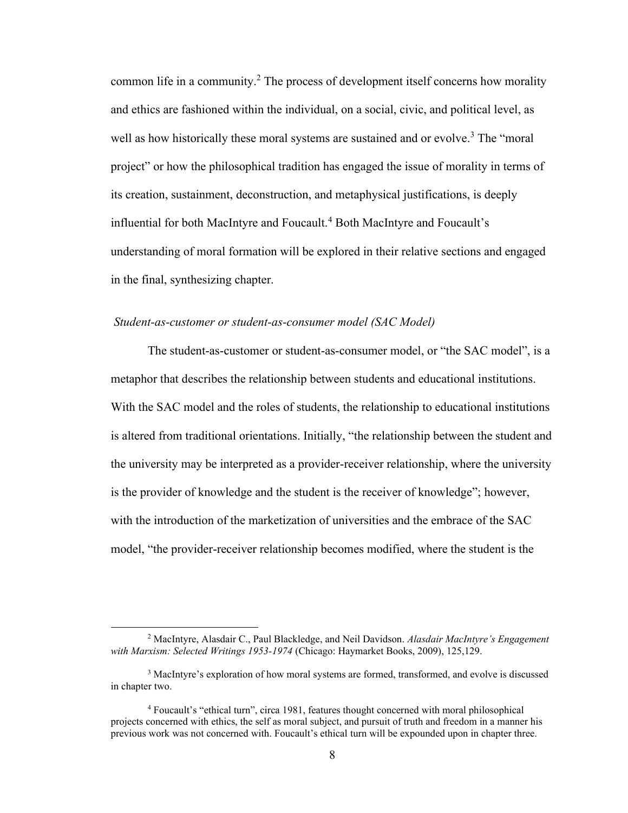common life in a community.<sup>2</sup> The process of development itself concerns how morality and ethics are fashioned within the individual, on a social, civic, and political level, as well as how historically these moral systems are sustained and or evolve.<sup>3</sup> The "moral project" or how the philosophical tradition has engaged the issue of morality in terms of its creation, sustainment, deconstruction, and metaphysical justifications, is deeply influential for both MacIntyre and Foucault.<sup>4</sup> Both MacIntyre and Foucault's understanding of moral formation will be explored in their relative sections and engaged in the final, synthesizing chapter.

## *Student-as-customer or student-as-consumer model (SAC Model)*

The student-as-customer or student-as-consumer model, or "the SAC model", is a metaphor that describes the relationship between students and educational institutions. With the SAC model and the roles of students, the relationship to educational institutions is altered from traditional orientations. Initially, "the relationship between the student and the university may be interpreted as a provider-receiver relationship, where the university is the provider of knowledge and the student is the receiver of knowledge"; however, with the introduction of the marketization of universities and the embrace of the SAC model, "the provider-receiver relationship becomes modified, where the student is the

<sup>2</sup> MacIntyre, Alasdair C., Paul Blackledge, and Neil Davidson. *Alasdair MacIntyre's Engagement with Marxism: Selected Writings 1953-1974* (Chicago: Haymarket Books, 2009), 125,129.

<sup>3</sup> MacIntyre's exploration of how moral systems are formed, transformed, and evolve is discussed in chapter two.

<sup>4</sup> Foucault's "ethical turn", circa 1981, features thought concerned with moral philosophical projects concerned with ethics, the self as moral subject, and pursuit of truth and freedom in a manner his previous work was not concerned with. Foucault's ethical turn will be expounded upon in chapter three.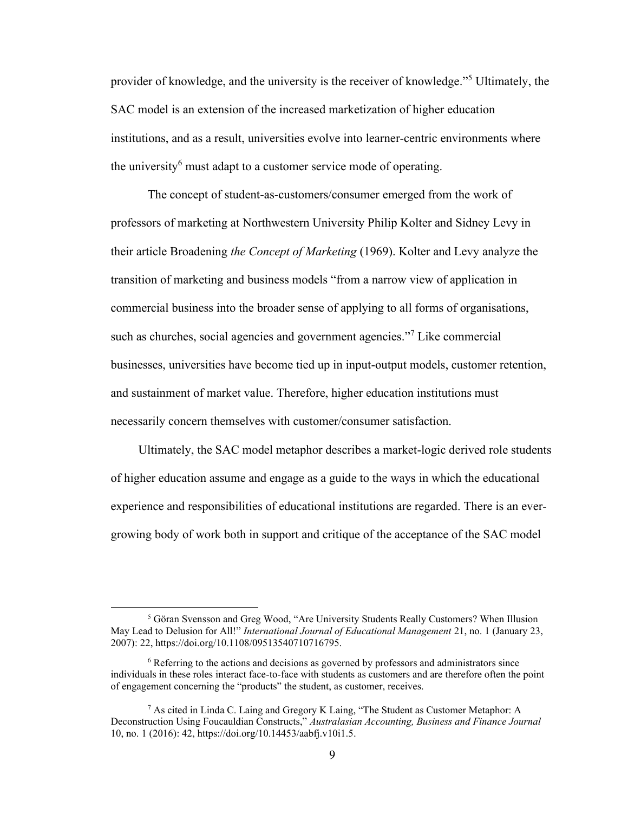provider of knowledge, and the university is the receiver of knowledge." <sup>5</sup> Ultimately, the SAC model is an extension of the increased marketization of higher education institutions, and as a result, universities evolve into learner-centric environments where the university<sup>6</sup> must adapt to a customer service mode of operating.

The concept of student-as-customers/consumer emerged from the work of professors of marketing at Northwestern University Philip Kolter and Sidney Levy in their article Broadening *the Concept of Marketing* (1969). Kolter and Levy analyze the transition of marketing and business models "from a narrow view of application in commercial business into the broader sense of applying to all forms of organisations, such as churches, social agencies and government agencies."<sup>7</sup> Like commercial businesses, universities have become tied up in input-output models, customer retention, and sustainment of market value. Therefore, higher education institutions must necessarily concern themselves with customer/consumer satisfaction.

Ultimately, the SAC model metaphor describes a market-logic derived role students of higher education assume and engage as a guide to the ways in which the educational experience and responsibilities of educational institutions are regarded. There is an evergrowing body of work both in support and critique of the acceptance of the SAC model

<sup>5</sup> Göran Svensson and Greg Wood, "Are University Students Really Customers? When Illusion May Lead to Delusion for All!" *International Journal of Educational Management* 21, no. 1 (January 23, 2007): 22, https://doi.org/10.1108/09513540710716795.

 $6$  Referring to the actions and decisions as governed by professors and administrators since individuals in these roles interact face-to-face with students as customers and are therefore often the point of engagement concerning the "products" the student, as customer, receives.

<sup>7</sup> As cited in Linda C. Laing and Gregory K Laing, "The Student as Customer Metaphor: A Deconstruction Using Foucauldian Constructs," *Australasian Accounting, Business and Finance Journal* 10, no. 1 (2016): 42, [https://doi.org/10.14453/aabfj.v10i1.5.](https://doi.org/10.14453/aabfj.v10i1.5)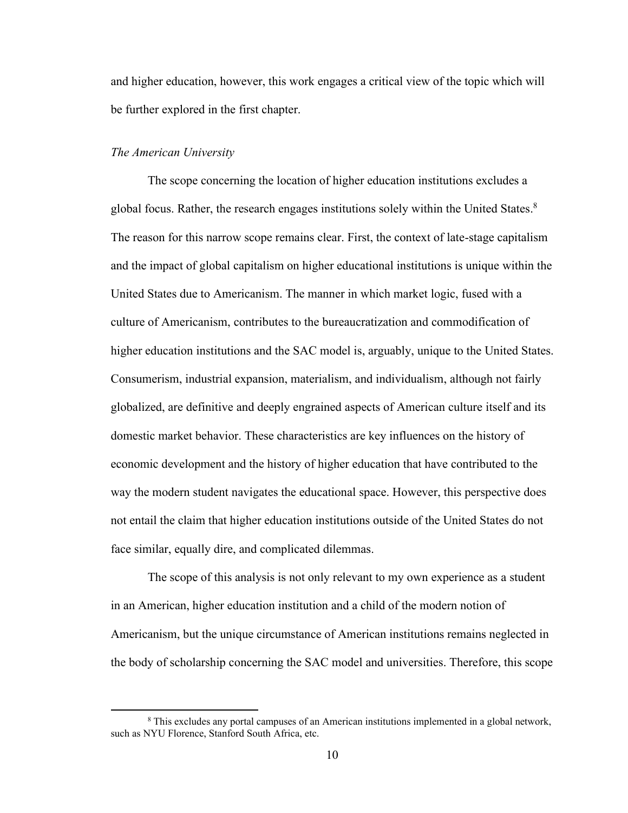and higher education, however, this work engages a critical view of the topic which will be further explored in the first chapter.

## *The American University*

The scope concerning the location of higher education institutions excludes a global focus. Rather, the research engages institutions solely within the United States.<sup>8</sup> The reason for this narrow scope remains clear. First, the context of late-stage capitalism and the impact of global capitalism on higher educational institutions is unique within the United States due to Americanism. The manner in which market logic, fused with a culture of Americanism, contributes to the bureaucratization and commodification of higher education institutions and the SAC model is, arguably, unique to the United States. Consumerism, industrial expansion, materialism, and individualism, although not fairly globalized, are definitive and deeply engrained aspects of American culture itself and its domestic market behavior. These characteristics are key influences on the history of economic development and the history of higher education that have contributed to the way the modern student navigates the educational space. However, this perspective does not entail the claim that higher education institutions outside of the United States do not face similar, equally dire, and complicated dilemmas.

The scope of this analysis is not only relevant to my own experience as a student in an American, higher education institution and a child of the modern notion of Americanism, but the unique circumstance of American institutions remains neglected in the body of scholarship concerning the SAC model and universities. Therefore, this scope

<sup>&</sup>lt;sup>8</sup> This excludes any portal campuses of an American institutions implemented in a global network, such as NYU Florence, Stanford South Africa, etc.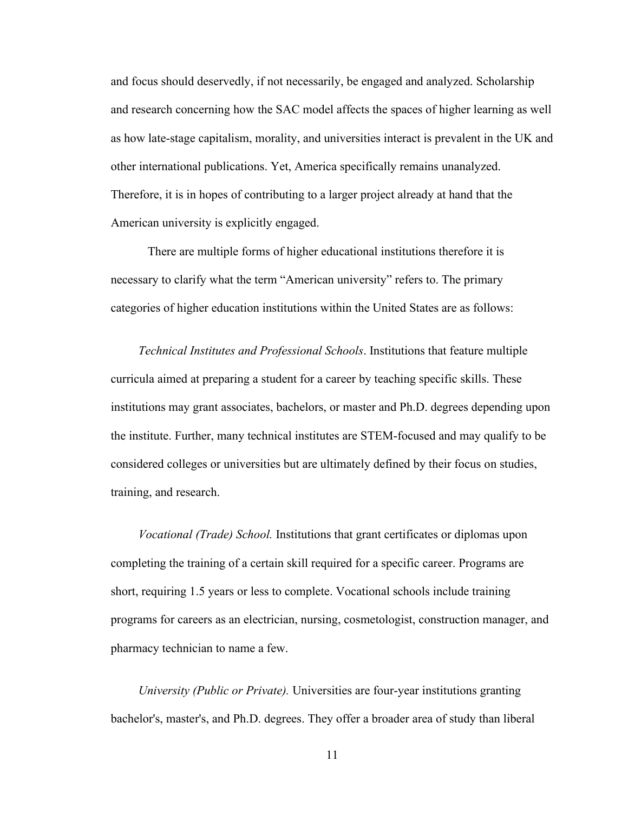and focus should deservedly, if not necessarily, be engaged and analyzed. Scholarship and research concerning how the SAC model affects the spaces of higher learning as well as how late-stage capitalism, morality, and universities interact is prevalent in the UK and other international publications. Yet, America specifically remains unanalyzed. Therefore, it is in hopes of contributing to a larger project already at hand that the American university is explicitly engaged.

There are multiple forms of higher educational institutions therefore it is necessary to clarify what the term "American university" refers to. The primary categories of higher education institutions within the United States are as follows:

*Technical Institutes and Professional Schools*. Institutions that feature multiple curricula aimed at preparing a student for a career by teaching specific skills. These institutions may grant associates, bachelors, or master and Ph.D. degrees depending upon the institute. Further, many technical institutes are STEM-focused and may qualify to be considered colleges or universities but are ultimately defined by their focus on studies, training, and research.

*Vocational (Trade) School.* Institutions that grant certificates or diplomas upon completing the training of a certain skill required for a specific career. Programs are short, requiring 1.5 years or less to complete. Vocational schools include training programs for careers as an electrician, nursing, cosmetologist, construction manager, and pharmacy technician to name a few.

*University (Public or Private).* Universities are four-year institutions granting bachelor's, master's, and Ph.D. degrees. They offer a broader area of study than liberal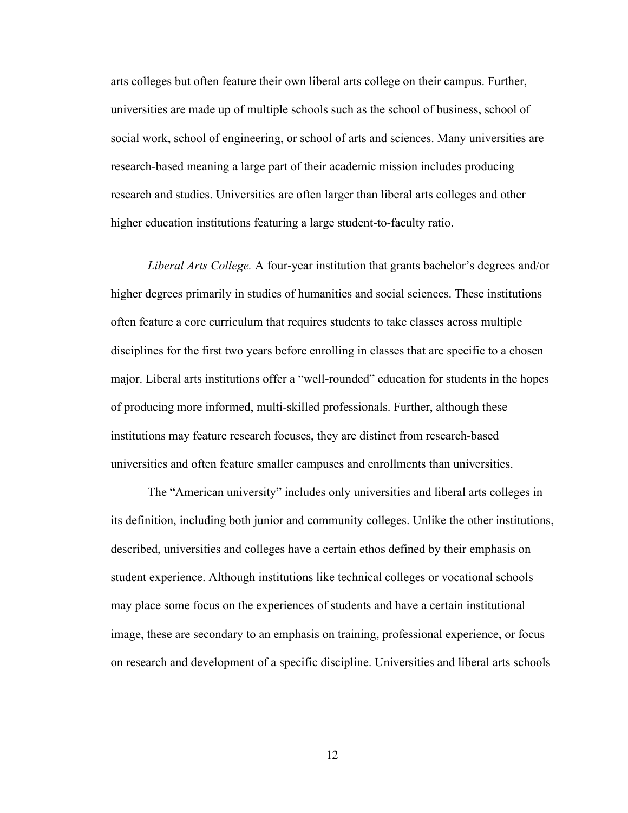arts colleges but often feature their own liberal arts college on their campus. Further, universities are made up of multiple schools such as the school of business, school of social work, school of engineering, or school of arts and sciences. Many universities are research-based meaning a large part of their academic mission includes producing research and studies. Universities are often larger than liberal arts colleges and other higher education institutions featuring a large student-to-faculty ratio.

*Liberal Arts College.* A four-year institution that grants bachelor's degrees and/or higher degrees primarily in studies of humanities and social sciences. These institutions often feature a core curriculum that requires students to take classes across multiple disciplines for the first two years before enrolling in classes that are specific to a chosen major. Liberal arts institutions offer a "well-rounded" education for students in the hopes of producing more informed, multi-skilled professionals. Further, although these institutions may feature research focuses, they are distinct from research-based universities and often feature smaller campuses and enrollments than universities.

The "American university" includes only universities and liberal arts colleges in its definition, including both junior and community colleges. Unlike the other institutions, described, universities and colleges have a certain ethos defined by their emphasis on student experience. Although institutions like technical colleges or vocational schools may place some focus on the experiences of students and have a certain institutional image, these are secondary to an emphasis on training, professional experience, or focus on research and development of a specific discipline. Universities and liberal arts schools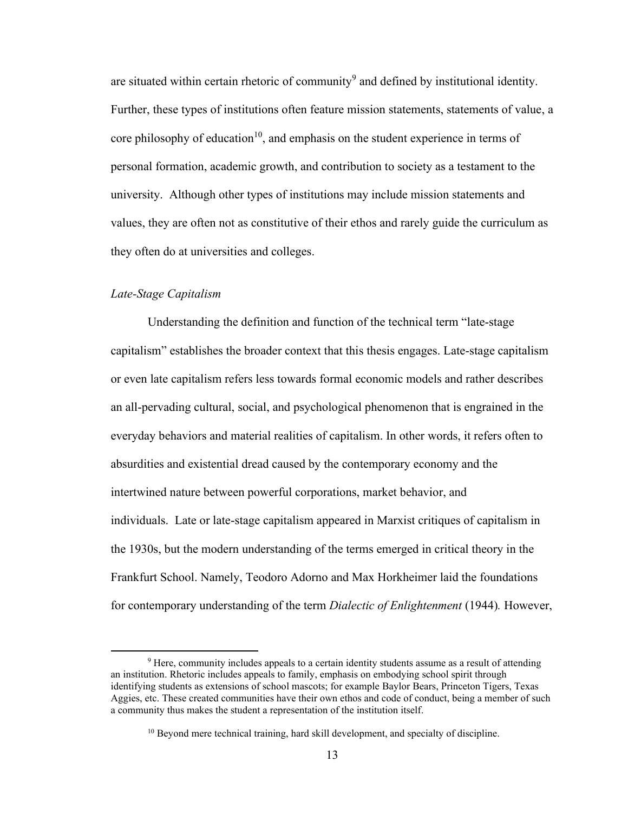are situated within certain rhetoric of community<sup>9</sup> and defined by institutional identity. Further, these types of institutions often feature mission statements, statements of value, a core philosophy of education<sup>10</sup>, and emphasis on the student experience in terms of personal formation, academic growth, and contribution to society as a testament to the university. Although other types of institutions may include mission statements and values, they are often not as constitutive of their ethos and rarely guide the curriculum as they often do at universities and colleges.

## *Late-Stage Capitalism*

Understanding the definition and function of the technical term "late-stage capitalism" establishes the broader context that this thesis engages. Late-stage capitalism or even late capitalism refers less towards formal economic models and rather describes an all-pervading cultural, social, and psychological phenomenon that is engrained in the everyday behaviors and material realities of capitalism. In other words, it refers often to absurdities and existential dread caused by the contemporary economy and the intertwined nature between powerful corporations, market behavior, and individuals. Late or late-stage capitalism appeared in Marxist critiques of capitalism in the 1930s, but the modern understanding of the terms emerged in critical theory in the Frankfurt School. Namely, Teodoro Adorno and Max Horkheimer laid the foundations for contemporary understanding of the term *Dialectic of Enlightenment* (1944)*.* However,

<sup>9</sup> Here, community includes appeals to a certain identity students assume as a result of attending an institution. Rhetoric includes appeals to family, emphasis on embodying school spirit through identifying students as extensions of school mascots; for example Baylor Bears, Princeton Tigers, Texas Aggies, etc. These created communities have their own ethos and code of conduct, being a member of such a community thus makes the student a representation of the institution itself.

<sup>&</sup>lt;sup>10</sup> Beyond mere technical training, hard skill development, and specialty of discipline.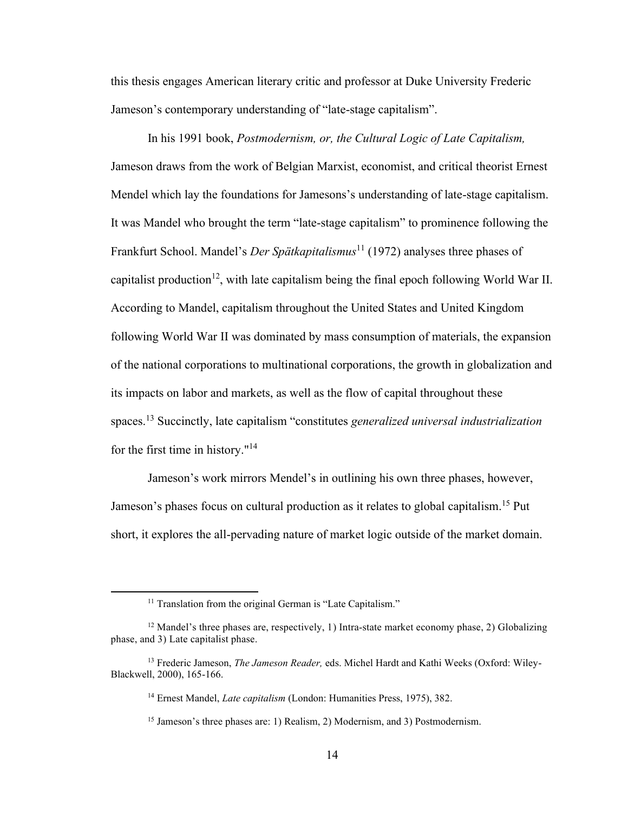this thesis engages American literary critic and professor at Duke University Frederic Jameson's contemporary understanding of "late-stage capitalism".

In his 1991 book, *Postmodernism, or, the Cultural Logic of Late Capitalism,*  Jameson draws from the work of Belgian Marxist, economist, and critical theorist Ernest Mendel which lay the foundations for Jamesons's understanding of late-stage capitalism. It was Mandel who brought the term "late-stage capitalism" to prominence following the Frankfurt School. Mandel's *Der Spätkapitalismus*<sup>11</sup> (1972) analyses three phases of capitalist production<sup>12</sup>, with late capitalism being the final epoch following World War II. According to Mandel, capitalism throughout the United States and United Kingdom following World War II was dominated by mass consumption of materials, the expansion of the national corporations to multinational corporations, the growth in globalization and its impacts on labor and markets, as well as the flow of capital throughout these spaces.<sup>13</sup> Succinctly, late capitalism "constitutes *generalized universal industrialization* for the first time in history."<sup>14</sup>

Jameson's work mirrors Mendel's in outlining his own three phases, however, Jameson's phases focus on cultural production as it relates to global capitalism.<sup>15</sup> Put short, it explores the all-pervading nature of market logic outside of the market domain.

<sup>&</sup>lt;sup>11</sup> Translation from the original German is "Late Capitalism."

 $12$  Mandel's three phases are, respectively, 1) Intra-state market economy phase, 2) Globalizing phase, and 3) Late capitalist phase.

<sup>13</sup> Frederic Jameson, *The Jameson Reader,* eds. Michel Hardt and Kathi Weeks (Oxford: Wiley-Blackwell, 2000), 165-166.

<sup>14</sup> Ernest Mandel, *Late capitalism* (London: Humanities Press, 1975), 382.

<sup>&</sup>lt;sup>15</sup> Jameson's three phases are: 1) Realism, 2) Modernism, and 3) Postmodernism.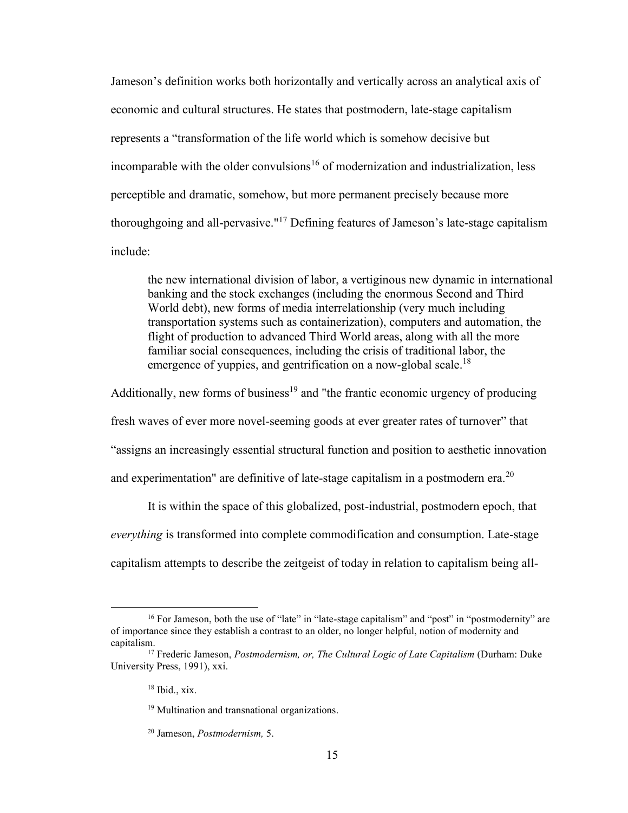Jameson's definition works both horizontally and vertically across an analytical axis of economic and cultural structures. He states that postmodern, late-stage capitalism represents a "transformation of the life world which is somehow decisive but incomparable with the older convulsions<sup>16</sup> of modernization and industrialization, less perceptible and dramatic, somehow, but more permanent precisely because more thoroughgoing and all-pervasive."<sup>17</sup> Defining features of Jameson's late-stage capitalism include:

the new international division of labor, a vertiginous new dynamic in international banking and the stock exchanges (including the enormous Second and Third World debt), new forms of media interrelationship (very much including transportation systems such as containerization), computers and automation, the flight of production to advanced Third World areas, along with all the more familiar social consequences, including the crisis of traditional labor, the emergence of yuppies, and gentrification on a now-global scale.<sup>18</sup>

Additionally, new forms of business<sup>19</sup> and "the frantic economic urgency of producing

fresh waves of ever more novel-seeming goods at ever greater rates of turnover" that

"assigns an increasingly essential structural function and position to aesthetic innovation

and experimentation" are definitive of late-stage capitalism in a postmodern era.<sup>20</sup>

It is within the space of this globalized, post-industrial, postmodern epoch, that *everything* is transformed into complete commodification and consumption. Late-stage capitalism attempts to describe the zeitgeist of today in relation to capitalism being all-

<sup>&</sup>lt;sup>16</sup> For Jameson, both the use of "late" in "late-stage capitalism" and "post" in "postmodernity" are of importance since they establish a contrast to an older, no longer helpful, notion of modernity and capitalism.

<sup>17</sup> Frederic Jameson, *Postmodernism, or, The Cultural Logic of Late Capitalism* (Durham: Duke University Press, 1991), xxi.

<sup>18</sup> Ibid., xix.

<sup>&</sup>lt;sup>19</sup> Multination and transnational organizations.

<sup>20</sup> Jameson, *Postmodernism,* 5.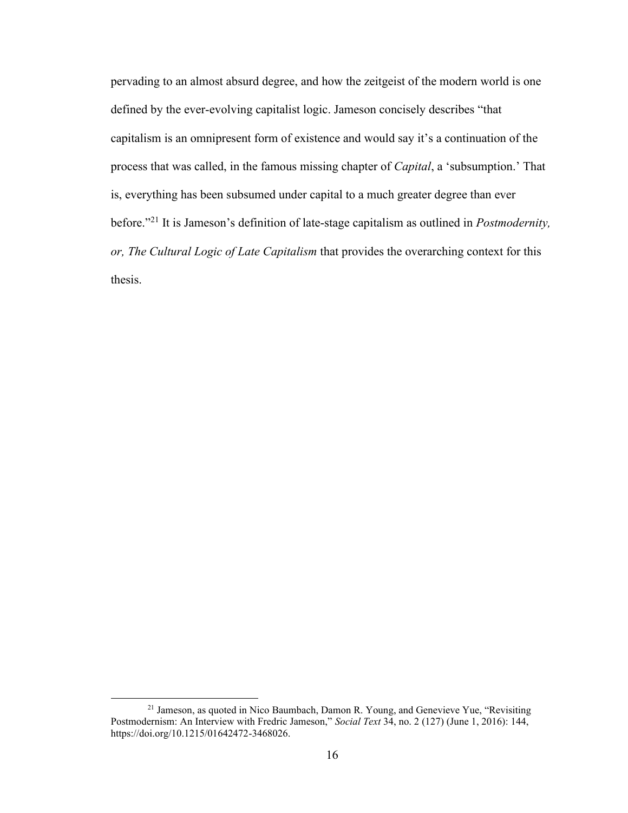pervading to an almost absurd degree, and how the zeitgeist of the modern world is one defined by the ever-evolving capitalist logic. Jameson concisely describes "that capitalism is an omnipresent form of existence and would say it's a continuation of the process that was called, in the famous missing chapter of *Capital*, a 'subsumption.' That is, everything has been subsumed under capital to a much greater degree than ever before." <sup>21</sup> It is Jameson's definition of late-stage capitalism as outlined in *Postmodernity, or, The Cultural Logic of Late Capitalism* that provides the overarching context for this thesis.

<sup>&</sup>lt;sup>21</sup> Jameson, as quoted in Nico Baumbach, Damon R. Young, and Genevieve Yue, "Revisiting Postmodernism: An Interview with Fredric Jameson," *Social Text* 34, no. 2 (127) (June 1, 2016): 144, [https://doi.org/10.1215/01642472-3468026.](https://doi.org/10.1215/01642472-3468026)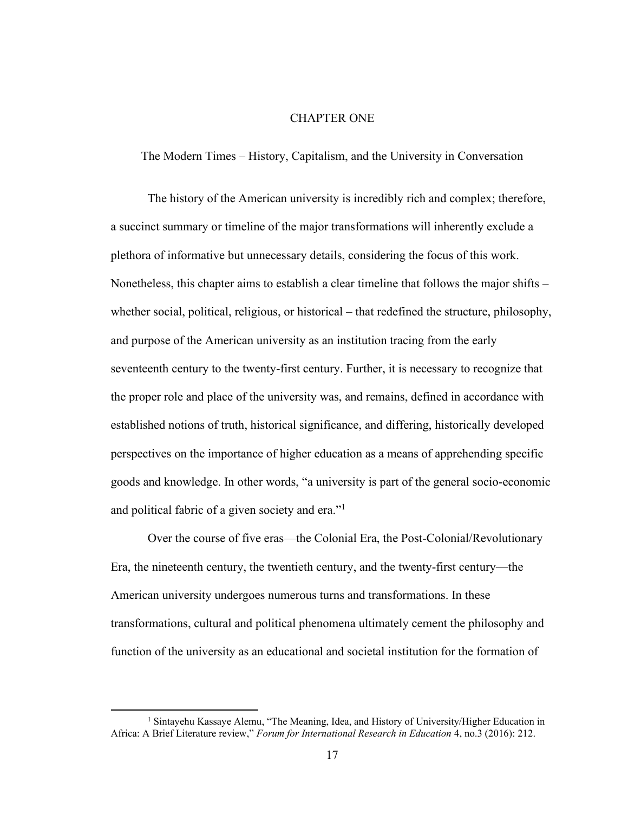## CHAPTER ONE

The Modern Times – History, Capitalism, and the University in Conversation

The history of the American university is incredibly rich and complex; therefore, a succinct summary or timeline of the major transformations will inherently exclude a plethora of informative but unnecessary details, considering the focus of this work. Nonetheless, this chapter aims to establish a clear timeline that follows the major shifts – whether social, political, religious, or historical – that redefined the structure, philosophy, and purpose of the American university as an institution tracing from the early seventeenth century to the twenty-first century. Further, it is necessary to recognize that the proper role and place of the university was, and remains, defined in accordance with established notions of truth, historical significance, and differing, historically developed perspectives on the importance of higher education as a means of apprehending specific goods and knowledge. In other words, "a university is part of the general socio-economic and political fabric of a given society and era."<sup>1</sup>

Over the course of five eras—the Colonial Era, the Post-Colonial/Revolutionary Era, the nineteenth century, the twentieth century, and the twenty-first century—the American university undergoes numerous turns and transformations. In these transformations, cultural and political phenomena ultimately cement the philosophy and function of the university as an educational and societal institution for the formation of

<sup>&</sup>lt;sup>1</sup> Sintayehu Kassaye Alemu, "The Meaning, Idea, and History of University/Higher Education in Africa: A Brief Literature review," *Forum for International Research in Education* 4, no.3 (2016): 212.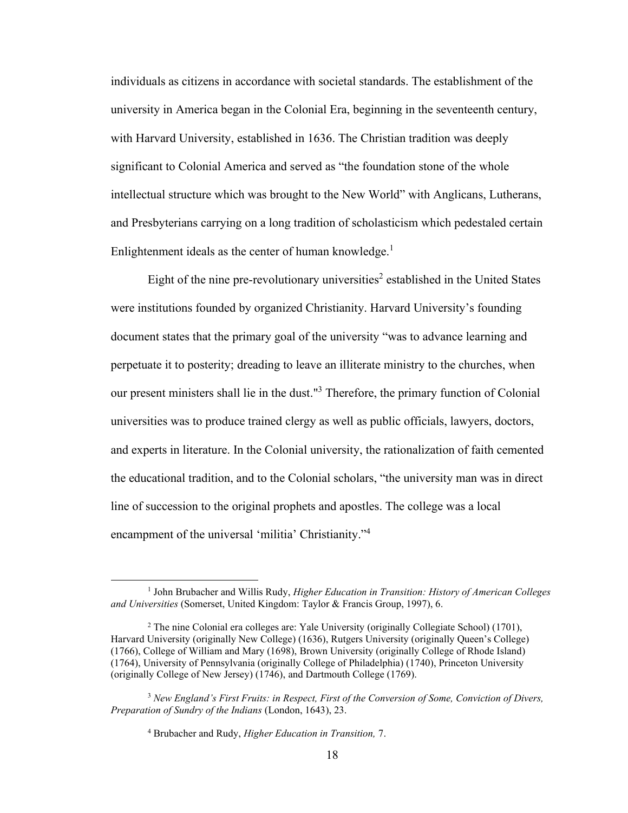individuals as citizens in accordance with societal standards. The establishment of the university in America began in the Colonial Era, beginning in the seventeenth century, with Harvard University, established in 1636. The Christian tradition was deeply significant to Colonial America and served as "the foundation stone of the whole intellectual structure which was brought to the New World" with Anglicans, Lutherans, and Presbyterians carrying on a long tradition of scholasticism which pedestaled certain Enlightenment ideals as the center of human knowledge. $<sup>1</sup>$ </sup>

Eight of the nine pre-revolutionary universities<sup>2</sup> established in the United States were institutions founded by organized Christianity. Harvard University's founding document states that the primary goal of the university "was to advance learning and perpetuate it to posterity; dreading to leave an illiterate ministry to the churches, when our present ministers shall lie in the dust."<sup>3</sup> Therefore, the primary function of Colonial universities was to produce trained clergy as well as public officials, lawyers, doctors, and experts in literature. In the Colonial university, the rationalization of faith cemented the educational tradition, and to the Colonial scholars, "the university man was in direct line of succession to the original prophets and apostles. The college was a local encampment of the universal 'militia' Christianity."<sup>4</sup>

<sup>&</sup>lt;sup>1</sup> John Brubacher and Willis Rudy, *Higher Education in Transition: History of American Colleges and Universities* (Somerset, United Kingdom: Taylor & Francis Group, 1997), 6.

<sup>2</sup> The nine Colonial era colleges are: Yale University (originally Collegiate School) (1701), Harvard University (originally New College) (1636), Rutgers University (originally Queen's College) (1766), College of William and Mary (1698), Brown University (originally College of Rhode Island) (1764), University of Pennsylvania (originally College of Philadelphia) (1740), Princeton University (originally College of New Jersey) (1746), and Dartmouth College (1769).

<sup>3</sup> *New England's First Fruits: in Respect, First of the Conversion of Some, Conviction of Divers, Preparation of Sundry of the Indians* (London, 1643), 23.

<sup>4</sup> Brubacher and Rudy, *Higher Education in Transition,* 7.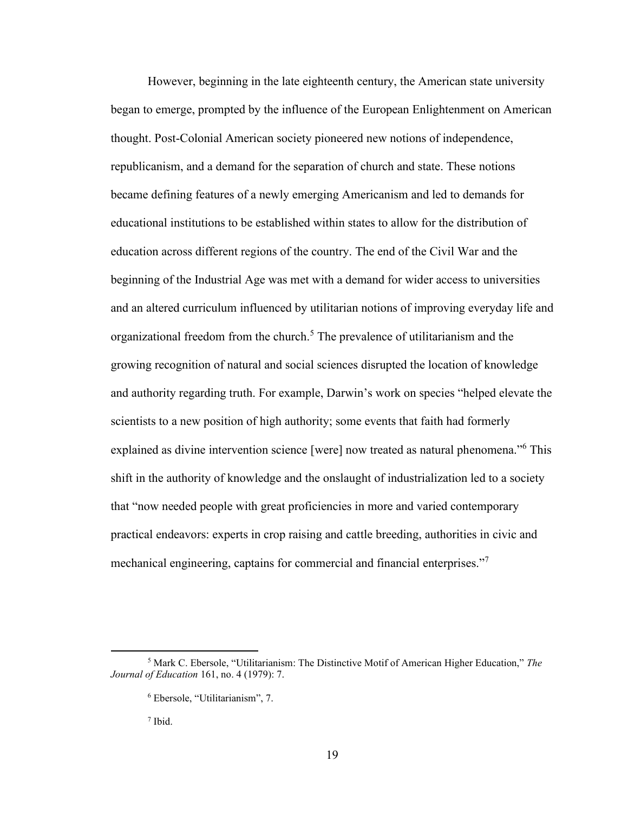However, beginning in the late eighteenth century, the American state university began to emerge, prompted by the influence of the European Enlightenment on American thought. Post-Colonial American society pioneered new notions of independence, republicanism, and a demand for the separation of church and state. These notions became defining features of a newly emerging Americanism and led to demands for educational institutions to be established within states to allow for the distribution of education across different regions of the country. The end of the Civil War and the beginning of the Industrial Age was met with a demand for wider access to universities and an altered curriculum influenced by utilitarian notions of improving everyday life and organizational freedom from the church. <sup>5</sup> The prevalence of utilitarianism and the growing recognition of natural and social sciences disrupted the location of knowledge and authority regarding truth. For example, Darwin's work on species "helped elevate the scientists to a new position of high authority; some events that faith had formerly explained as divine intervention science [were] now treated as natural phenomena."<sup>6</sup> This shift in the authority of knowledge and the onslaught of industrialization led to a society that "now needed people with great proficiencies in more and varied contemporary practical endeavors: experts in crop raising and cattle breeding, authorities in civic and mechanical engineering, captains for commercial and financial enterprises."<sup>7</sup>

7 Ibid.

<sup>5</sup> Mark C. Ebersole, "Utilitarianism: The Distinctive Motif of American Higher Education," *The Journal of Education* 161, no. 4 (1979): 7.

<sup>6</sup> Ebersole, "Utilitarianism", 7.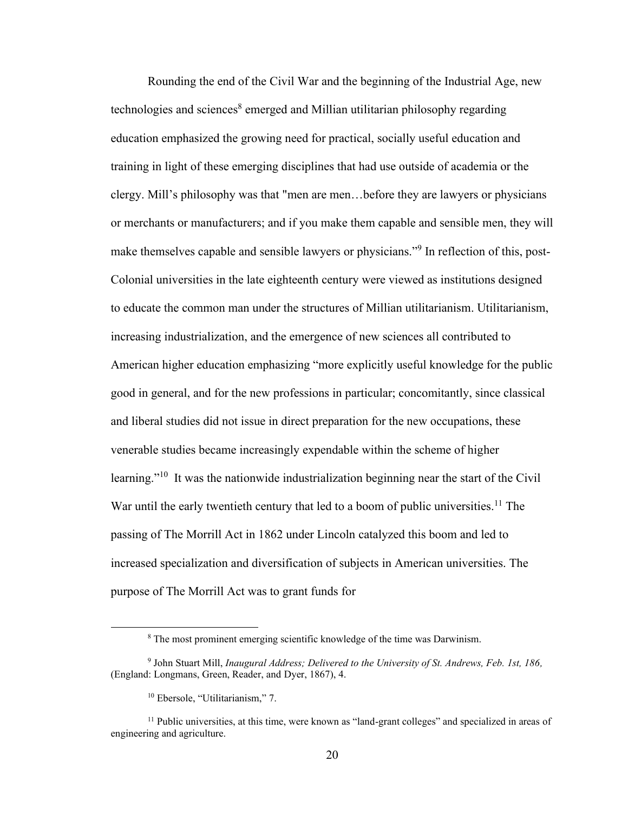Rounding the end of the Civil War and the beginning of the Industrial Age, new technologies and sciences<sup>8</sup> emerged and Millian utilitarian philosophy regarding education emphasized the growing need for practical, socially useful education and training in light of these emerging disciplines that had use outside of academia or the clergy. Mill's philosophy was that "men are men…before they are lawyers or physicians or merchants or manufacturers; and if you make them capable and sensible men, they will make themselves capable and sensible lawyers or physicians."<sup>9</sup> In reflection of this, post-Colonial universities in the late eighteenth century were viewed as institutions designed to educate the common man under the structures of Millian utilitarianism. Utilitarianism, increasing industrialization, and the emergence of new sciences all contributed to American higher education emphasizing "more explicitly useful knowledge for the public good in general, and for the new professions in particular; concomitantly, since classical and liberal studies did not issue in direct preparation for the new occupations, these venerable studies became increasingly expendable within the scheme of higher learning."<sup>10</sup> It was the nationwide industrialization beginning near the start of the Civil War until the early twentieth century that led to a boom of public universities.<sup>11</sup> The passing of The Morrill Act in 1862 under Lincoln catalyzed this boom and led to increased specialization and diversification of subjects in American universities. The purpose of The Morrill Act was to grant funds for

<sup>&</sup>lt;sup>8</sup> The most prominent emerging scientific knowledge of the time was Darwinism.

<sup>9</sup> John Stuart Mill, *Inaugural Address; Delivered to the University of St. Andrews, Feb. 1st, 186,*  (England: Longmans, Green, Reader, and Dyer, 1867), 4.

<sup>10</sup> Ebersole, "Utilitarianism," 7.

<sup>&</sup>lt;sup>11</sup> Public universities, at this time, were known as "land-grant colleges" and specialized in areas of engineering and agriculture.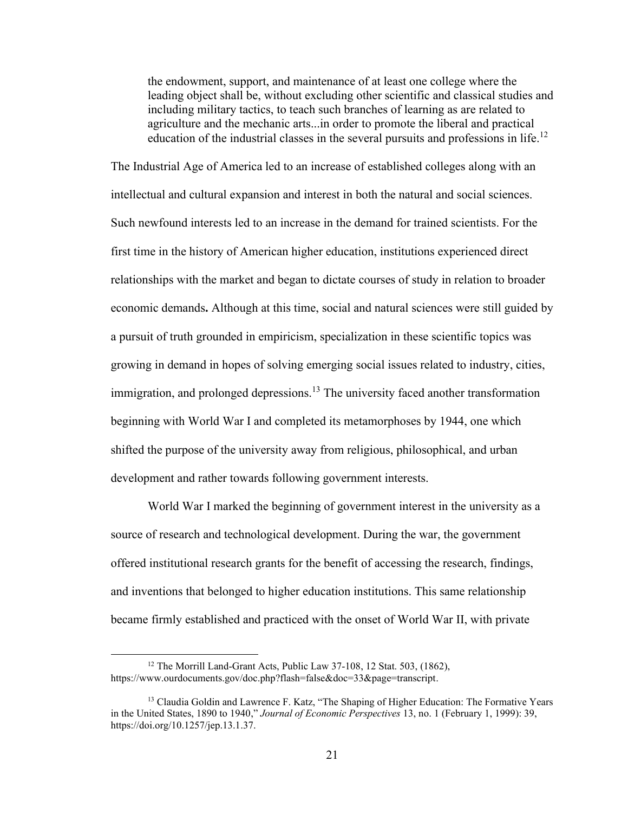the endowment, support, and maintenance of at least one college where the leading object shall be, without excluding other scientific and classical studies and including military tactics, to teach such branches of learning as are related to agriculture and the mechanic arts...in order to promote the liberal and practical education of the industrial classes in the several pursuits and professions in life.<sup>12</sup>

The Industrial Age of America led to an increase of established colleges along with an intellectual and cultural expansion and interest in both the natural and social sciences. Such newfound interests led to an increase in the demand for trained scientists. For the first time in the history of American higher education, institutions experienced direct relationships with the market and began to dictate courses of study in relation to broader economic demands**.** Although at this time, social and natural sciences were still guided by a pursuit of truth grounded in empiricism, specialization in these scientific topics was growing in demand in hopes of solving emerging social issues related to industry, cities, immigration, and prolonged depressions.<sup>13</sup> The university faced another transformation beginning with World War I and completed its metamorphoses by 1944, one which shifted the purpose of the university away from religious, philosophical, and urban development and rather towards following government interests.

World War I marked the beginning of government interest in the university as a source of research and technological development. During the war, the government offered institutional research grants for the benefit of accessing the research, findings, and inventions that belonged to higher education institutions. This same relationship became firmly established and practiced with the onset of World War II, with private

<sup>&</sup>lt;sup>12</sup> The Morrill Land-Grant Acts, Public Law 37-108, 12 Stat. 503, (1862), https://www.ourdocuments.gov/doc.php?flash=false&doc=33&page=transcript.

<sup>&</sup>lt;sup>13</sup> Claudia Goldin and Lawrence F. Katz, "The Shaping of Higher Education: The Formative Years in the United States, 1890 to 1940," *Journal of Economic Perspectives* 13, no. 1 (February 1, 1999): 39, https://doi.org/10.1257/jep.13.1.37.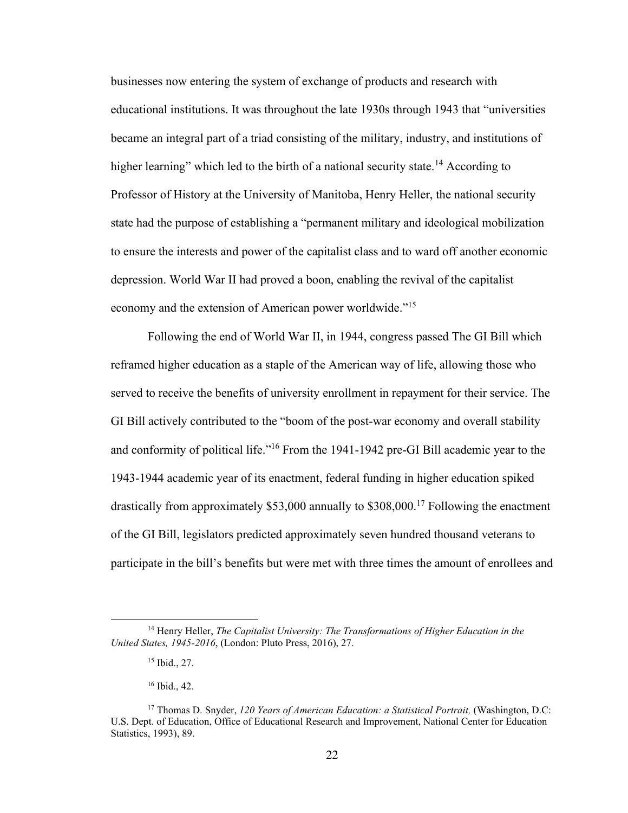businesses now entering the system of exchange of products and research with educational institutions. It was throughout the late 1930s through 1943 that "universities became an integral part of a triad consisting of the military, industry, and institutions of higher learning" which led to the birth of a national security state.<sup>14</sup> According to Professor of History at the University of Manitoba, Henry Heller, the national security state had the purpose of establishing a "permanent military and ideological mobilization to ensure the interests and power of the capitalist class and to ward off another economic depression. World War II had proved a boon, enabling the revival of the capitalist economy and the extension of American power worldwide."<sup>15</sup>

Following the end of World War II, in 1944, congress passed The GI Bill which reframed higher education as a staple of the American way of life, allowing those who served to receive the benefits of university enrollment in repayment for their service. The GI Bill actively contributed to the "boom of the post-war economy and overall stability and conformity of political life."<sup>16</sup> From the 1941-1942 pre-GI Bill academic year to the 1943-1944 academic year of its enactment, federal funding in higher education spiked drastically from approximately  $$53,000$  annually to  $$308,000$ .<sup>17</sup> Following the enactment of the GI Bill, legislators predicted approximately seven hundred thousand veterans to participate in the bill's benefits but were met with three times the amount of enrollees and

<sup>14</sup> Henry Heller, *The Capitalist University: The Transformations of Higher Education in the United States, 1945-2016*, (London: Pluto Press, 2016), 27.

<sup>15</sup> Ibid., 27.

<sup>16</sup> Ibid., 42.

<sup>17</sup> Thomas D. Snyder, *120 Years of American Education: a Statistical Portrait,* (Washington, D.C: U.S. Dept. of Education, Office of Educational Research and Improvement, National Center for Education Statistics, 1993), 89.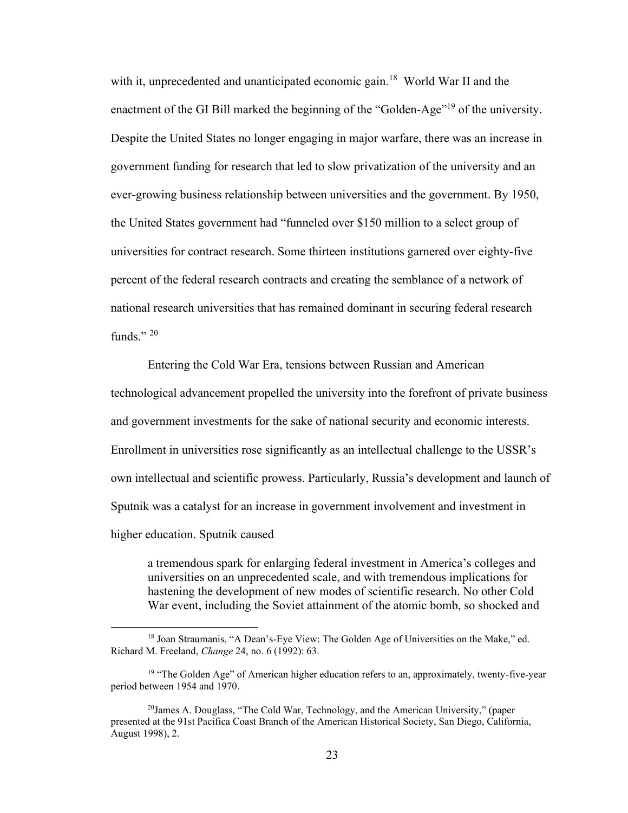with it, unprecedented and unanticipated economic gain.<sup>18</sup> World War II and the enactment of the GI Bill marked the beginning of the "Golden-Age"<sup>19</sup> of the university. Despite the United States no longer engaging in major warfare, there was an increase in government funding for research that led to slow privatization of the university and an ever-growing business relationship between universities and the government. By 1950, the United States government had "funneled over \$150 million to a select group of universities for contract research. Some thirteen institutions garnered over eighty-five percent of the federal research contracts and creating the semblance of a network of national research universities that has remained dominant in securing federal research funds $"$ <sup>20</sup>

Entering the Cold War Era, tensions between Russian and American technological advancement propelled the university into the forefront of private business and government investments for the sake of national security and economic interests. Enrollment in universities rose significantly as an intellectual challenge to the USSR's own intellectual and scientific prowess. Particularly, Russia's development and launch of Sputnik was a catalyst for an increase in government involvement and investment in higher education. Sputnik caused

a tremendous spark for enlarging federal investment in America's colleges and universities on an unprecedented scale, and with tremendous implications for hastening the development of new modes of scientific research. No other Cold War event, including the Soviet attainment of the atomic bomb, so shocked and

<sup>&</sup>lt;sup>18</sup> Joan Straumanis, "A Dean's-Eye View: The Golden Age of Universities on the Make," ed. Richard M. Freeland, *Change* 24, no. 6 (1992): 63.

 $19$  "The Golden Age" of American higher education refers to an, approximately, twenty-five-year period between 1954 and 1970.

<sup>20</sup>James A. Douglass, "The Cold War, Technology, and the American University," (paper presented at the 91st Pacifica Coast Branch of the American Historical Society, San Diego, California, August 1998), 2.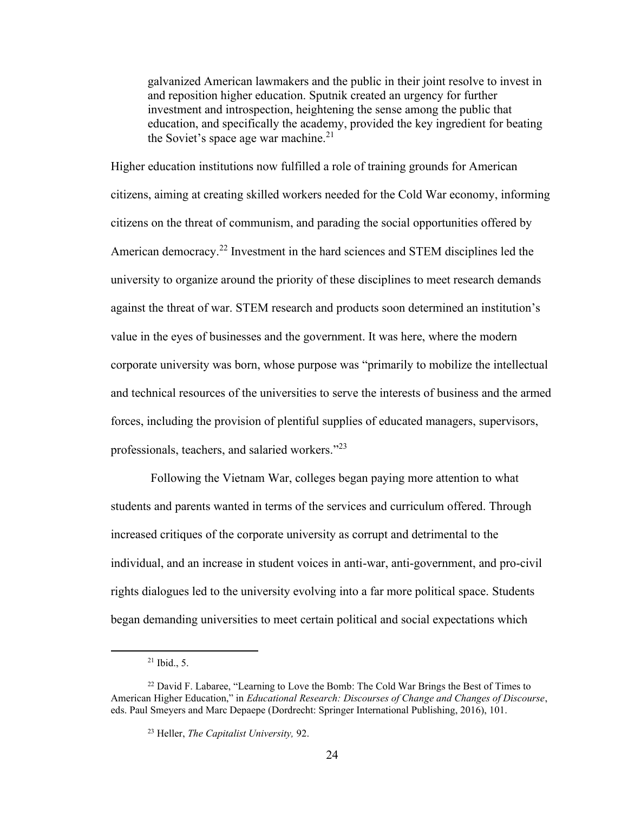galvanized American lawmakers and the public in their joint resolve to invest in and reposition higher education. Sputnik created an urgency for further investment and introspection, heightening the sense among the public that education, and specifically the academy, provided the key ingredient for beating the Soviet's space age war machine. $^{21}$ 

Higher education institutions now fulfilled a role of training grounds for American citizens, aiming at creating skilled workers needed for the Cold War economy, informing citizens on the threat of communism, and parading the social opportunities offered by American democracy.<sup>22</sup> Investment in the hard sciences and STEM disciplines led the university to organize around the priority of these disciplines to meet research demands against the threat of war. STEM research and products soon determined an institution's value in the eyes of businesses and the government. It was here, where the modern corporate university was born, whose purpose was "primarily to mobilize the intellectual and technical resources of the universities to serve the interests of business and the armed forces, including the provision of plentiful supplies of educated managers, supervisors, professionals, teachers, and salaried workers."23

Following the Vietnam War, colleges began paying more attention to what students and parents wanted in terms of the services and curriculum offered. Through increased critiques of the corporate university as corrupt and detrimental to the individual, and an increase in student voices in anti-war, anti-government, and pro-civil rights dialogues led to the university evolving into a far more political space. Students began demanding universities to meet certain political and social expectations which

 $21$  Ibid., 5.

<sup>&</sup>lt;sup>22</sup> David F. Labaree, "Learning to Love the Bomb: The Cold War Brings the Best of Times to American Higher Education," in *Educational Research: Discourses of Change and Changes of Discourse*, eds. Paul Smeyers and Marc Depaepe (Dordrecht: Springer International Publishing, 2016), 101.

<sup>23</sup> Heller, *The Capitalist University,* 92.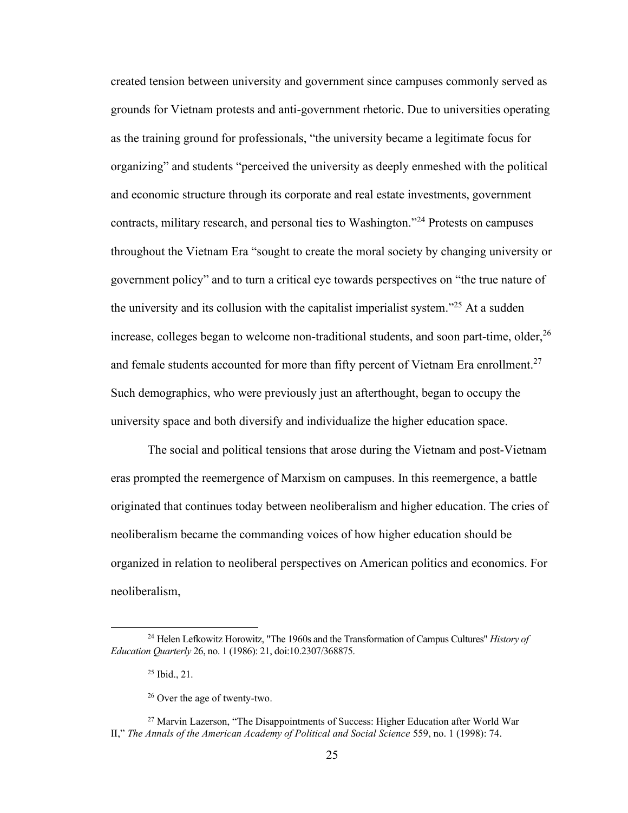created tension between university and government since campuses commonly served as grounds for Vietnam protests and anti-government rhetoric. Due to universities operating as the training ground for professionals, "the university became a legitimate focus for organizing" and students "perceived the university as deeply enmeshed with the political and economic structure through its corporate and real estate investments, government contracts, military research, and personal ties to Washington.<sup>224</sup> Protests on campuses throughout the Vietnam Era "sought to create the moral society by changing university or government policy" and to turn a critical eye towards perspectives on "the true nature of the university and its collusion with the capitalist imperialist system."<sup>25</sup> At a sudden increase, colleges began to welcome non-traditional students, and soon part-time, older,<sup>26</sup> and female students accounted for more than fifty percent of Vietnam Era enrollment.<sup>27</sup> Such demographics, who were previously just an afterthought, began to occupy the university space and both diversify and individualize the higher education space.

The social and political tensions that arose during the Vietnam and post-Vietnam eras prompted the reemergence of Marxism on campuses. In this reemergence, a battle originated that continues today between neoliberalism and higher education. The cries of neoliberalism became the commanding voices of how higher education should be organized in relation to neoliberal perspectives on American politics and economics. For neoliberalism,

<sup>24</sup> Helen Lefkowitz Horowitz, "The 1960s and the Transformation of Campus Cultures" *History of Education Quarterly* 26, no. 1 (1986): 21, doi:10.2307/368875.

<sup>25</sup> Ibid., 21.

<sup>26</sup> Over the age of twenty-two.

<sup>&</sup>lt;sup>27</sup> Marvin Lazerson, "The Disappointments of Success: Higher Education after World War II," *The Annals of the American Academy of Political and Social Science* 559, no. 1 (1998): 74.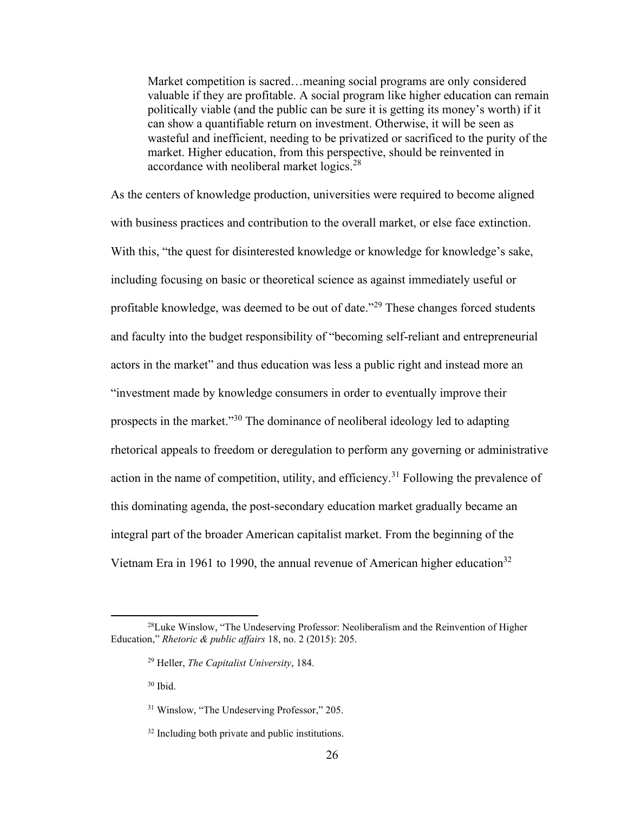Market competition is sacred…meaning social programs are only considered valuable if they are profitable. A social program like higher education can remain politically viable (and the public can be sure it is getting its money's worth) if it can show a quantifiable return on investment. Otherwise, it will be seen as wasteful and inefficient, needing to be privatized or sacrificed to the purity of the market. Higher education, from this perspective, should be reinvented in accordance with neoliberal market logics.<sup>28</sup>

As the centers of knowledge production, universities were required to become aligned with business practices and contribution to the overall market, or else face extinction. With this, "the quest for disinterested knowledge or knowledge for knowledge's sake, including focusing on basic or theoretical science as against immediately useful or profitable knowledge, was deemed to be out of date."<sup>29</sup> These changes forced students and faculty into the budget responsibility of "becoming self-reliant and entrepreneurial actors in the market" and thus education was less a public right and instead more an "investment made by knowledge consumers in order to eventually improve their prospects in the market."<sup>30</sup> The dominance of neoliberal ideology led to adapting rhetorical appeals to freedom or deregulation to perform any governing or administrative action in the name of competition, utility, and efficiency.<sup>31</sup> Following the prevalence of this dominating agenda, the post-secondary education market gradually became an integral part of the broader American capitalist market. From the beginning of the Vietnam Era in 1961 to 1990, the annual revenue of American higher education<sup>32</sup>

<sup>30</sup> Ibid.

 $^{28}$ Luke Winslow, "The Undeserving Professor: Neoliberalism and the Reinvention of Higher Education," *Rhetoric & public affairs* 18, no. 2 (2015): 205.

<sup>29</sup> Heller, *The Capitalist University*, 184.

<sup>31</sup> Winslow, "The Undeserving Professor," 205.

<sup>&</sup>lt;sup>32</sup> Including both private and public institutions.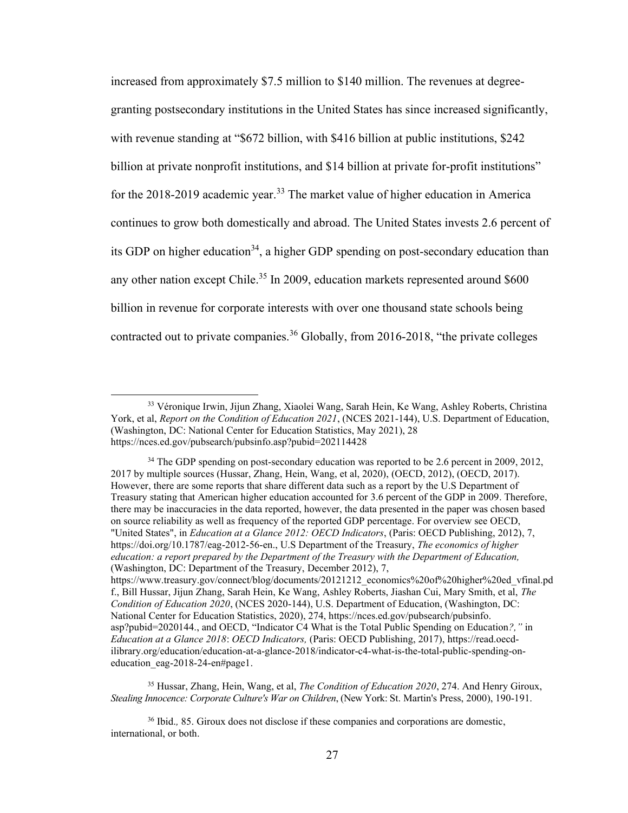increased from approximately \$7.5 million to \$140 million. The revenues at degreegranting postsecondary institutions in the United States has since increased significantly, with revenue standing at "\$672 billion, with \$416 billion at public institutions, \$242 billion at private nonprofit institutions, and \$14 billion at private for-profit institutions" for the 2018-2019 academic year.<sup>33</sup> The market value of higher education in America continues to grow both domestically and abroad. The United States invests 2.6 percent of its GDP on higher education<sup>34</sup>, a higher GDP spending on post-secondary education than any other nation except Chile.<sup>35</sup> In 2009, education markets represented around \$600 billion in revenue for corporate interests with over one thousand state schools being contracted out to private companies.<sup>36</sup> Globally, from 2016-2018, "the private colleges

<sup>34</sup> The GDP spending on post-secondary education was reported to be 2.6 percent in 2009, 2012, 2017 by multiple sources (Hussar, Zhang, Hein, Wang, et al, 2020), (OECD, 2012), (OECD, 2017). However, there are some reports that share different data such as a report by the U.S Department of Treasury stating that American higher education accounted for 3.6 percent of the GDP in 2009. Therefore, there may be inaccuracies in the data reported, however, the data presented in the paper was chosen based on source reliability as well as frequency of the reported GDP percentage. For overview see OECD, "United States", in *Education at a Glance 2012: OECD Indicators*, (Paris: OECD Publishing, 2012), 7, [https://doi.org/10.1787/eag-2012-56-en.](https://doi.org/10.1787/eag-2012-56-en), U.S Department of the Treasury, *The economics of higher education: a report prepared by the Department of the Treasury with the Department of Education,* (Washington, DC: Department of the Treasury, December 2012), 7, [https://www.treasury.gov/connect/blog/documents/20121212\\_economics%20of%20higher%20ed\\_vfinal.pd](https://www.treasury.gov/connect/blog/documents/20121212_economics%20of%20higher%20ed_vfinal.pdf) [f.,](https://www.treasury.gov/connect/blog/documents/20121212_economics%20of%20higher%20ed_vfinal.pdf) Bill Hussar, Jijun Zhang, Sarah Hein, Ke Wang, Ashley Roberts, Jiashan Cui, Mary Smith, et al, *The Condition of Education 2020*, (NCES 2020-144), U.S. Department of Education, (Washington, DC: National Center for Education Statistics, 2020), 274, https://nces.ed.gov/pubsearch/pubsinfo. asp?pubid=2020144., and OECD, "Indicator C4 What is the Total Public Spending on Education*?,"* in *Education at a Glance 2018*: *OECD Indicators,* (Paris: OECD Publishing, 2017), [https://read.oecd-](https://read.oecd-ilibrary.org/education/education-at-a-glance-2018/indicator-c4-what-is-the-total-public-spending-on-education_eag-2018-24-en#page1)

[ilibrary.org/education/education-at-a-glance-2018/indicator-c4-what-is-the-total-public-spending-on](https://read.oecd-ilibrary.org/education/education-at-a-glance-2018/indicator-c4-what-is-the-total-public-spending-on-education_eag-2018-24-en#page1)education eag-2018-24-en#page1.

<sup>35</sup> Hussar, Zhang, Hein, Wang, et al, *The Condition of Education 2020*, 274. And Henry Giroux, *Stealing Innocence: Corporate Culture's War on Children*, (New York: St. Martin's Press, 2000), 190-191.

<sup>36</sup> Ibid.*,* 85. Giroux does not disclose if these companies and corporations are domestic, international, or both.

<sup>33</sup> Véronique Irwin, Jijun Zhang, Xiaolei Wang, Sarah Hein, Ke Wang, Ashley Roberts, Christina York, et al, *Report on the Condition of Education 2021*, (NCES 2021-144), U.S. Department of Education, (Washington, DC: National Center for Education Statistics, May 2021), 28 https://nces.ed.gov/pubsearch/pubsinfo.asp?pubid=202114428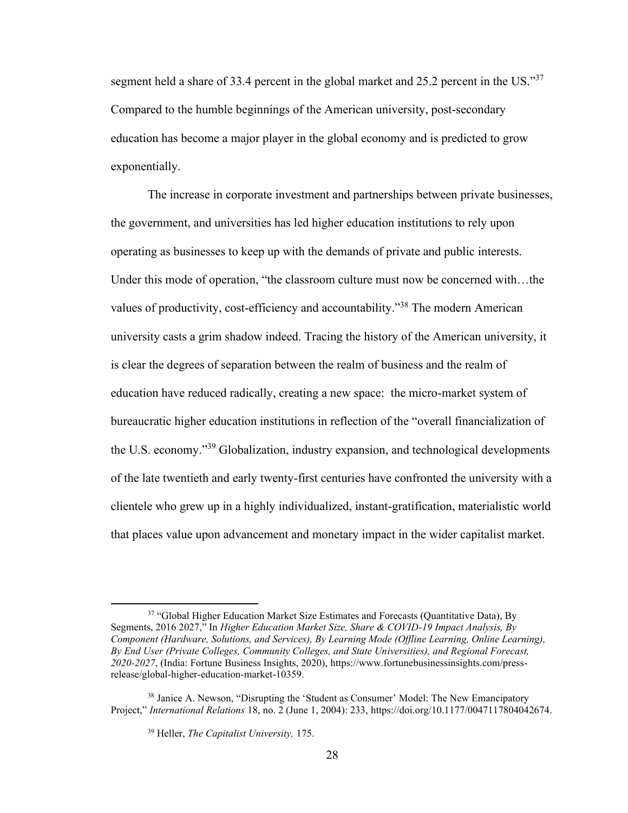segment held a share of 33.4 percent in the global market and 25.2 percent in the US."37 Compared to the humble beginnings of the American university, post-secondary education has become a major player in the global economy and is predicted to grow exponentially.

The increase in corporate investment and partnerships between private businesses, the government, and universities has led higher education institutions to rely upon operating as businesses to keep up with the demands of private and public interests. Under this mode of operation, "the classroom culture must now be concerned with…the values of productivity, cost-efficiency and accountability."<sup>38</sup> The modern American university casts a grim shadow indeed. Tracing the history of the American university, it is clear the degrees of separation between the realm of business and the realm of education have reduced radically, creating a new space: the micro-market system of bureaucratic higher education institutions in reflection of the "overall financialization of the U.S. economy."<sup>39</sup> Globalization, industry expansion, and technological developments of the late twentieth and early twenty-first centuries have confronted the university with a clientele who grew up in a highly individualized, instant-gratification, materialistic world that places value upon advancement and monetary impact in the wider capitalist market.

<sup>&</sup>lt;sup>37</sup> "Global Higher Education Market Size Estimates and Forecasts (Quantitative Data), By Segments, 2016 2027," In *Higher Education Market Size, Share & COVID-19 Impact Analysis, By Component (Hardware, Solutions, and Services), By Learning Mode (Offline Learning, Online Learning), By End User (Private Colleges, Community Colleges, and State Universities), and Regional Forecast, 2020-2027*, (India: Fortune Business Insights, 2020), [https://www.fortunebusinessinsights.com/press](https://www.fortunebusinessinsights.com/press-release/global-higher-education-market-10359)[release/global-higher-education-market-10359.](https://www.fortunebusinessinsights.com/press-release/global-higher-education-market-10359)

<sup>&</sup>lt;sup>38</sup> Janice A. Newson, "Disrupting the 'Student as Consumer' Model: The New Emancipatory Project," *International Relations* 18, no. 2 (June 1, 2004): 233, [https://doi.org/10.1177/0047117804042674.](https://doi.org/10.1177/0047117804042674)

<sup>39</sup> Heller, *The Capitalist University,* 175.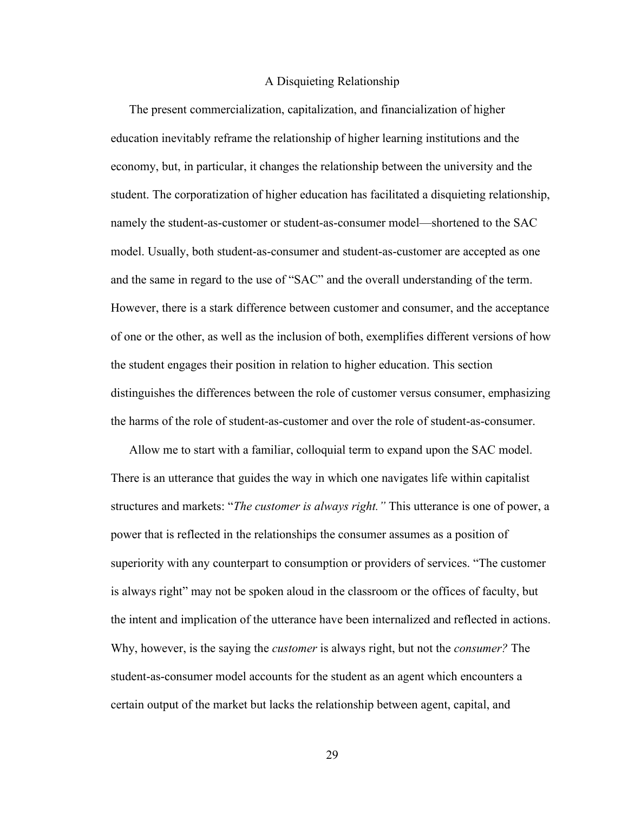#### A Disquieting Relationship

The present commercialization, capitalization, and financialization of higher education inevitably reframe the relationship of higher learning institutions and the economy, but, in particular, it changes the relationship between the university and the student. The corporatization of higher education has facilitated a disquieting relationship, namely the student-as-customer or student-as-consumer model—shortened to the SAC model. Usually, both student-as-consumer and student-as-customer are accepted as one and the same in regard to the use of "SAC" and the overall understanding of the term. However, there is a stark difference between customer and consumer, and the acceptance of one or the other, as well as the inclusion of both, exemplifies different versions of how the student engages their position in relation to higher education. This section distinguishes the differences between the role of customer versus consumer, emphasizing the harms of the role of student-as-customer and over the role of student-as-consumer.

Allow me to start with a familiar, colloquial term to expand upon the SAC model. There is an utterance that guides the way in which one navigates life within capitalist structures and markets: "*The customer is always right."* This utterance is one of power, a power that is reflected in the relationships the consumer assumes as a position of superiority with any counterpart to consumption or providers of services. "The customer is always right" may not be spoken aloud in the classroom or the offices of faculty, but the intent and implication of the utterance have been internalized and reflected in actions. Why, however, is the saying the *customer* is always right, but not the *consumer?* The student-as-consumer model accounts for the student as an agent which encounters a certain output of the market but lacks the relationship between agent, capital, and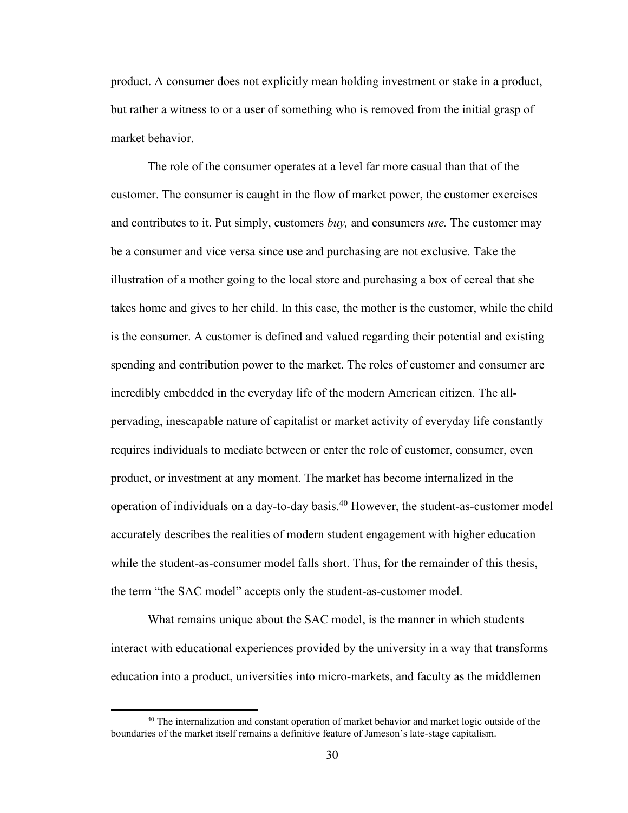product. A consumer does not explicitly mean holding investment or stake in a product, but rather a witness to or a user of something who is removed from the initial grasp of market behavior.

The role of the consumer operates at a level far more casual than that of the customer. The consumer is caught in the flow of market power, the customer exercises and contributes to it. Put simply, customers *buy,* and consumers *use.* The customer may be a consumer and vice versa since use and purchasing are not exclusive. Take the illustration of a mother going to the local store and purchasing a box of cereal that she takes home and gives to her child. In this case, the mother is the customer, while the child is the consumer. A customer is defined and valued regarding their potential and existing spending and contribution power to the market. The roles of customer and consumer are incredibly embedded in the everyday life of the modern American citizen. The allpervading, inescapable nature of capitalist or market activity of everyday life constantly requires individuals to mediate between or enter the role of customer, consumer, even product, or investment at any moment. The market has become internalized in the operation of individuals on a day-to-day basis. <sup>40</sup> However, the student-as-customer model accurately describes the realities of modern student engagement with higher education while the student-as-consumer model falls short. Thus, for the remainder of this thesis, the term "the SAC model" accepts only the student-as-customer model.

What remains unique about the SAC model, is the manner in which students interact with educational experiences provided by the university in a way that transforms education into a product, universities into micro-markets, and faculty as the middlemen

<sup>&</sup>lt;sup>40</sup> The internalization and constant operation of market behavior and market logic outside of the boundaries of the market itself remains a definitive feature of Jameson's late-stage capitalism.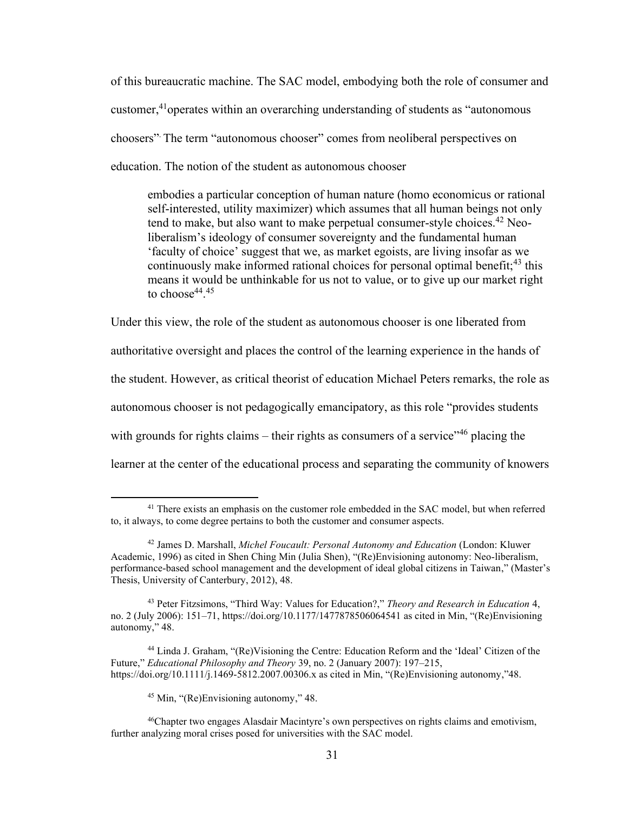of this bureaucratic machine. The SAC model, embodying both the role of consumer and customer,<sup>41</sup>operates within an overarching understanding of students as "autonomous" choosers". The term "autonomous chooser" comes from neoliberal perspectives on education. The notion of the student as autonomous chooser

embodies a particular conception of human nature (homo economicus or rational self-interested, utility maximizer) which assumes that all human beings not only tend to make, but also want to make perpetual consumer-style choices. <sup>42</sup> Neoliberalism's ideology of consumer sovereignty and the fundamental human 'faculty of choice' suggest that we, as market egoists, are living insofar as we continuously make informed rational choices for personal optimal benefit;  $43$  this means it would be unthinkable for us not to value, or to give up our market right to choose<sup>44</sup>.<sup>45</sup>

Under this view, the role of the student as autonomous chooser is one liberated from authoritative oversight and places the control of the learning experience in the hands of the student. However, as critical theorist of education Michael Peters remarks, the role as autonomous chooser is not pedagogically emancipatory, as this role "provides students with grounds for rights claims – their rights as consumers of a service<sup> $146$ </sup> placing the learner at the center of the educational process and separating the community of knowers

<sup>44</sup> Linda J. Graham, "(Re)Visioning the Centre: Education Reform and the 'Ideal' Citizen of the Future," *Educational Philosophy and Theory* 39, no. 2 (January 2007): 197–215, <https://doi.org/10.1111/j.1469-5812.2007.00306.x> as cited in Min, "(Re)Envisioning autonomy,"48.

<sup>&</sup>lt;sup>41</sup> There exists an emphasis on the customer role embedded in the SAC model, but when referred to, it always, to come degree pertains to both the customer and consumer aspects.

<sup>42</sup> James D. Marshall, *Michel Foucault: Personal Autonomy and Education* (London: Kluwer Academic, 1996) as cited in Shen Ching Min (Julia Shen), "(Re)Envisioning autonomy: Neo-liberalism, performance-based school management and the development of ideal global citizens in Taiwan," (Master's Thesis, University of Canterbury, 2012), 48.

<sup>43</sup> Peter Fitzsimons, "Third Way: Values for Education?," *Theory and Research in Education* 4, no. 2 (July 2006): 151–71, <https://doi.org/10.1177/1477878506064541> as cited in Min, "(Re)Envisioning autonomy," 48.

<sup>45</sup> Min, "(Re)Envisioning autonomy," 48.

<sup>&</sup>lt;sup>46</sup>Chapter two engages Alasdair Macintyre's own perspectives on rights claims and emotivism, further analyzing moral crises posed for universities with the SAC model.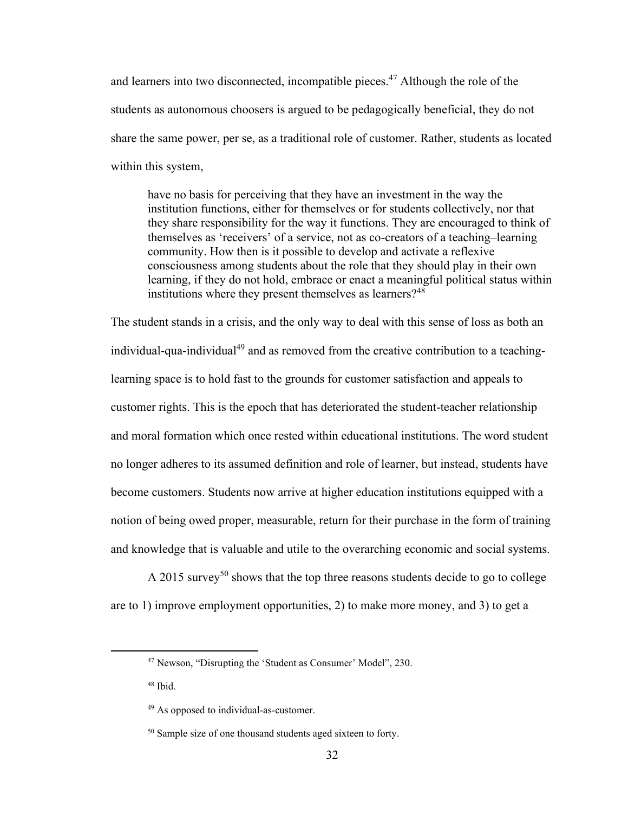and learners into two disconnected, incompatible pieces.<sup>47</sup> Although the role of the students as autonomous choosers is argued to be pedagogically beneficial, they do not share the same power, per se, as a traditional role of customer. Rather, students as located within this system,

have no basis for perceiving that they have an investment in the way the institution functions, either for themselves or for students collectively, nor that they share responsibility for the way it functions. They are encouraged to think of themselves as 'receivers' of a service, not as co-creators of a teaching–learning community. How then is it possible to develop and activate a reflexive consciousness among students about the role that they should play in their own learning, if they do not hold, embrace or enact a meaningful political status within institutions where they present themselves as learners?<sup>48</sup>

The student stands in a crisis, and the only way to deal with this sense of loss as both an individual-qua-individual<sup>49</sup> and as removed from the creative contribution to a teachinglearning space is to hold fast to the grounds for customer satisfaction and appeals to customer rights. This is the epoch that has deteriorated the student-teacher relationship and moral formation which once rested within educational institutions. The word student no longer adheres to its assumed definition and role of learner, but instead, students have become customers. Students now arrive at higher education institutions equipped with a notion of being owed proper, measurable, return for their purchase in the form of training and knowledge that is valuable and utile to the overarching economic and social systems.

A 2015 survey<sup>50</sup> shows that the top three reasons students decide to go to college are to 1) improve employment opportunities, 2) to make more money, and 3) to get a

<sup>48</sup> Ibid.

<sup>47</sup> Newson, "Disrupting the 'Student as Consumer' Model", 230.

<sup>49</sup> As opposed to individual-as-customer.

<sup>&</sup>lt;sup>50</sup> Sample size of one thousand students aged sixteen to forty.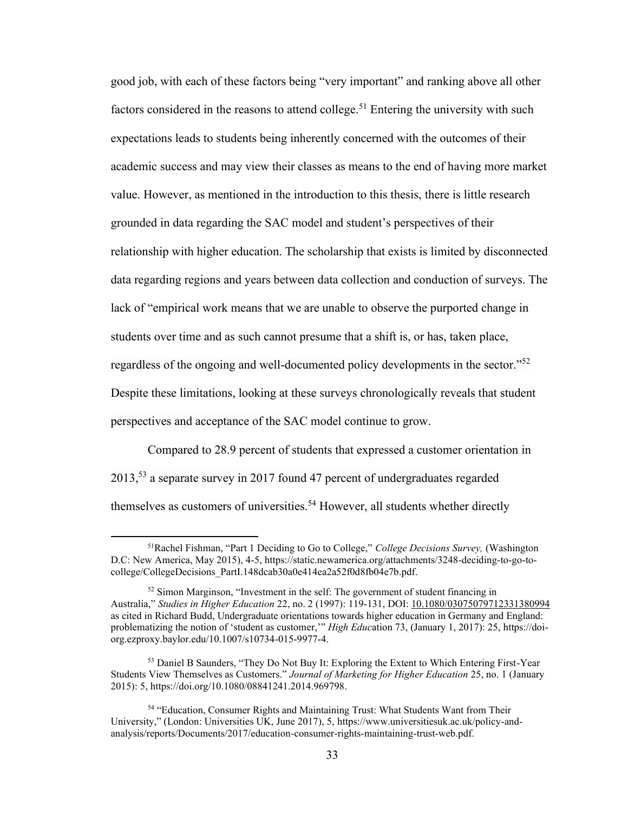good job, with each of these factors being "very important" and ranking above all other factors considered in the reasons to attend college.<sup>51</sup> Entering the university with such expectations leads to students being inherently concerned with the outcomes of their academic success and may view their classes as means to the end of having more market value. However, as mentioned in the introduction to this thesis, there is little research grounded in data regarding the SAC model and student's perspectives of their relationship with higher education. The scholarship that exists is limited by disconnected data regarding regions and years between data collection and conduction of surveys. The lack of "empirical work means that we are unable to observe the purported change in students over time and as such cannot presume that a shift is, or has, taken place, regardless of the ongoing and well-documented policy developments in the sector."<sup>52</sup> Despite these limitations, looking at these surveys chronologically reveals that student perspectives and acceptance of the SAC model continue to grow.

Compared to 28.9 percent of students that expressed a customer orientation in 2013,<sup>53</sup> a separate survey in 2017 found 47 percent of undergraduates regarded themselves as customers of universities.<sup>54</sup> However, all students whether directly

<sup>51</sup>Rachel Fishman, "Part 1 Deciding to Go to College," *College Decisions Survey,* (Washington D.C: New America, May 2015), 4-5, [https://static.newamerica.org/attachments/3248-deciding-to-go-to](https://static.newamerica.org/attachments/3248-deciding-to-go-to-college/CollegeDecisions_PartI.148dcab30a0e414ea2a52f0d8fb04e7b.pdf)[college/CollegeDecisions\\_PartI.148dcab30a0e414ea2a52f0d8fb04e7b.pdf.](https://static.newamerica.org/attachments/3248-deciding-to-go-to-college/CollegeDecisions_PartI.148dcab30a0e414ea2a52f0d8fb04e7b.pdf)

<sup>52</sup> Simon Marginson, "Investment in the self: The government of student financing in Australia," *Studies in Higher Education* 22, no. 2 (1997): 119-131, DOI: [10.1080/03075079712331380994](https://doi-org.ezproxy.baylor.edu/10.1080/03075079712331380994) as cited in Richard Budd, Undergraduate orientations towards higher education in Germany and England: problematizing the notion of 'student as customer,'" *High Educ*ation 73, (January 1, 2017): 25[, https://doi](https://doi-org.ezproxy.baylor.edu/10.1007/s10734-015-9977-4)[org.ezproxy.baylor.edu/10.1007/s10734-015-9977-4.](https://doi-org.ezproxy.baylor.edu/10.1007/s10734-015-9977-4)

<sup>&</sup>lt;sup>53</sup> Daniel B Saunders, "They Do Not Buy It: Exploring the Extent to Which Entering First-Year Students View Themselves as Customers." *Journal of Marketing for Higher Education* 25, no. 1 (January 2015): 5[, https://doi.org/10.1080/08841241.2014.969798.](https://doi.org/10.1080/08841241.2014.969798)

<sup>54</sup> "Education, Consumer Rights and Maintaining Trust: What Students Want from Their University," (London: Universities UK, June 2017), 5, [https://www.universitiesuk.ac.uk/policy-and](https://www.universitiesuk.ac.uk/policy-and-analysis/reports/Documents/2017/education-consumer-rights-maintaining-trust-web.pdf)[analysis/reports/Documents/2017/education-consumer-rights-maintaining-trust-web.pdf.](https://www.universitiesuk.ac.uk/policy-and-analysis/reports/Documents/2017/education-consumer-rights-maintaining-trust-web.pdf)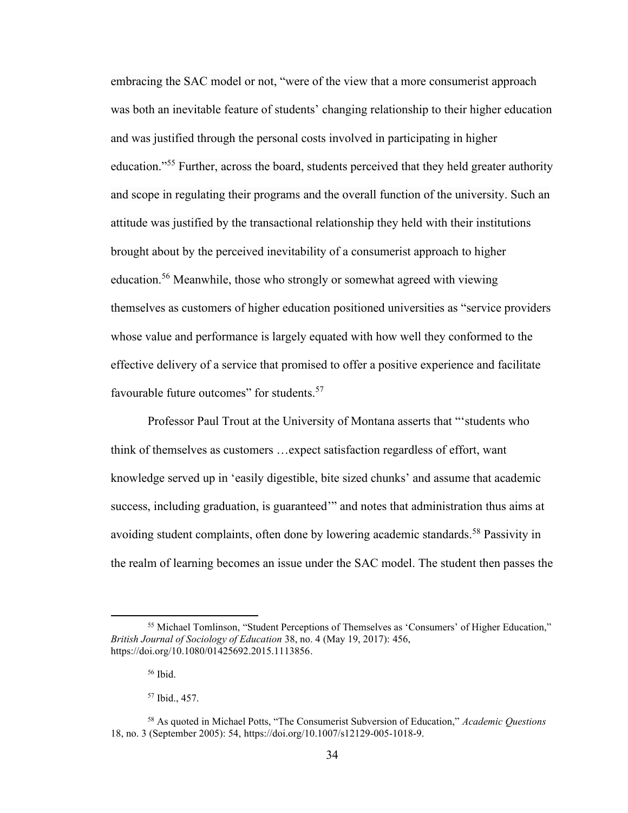embracing the SAC model or not, "were of the view that a more consumerist approach was both an inevitable feature of students' changing relationship to their higher education and was justified through the personal costs involved in participating in higher education."<sup>55</sup> Further, across the board, students perceived that they held greater authority and scope in regulating their programs and the overall function of the university. Such an attitude was justified by the transactional relationship they held with their institutions brought about by the perceived inevitability of a consumerist approach to higher education.<sup>56</sup> Meanwhile, those who strongly or somewhat agreed with viewing themselves as customers of higher education positioned universities as "service providers whose value and performance is largely equated with how well they conformed to the effective delivery of a service that promised to offer a positive experience and facilitate favourable future outcomes" for students.<sup>57</sup>

Professor Paul Trout at the University of Montana asserts that "'students who think of themselves as customers …expect satisfaction regardless of effort, want knowledge served up in 'easily digestible, bite sized chunks' and assume that academic success, including graduation, is guaranteed'" and notes that administration thus aims at avoiding student complaints, often done by lowering academic standards.<sup>58</sup> Passivity in the realm of learning becomes an issue under the SAC model. The student then passes the

<sup>&</sup>lt;sup>55</sup> Michael Tomlinson, "Student Perceptions of Themselves as 'Consumers' of Higher Education," *British Journal of Sociology of Education* 38, no. 4 (May 19, 2017): 456, [https://doi.org/10.1080/01425692.2015.1113856.](https://doi.org/10.1080/01425692.2015.1113856)

<sup>56</sup> Ibid.

<sup>57</sup> Ibid., 457.

<sup>58</sup> As quoted in Michael Potts, "The Consumerist Subversion of Education," *Academic Questions* 18, no. 3 (September 2005): 54[, https://doi.org/10.1007/s12129-005-1018-9.](https://doi.org/10.1007/s12129-005-1018-9)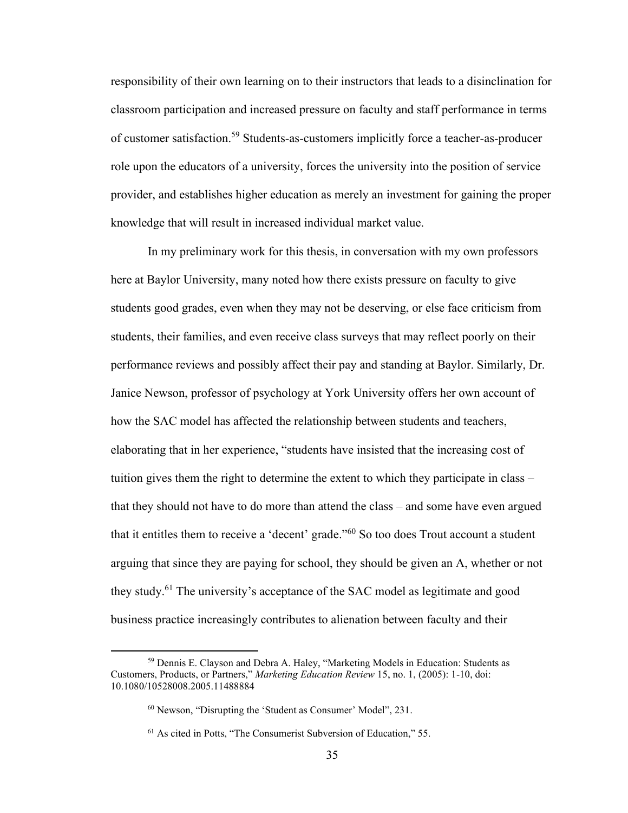responsibility of their own learning on to their instructors that leads to a disinclination for classroom participation and increased pressure on faculty and staff performance in terms of customer satisfaction.<sup>59</sup> Students-as-customers implicitly force a teacher-as-producer role upon the educators of a university, forces the university into the position of service provider, and establishes higher education as merely an investment for gaining the proper knowledge that will result in increased individual market value.

In my preliminary work for this thesis, in conversation with my own professors here at Baylor University, many noted how there exists pressure on faculty to give students good grades, even when they may not be deserving, or else face criticism from students, their families, and even receive class surveys that may reflect poorly on their performance reviews and possibly affect their pay and standing at Baylor. Similarly, Dr. Janice Newson, professor of psychology at York University offers her own account of how the SAC model has affected the relationship between students and teachers, elaborating that in her experience, "students have insisted that the increasing cost of tuition gives them the right to determine the extent to which they participate in class – that they should not have to do more than attend the class – and some have even argued that it entitles them to receive a 'decent' grade."<sup>60</sup> So too does Trout account a student arguing that since they are paying for school, they should be given an A, whether or not they study.<sup>61</sup> The university's acceptance of the SAC model as legitimate and good business practice increasingly contributes to alienation between faculty and their

<sup>59</sup> Dennis E. Clayson and Debra A. Haley, "Marketing Models in Education: Students as Customers, Products, or Partners," *Marketing Education Review* 15, no. 1, (2005): 1-10, doi: 10.1080/10528008.2005.11488884

<sup>60</sup> Newson, "Disrupting the 'Student as Consumer' Model", 231.

<sup>61</sup> As cited in Potts, "The Consumerist Subversion of Education," 55.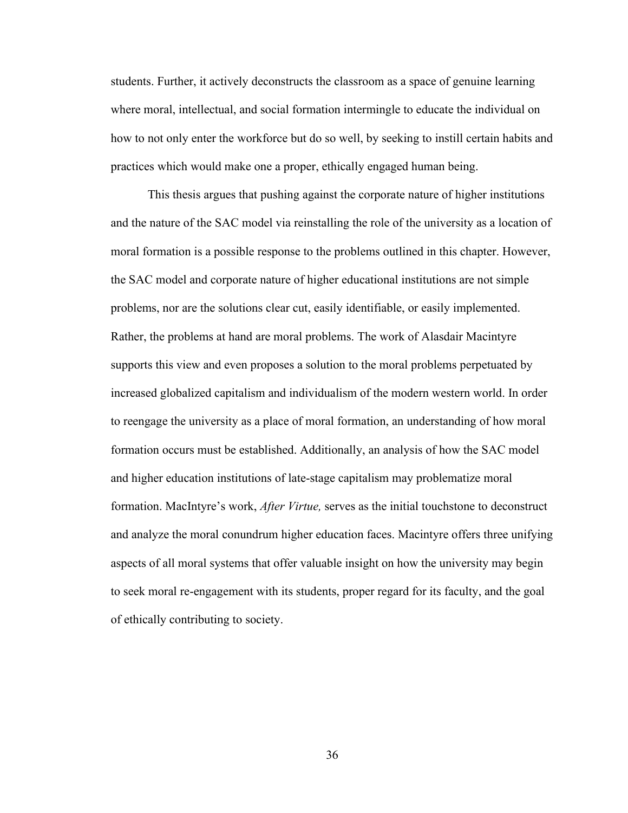students. Further, it actively deconstructs the classroom as a space of genuine learning where moral, intellectual, and social formation intermingle to educate the individual on how to not only enter the workforce but do so well, by seeking to instill certain habits and practices which would make one a proper, ethically engaged human being.

This thesis argues that pushing against the corporate nature of higher institutions and the nature of the SAC model via reinstalling the role of the university as a location of moral formation is a possible response to the problems outlined in this chapter. However, the SAC model and corporate nature of higher educational institutions are not simple problems, nor are the solutions clear cut, easily identifiable, or easily implemented. Rather, the problems at hand are moral problems. The work of Alasdair Macintyre supports this view and even proposes a solution to the moral problems perpetuated by increased globalized capitalism and individualism of the modern western world. In order to reengage the university as a place of moral formation, an understanding of how moral formation occurs must be established. Additionally, an analysis of how the SAC model and higher education institutions of late-stage capitalism may problematize moral formation. MacIntyre's work, *After Virtue,* serves as the initial touchstone to deconstruct and analyze the moral conundrum higher education faces. Macintyre offers three unifying aspects of all moral systems that offer valuable insight on how the university may begin to seek moral re-engagement with its students, proper regard for its faculty, and the goal of ethically contributing to society.

36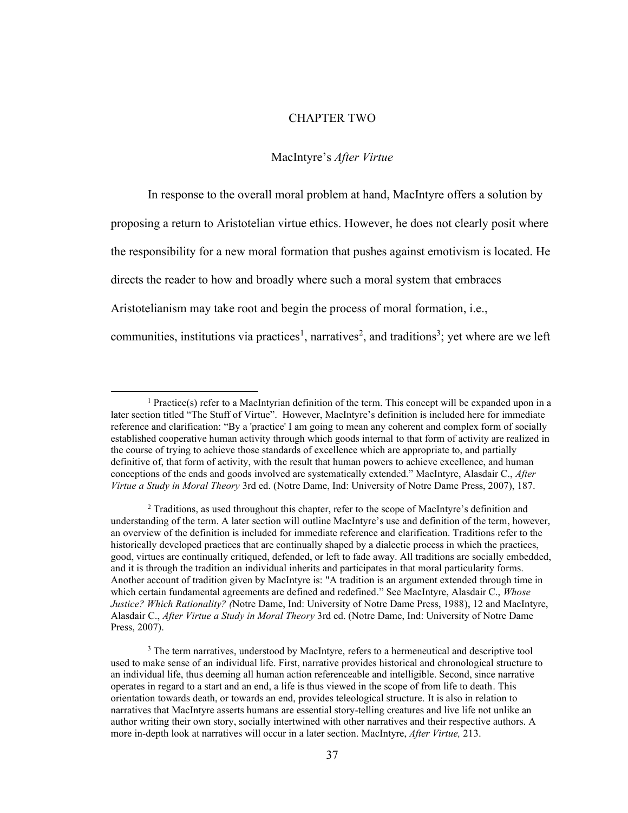## CHAPTER TWO

#### MacIntyre's *After Virtue*

In response to the overall moral problem at hand, MacIntyre offers a solution by proposing a return to Aristotelian virtue ethics. However, he does not clearly posit where the responsibility for a new moral formation that pushes against emotivism is located. He directs the reader to how and broadly where such a moral system that embraces Aristotelianism may take root and begin the process of moral formation, i.e., communities, institutions via practices<sup>1</sup>, narratives<sup>2</sup>, and traditions<sup>3</sup>; yet where are we left

<sup>&</sup>lt;sup>1</sup> Practice(s) refer to a MacIntyrian definition of the term. This concept will be expanded upon in a later section titled "The Stuff of Virtue". However, MacIntyre's definition is included here for immediate reference and clarification: "By a 'practice' I am going to mean any coherent and complex form of socially established cooperative human activity through which goods internal to that form of activity are realized in the course of trying to achieve those standards of excellence which are appropriate to, and partially definitive of, that form of activity, with the result that human powers to achieve excellence, and human conceptions of the ends and goods involved are systematically extended." MacIntyre, Alasdair C., *After Virtue a Study in Moral Theory* 3rd ed. (Notre Dame, Ind: University of Notre Dame Press, 2007), 187.

<sup>2</sup> Traditions, as used throughout this chapter, refer to the scope of MacIntyre's definition and understanding of the term. A later section will outline MacIntyre's use and definition of the term, however, an overview of the definition is included for immediate reference and clarification. Traditions refer to the historically developed practices that are continually shaped by a dialectic process in which the practices, good, virtues are continually critiqued, defended, or left to fade away. All traditions are socially embedded, and it is through the tradition an individual inherits and participates in that moral particularity forms. Another account of tradition given by MacIntyre is: "A tradition is an argument extended through time in which certain fundamental agreements are defined and redefined." See MacIntyre, Alasdair C., *Whose Justice? Which Rationality? (*Notre Dame, Ind: University of Notre Dame Press, 1988), 12 and MacIntyre, Alasdair C., *After Virtue a Study in Moral Theory* 3rd ed. (Notre Dame, Ind: University of Notre Dame Press, 2007).

<sup>&</sup>lt;sup>3</sup> The term narratives, understood by MacIntyre, refers to a hermeneutical and descriptive tool used to make sense of an individual life. First, narrative provides historical and chronological structure to an individual life, thus deeming all human action referenceable and intelligible. Second, since narrative operates in regard to a start and an end, a life is thus viewed in the scope of from life to death. This orientation towards death, or towards an end, provides teleological structure. It is also in relation to narratives that MacIntyre asserts humans are essential story-telling creatures and live life not unlike an author writing their own story, socially intertwined with other narratives and their respective authors. A more in-depth look at narratives will occur in a later section. MacIntyre, *After Virtue,* 213.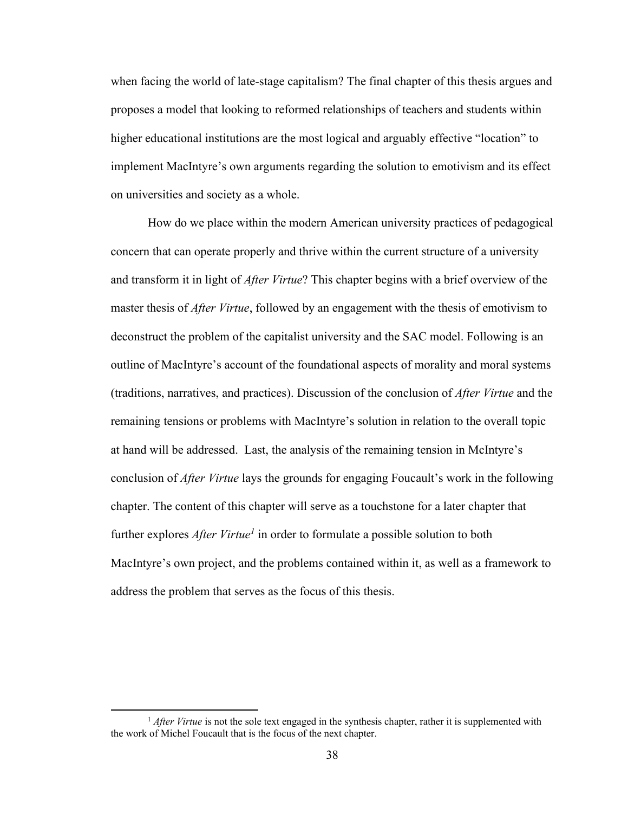when facing the world of late-stage capitalism? The final chapter of this thesis argues and proposes a model that looking to reformed relationships of teachers and students within higher educational institutions are the most logical and arguably effective "location" to implement MacIntyre's own arguments regarding the solution to emotivism and its effect on universities and society as a whole.

How do we place within the modern American university practices of pedagogical concern that can operate properly and thrive within the current structure of a university and transform it in light of *After Virtue*? This chapter begins with a brief overview of the master thesis of *After Virtue*, followed by an engagement with the thesis of emotivism to deconstruct the problem of the capitalist university and the SAC model. Following is an outline of MacIntyre's account of the foundational aspects of morality and moral systems (traditions, narratives, and practices). Discussion of the conclusion of *After Virtue* and the remaining tensions or problems with MacIntyre's solution in relation to the overall topic at hand will be addressed. Last, the analysis of the remaining tension in McIntyre's conclusion of *After Virtue* lays the grounds for engaging Foucault's work in the following chapter. The content of this chapter will serve as a touchstone for a later chapter that further explores *After Virtue<sup>1</sup>* in order to formulate a possible solution to both MacIntyre's own project, and the problems contained within it, as well as a framework to address the problem that serves as the focus of this thesis.

<sup>&</sup>lt;sup>1</sup> *After Virtue* is not the sole text engaged in the synthesis chapter, rather it is supplemented with the work of Michel Foucault that is the focus of the next chapter.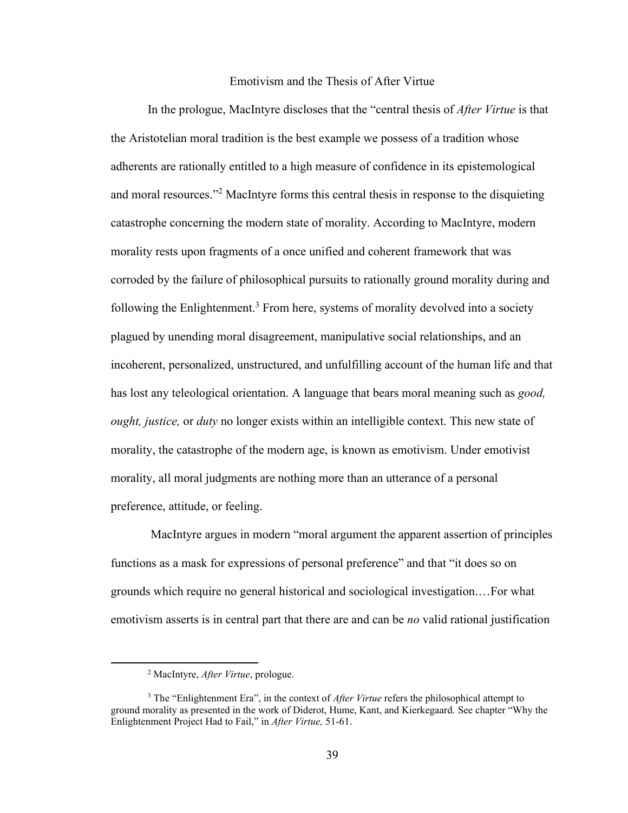## Emotivism and the Thesis of After Virtue

In the prologue, MacIntyre discloses that the "central thesis of *After Virtue* is that the Aristotelian moral tradition is the best example we possess of a tradition whose adherents are rationally entitled to a high measure of confidence in its epistemological and moral resources."<sup>2</sup> MacIntyre forms this central thesis in response to the disquieting catastrophe concerning the modern state of morality. According to MacIntyre, modern morality rests upon fragments of a once unified and coherent framework that was corroded by the failure of philosophical pursuits to rationally ground morality during and following the Enlightenment.<sup>3</sup> From here, systems of morality devolved into a society plagued by unending moral disagreement, manipulative social relationships, and an incoherent, personalized, unstructured, and unfulfilling account of the human life and that has lost any teleological orientation. A language that bears moral meaning such as *good, ought, justice,* or *duty* no longer exists within an intelligible context. This new state of morality, the catastrophe of the modern age, is known as emotivism. Under emotivist morality, all moral judgments are nothing more than an utterance of a personal preference, attitude, or feeling.

MacIntyre argues in modern "moral argument the apparent assertion of principles functions as a mask for expressions of personal preference" and that "it does so on grounds which require no general historical and sociological investigation.…For what emotivism asserts is in central part that there are and can be *no* valid rational justification

<sup>2</sup> MacIntyre, *After Virtue*, prologue.

<sup>3</sup> The "Enlightenment Era", in the context of *After Virtue* refers the philosophical attempt to ground morality as presented in the work of Diderot, Hume, Kant, and Kierkegaard. See chapter "Why the Enlightenment Project Had to Fail," in *After Virtue,* 51-61.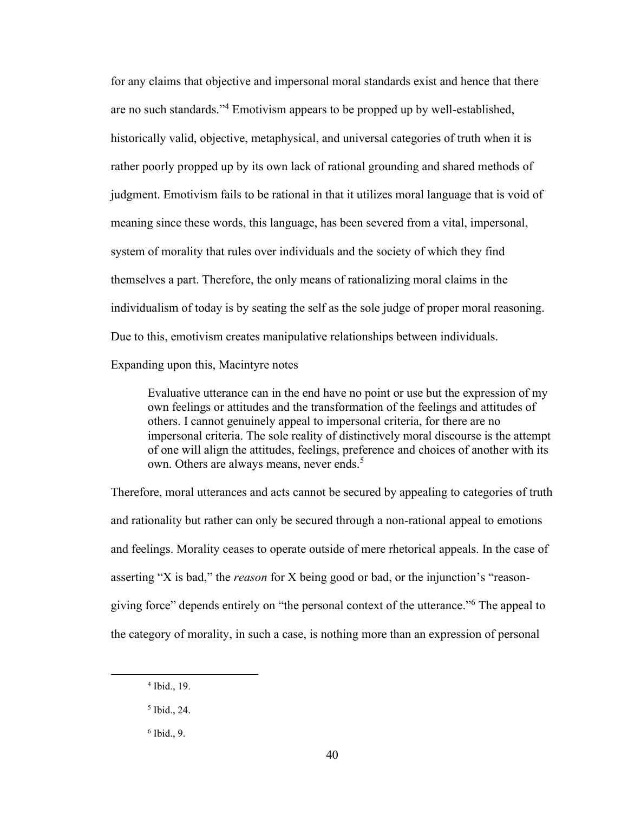for any claims that objective and impersonal moral standards exist and hence that there are no such standards." <sup>4</sup> Emotivism appears to be propped up by well-established, historically valid, objective, metaphysical, and universal categories of truth when it is rather poorly propped up by its own lack of rational grounding and shared methods of judgment. Emotivism fails to be rational in that it utilizes moral language that is void of meaning since these words, this language, has been severed from a vital, impersonal, system of morality that rules over individuals and the society of which they find themselves a part. Therefore, the only means of rationalizing moral claims in the individualism of today is by seating the self as the sole judge of proper moral reasoning. Due to this, emotivism creates manipulative relationships between individuals. Expanding upon this, Macintyre notes

Evaluative utterance can in the end have no point or use but the expression of my own feelings or attitudes and the transformation of the feelings and attitudes of others. I cannot genuinely appeal to impersonal criteria, for there are no impersonal criteria. The sole reality of distinctively moral discourse is the attempt of one will align the attitudes, feelings, preference and choices of another with its own. Others are always means, never ends.<sup>5</sup>

Therefore, moral utterances and acts cannot be secured by appealing to categories of truth and rationality but rather can only be secured through a non-rational appeal to emotions and feelings. Morality ceases to operate outside of mere rhetorical appeals. In the case of asserting "X is bad," the *reason* for X being good or bad, or the injunction's "reasongiving force" depends entirely on "the personal context of the utterance." The appeal to the category of morality, in such a case, is nothing more than an expression of personal

<sup>4</sup> Ibid., 19.

<sup>5</sup> Ibid., 24.

<sup>6</sup> Ibid., 9.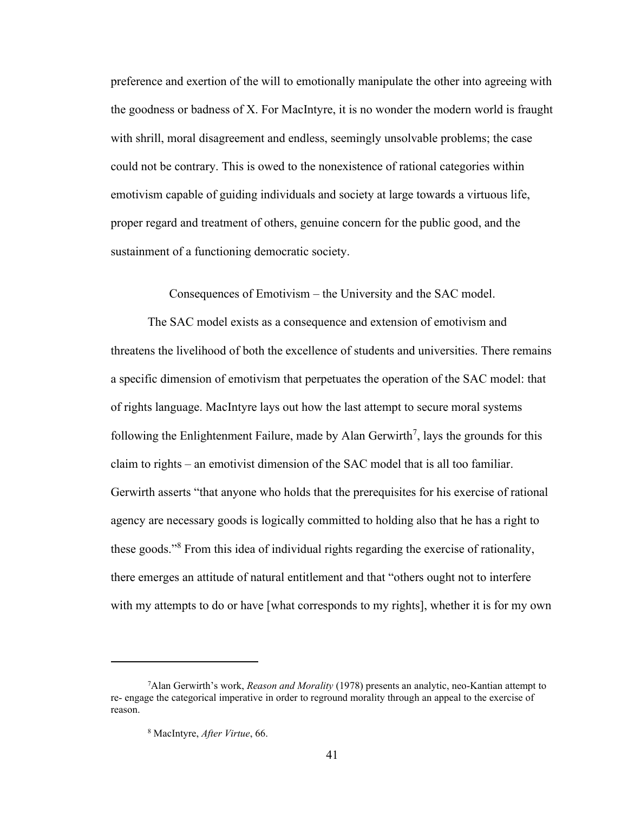preference and exertion of the will to emotionally manipulate the other into agreeing with the goodness or badness of X. For MacIntyre, it is no wonder the modern world is fraught with shrill, moral disagreement and endless, seemingly unsolvable problems; the case could not be contrary. This is owed to the nonexistence of rational categories within emotivism capable of guiding individuals and society at large towards a virtuous life, proper regard and treatment of others, genuine concern for the public good, and the sustainment of a functioning democratic society.

Consequences of Emotivism – the University and the SAC model.

The SAC model exists as a consequence and extension of emotivism and threatens the livelihood of both the excellence of students and universities. There remains a specific dimension of emotivism that perpetuates the operation of the SAC model: that of rights language. MacIntyre lays out how the last attempt to secure moral systems following the Enlightenment Failure, made by Alan Gerwirth<sup>7</sup>, lays the grounds for this claim to rights – an emotivist dimension of the SAC model that is all too familiar. Gerwirth asserts "that anyone who holds that the prerequisites for his exercise of rational agency are necessary goods is logically committed to holding also that he has a right to these goods." <sup>8</sup> From this idea of individual rights regarding the exercise of rationality, there emerges an attitude of natural entitlement and that "others ought not to interfere with my attempts to do or have [what corresponds to my rights], whether it is for my own

<sup>7</sup>Alan Gerwirth's work, *Reason and Morality* (1978) presents an analytic, neo-Kantian attempt to re- engage the categorical imperative in order to reground morality through an appeal to the exercise of reason.

<sup>8</sup> MacIntyre, *After Virtue*, 66.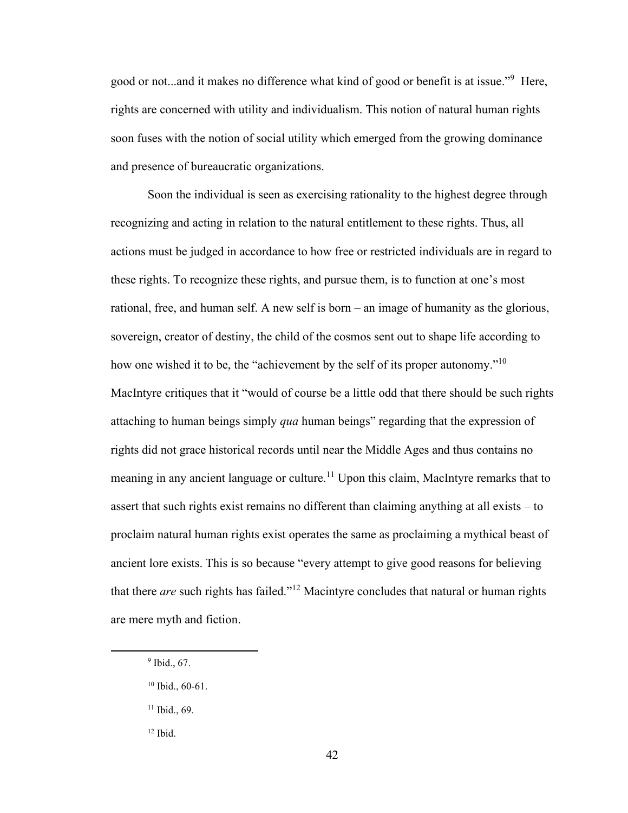good or not...and it makes no difference what kind of good or benefit is at issue."<sup>9</sup> Here, rights are concerned with utility and individualism. This notion of natural human rights soon fuses with the notion of social utility which emerged from the growing dominance and presence of bureaucratic organizations.

Soon the individual is seen as exercising rationality to the highest degree through recognizing and acting in relation to the natural entitlement to these rights. Thus, all actions must be judged in accordance to how free or restricted individuals are in regard to these rights. To recognize these rights, and pursue them, is to function at one's most rational, free, and human self. A new self is born – an image of humanity as the glorious, sovereign, creator of destiny, the child of the cosmos sent out to shape life according to how one wished it to be, the "achievement by the self of its proper autonomy."<sup>10</sup> MacIntyre critiques that it "would of course be a little odd that there should be such rights attaching to human beings simply *qua* human beings" regarding that the expression of rights did not grace historical records until near the Middle Ages and thus contains no meaning in any ancient language or culture.<sup>11</sup> Upon this claim, MacIntyre remarks that to assert that such rights exist remains no different than claiming anything at all exists – to proclaim natural human rights exist operates the same as proclaiming a mythical beast of ancient lore exists. This is so because "every attempt to give good reasons for believing that there *are* such rights has failed." <sup>12</sup> Macintyre concludes that natural or human rights are mere myth and fiction.

<sup>9</sup> Ibid., 67.

<sup>10</sup> Ibid., 60-61.

<sup>&</sup>lt;sup>11</sup> Ibid., 69.

 $12$  Ibid.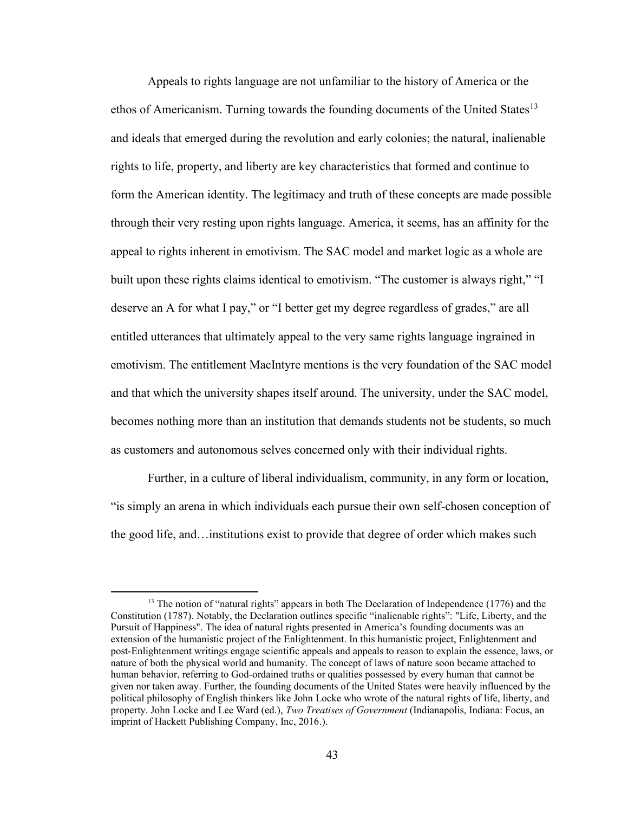Appeals to rights language are not unfamiliar to the history of America or the ethos of Americanism. Turning towards the founding documents of the United States<sup>13</sup> and ideals that emerged during the revolution and early colonies; the natural, inalienable rights to life, property, and liberty are key characteristics that formed and continue to form the American identity. The legitimacy and truth of these concepts are made possible through their very resting upon rights language. America, it seems, has an affinity for the appeal to rights inherent in emotivism. The SAC model and market logic as a whole are built upon these rights claims identical to emotivism. "The customer is always right," "I deserve an A for what I pay," or "I better get my degree regardless of grades," are all entitled utterances that ultimately appeal to the very same rights language ingrained in emotivism. The entitlement MacIntyre mentions is the very foundation of the SAC model and that which the university shapes itself around. The university, under the SAC model, becomes nothing more than an institution that demands students not be students, so much as customers and autonomous selves concerned only with their individual rights.

Further, in a culture of liberal individualism, community, in any form or location, "is simply an arena in which individuals each pursue their own self-chosen conception of the good life, and…institutions exist to provide that degree of order which makes such

<sup>&</sup>lt;sup>13</sup> The notion of "natural rights" appears in both The Declaration of Independence (1776) and the Constitution (1787). Notably, the Declaration outlines specific "inalienable rights": "Life, Liberty, and the Pursuit of Happiness". The idea of natural rights presented in America's founding documents was an extension of the humanistic project of the Enlightenment. In this humanistic project, Enlightenment and post-Enlightenment writings engage scientific appeals and appeals to reason to explain the essence, laws, or nature of both the physical world and humanity. The concept of laws of nature soon became attached to human behavior, referring to God-ordained truths or qualities possessed by every human that cannot be given nor taken away. Further, the founding documents of the United States were heavily influenced by the political philosophy of English thinkers like John Locke who wrote of the natural rights of life, liberty, and property. John Locke and Lee Ward (ed.), *Two Treatises of Government* (Indianapolis, Indiana: Focus, an imprint of Hackett Publishing Company, Inc, 2016.).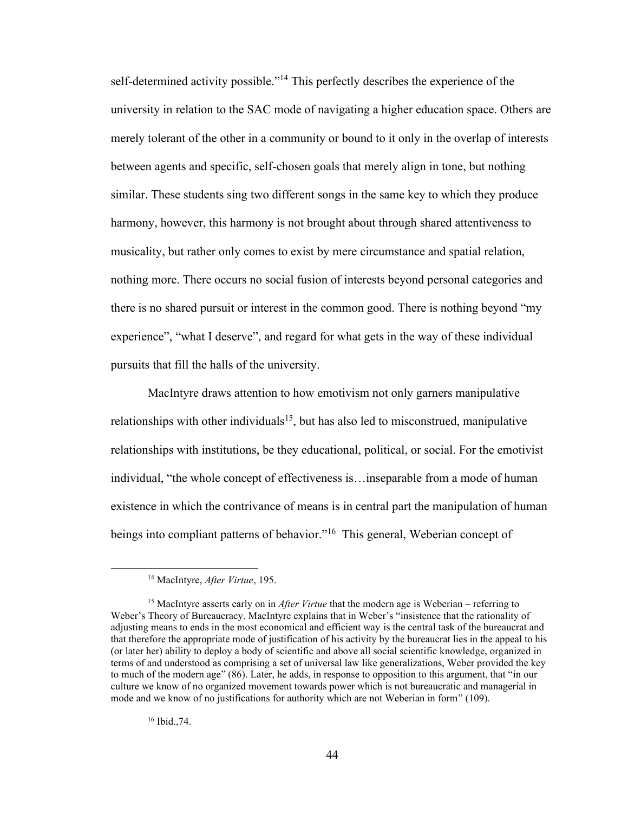self-determined activity possible."<sup>14</sup> This perfectly describes the experience of the university in relation to the SAC mode of navigating a higher education space. Others are merely tolerant of the other in a community or bound to it only in the overlap of interests between agents and specific, self-chosen goals that merely align in tone, but nothing similar. These students sing two different songs in the same key to which they produce harmony, however, this harmony is not brought about through shared attentiveness to musicality, but rather only comes to exist by mere circumstance and spatial relation, nothing more. There occurs no social fusion of interests beyond personal categories and there is no shared pursuit or interest in the common good. There is nothing beyond "my experience", "what I deserve", and regard for what gets in the way of these individual pursuits that fill the halls of the university.

MacIntyre draws attention to how emotivism not only garners manipulative relationships with other individuals<sup>15</sup>, but has also led to misconstrued, manipulative relationships with institutions, be they educational, political, or social. For the emotivist individual, "the whole concept of effectiveness is…inseparable from a mode of human existence in which the contrivance of means is in central part the manipulation of human beings into compliant patterns of behavior."<sup>16</sup> This general, Weberian concept of

<sup>16</sup> Ibid.,74.

<sup>14</sup> MacIntyre, *After Virtue*, 195.

<sup>&</sup>lt;sup>15</sup> MacIntyre asserts early on in *After Virtue* that the modern age is Weberian – referring to Weber's Theory of Bureaucracy. MacIntyre explains that in Weber's "insistence that the rationality of adjusting means to ends in the most economical and efficient way is the central task of the bureaucrat and that therefore the appropriate mode of justification of his activity by the bureaucrat lies in the appeal to his (or later her) ability to deploy a body of scientific and above all social scientific knowledge, organized in terms of and understood as comprising a set of universal law like generalizations, Weber provided the key to much of the modern age" (86). Later, he adds, in response to opposition to this argument, that "in our culture we know of no organized movement towards power which is not bureaucratic and managerial in mode and we know of no justifications for authority which are not Weberian in form" (109).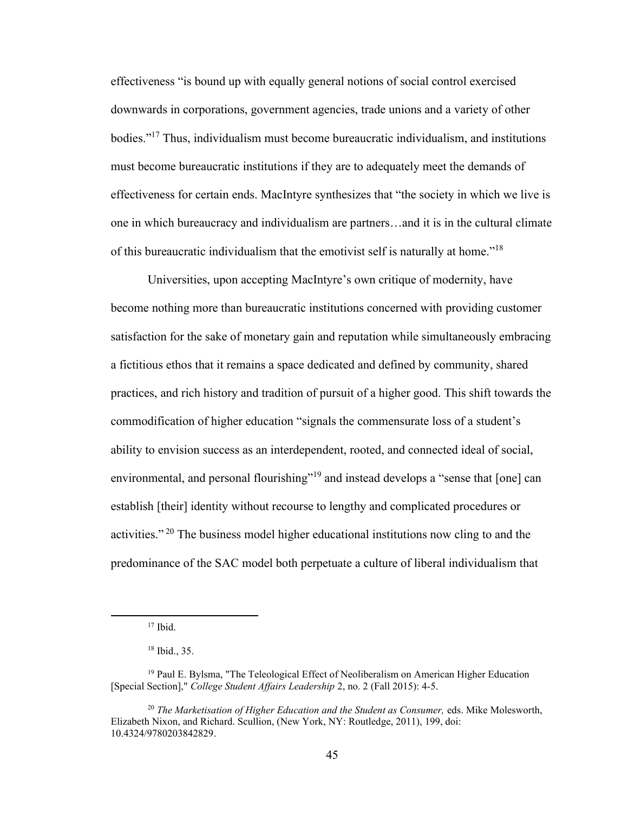effectiveness "is bound up with equally general notions of social control exercised downwards in corporations, government agencies, trade unions and a variety of other bodies." <sup>17</sup> Thus, individualism must become bureaucratic individualism, and institutions must become bureaucratic institutions if they are to adequately meet the demands of effectiveness for certain ends. MacIntyre synthesizes that "the society in which we live is one in which bureaucracy and individualism are partners…and it is in the cultural climate of this bureaucratic individualism that the emotivist self is naturally at home."<sup>18</sup>

Universities, upon accepting MacIntyre's own critique of modernity, have become nothing more than bureaucratic institutions concerned with providing customer satisfaction for the sake of monetary gain and reputation while simultaneously embracing a fictitious ethos that it remains a space dedicated and defined by community, shared practices, and rich history and tradition of pursuit of a higher good. This shift towards the commodification of higher education "signals the commensurate loss of a student's ability to envision success as an interdependent, rooted, and connected ideal of social, environmental, and personal flourishing"<sup>19</sup> and instead develops a "sense that [one] can establish [their] identity without recourse to lengthy and complicated procedures or activities."<sup>20</sup> The business model higher educational institutions now cling to and the predominance of the SAC model both perpetuate a culture of liberal individualism that

 $17$  Ibid.

<sup>18</sup> Ibid., 35.

<sup>&</sup>lt;sup>19</sup> Paul E. Bylsma, "The Teleological Effect of Neoliberalism on American Higher Education [Special Section]," *College Student Affairs Leadership* 2, no. 2 (Fall 2015): 4-5.

<sup>20</sup> *The Marketisation of Higher Education and the Student as Consumer,* eds. Mike Molesworth, Elizabeth Nixon, and Richard. Scullion, (New York, NY: Routledge, 2011), 199, doi: 10.4324/9780203842829.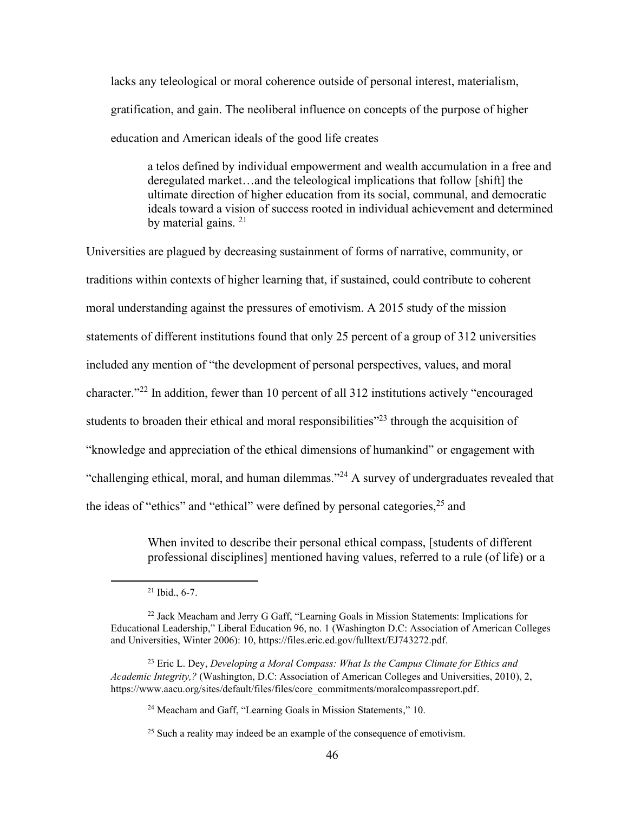lacks any teleological or moral coherence outside of personal interest, materialism, gratification, and gain. The neoliberal influence on concepts of the purpose of higher education and American ideals of the good life creates

a telos defined by individual empowerment and wealth accumulation in a free and deregulated market…and the teleological implications that follow [shift] the ultimate direction of higher education from its social, communal, and democratic ideals toward a vision of success rooted in individual achievement and determined by material gains. <sup>21</sup>

Universities are plagued by decreasing sustainment of forms of narrative, community, or traditions within contexts of higher learning that, if sustained, could contribute to coherent moral understanding against the pressures of emotivism. A 2015 study of the mission statements of different institutions found that only 25 percent of a group of 312 universities included any mention of "the development of personal perspectives, values, and moral character."<sup>22</sup> In addition, fewer than 10 percent of all 312 institutions actively "encouraged students to broaden their ethical and moral responsibilities"<sup>23</sup> through the acquisition of "knowledge and appreciation of the ethical dimensions of humankind" or engagement with "challenging ethical, moral, and human dilemmas."<sup>24</sup> A survey of undergraduates revealed that the ideas of "ethics" and "ethical" were defined by personal categories,<sup>25</sup> and

> When invited to describe their personal ethical compass, [students of different professional disciplines] mentioned having values, referred to a rule (of life) or a

 $21$  Ibid., 6-7.

<sup>22</sup> Jack Meacham and Jerry G Gaff, "Learning Goals in Mission Statements: Implications for Educational Leadership," Liberal Education 96, no. 1 (Washington D.C: Association of American Colleges and Universities, Winter 2006): 10, [https://files.eric.ed.gov/fulltext/EJ743272.pdf.](https://files.eric.ed.gov/fulltext/EJ743272.pdf)

<sup>23</sup> Eric L. Dey, *Developing a Moral Compass: What Is the Campus Climate for Ethics and Academic Integrity,?* (Washington, D.C: Association of American Colleges and Universities, 2010), 2, [https://www.aacu.org/sites/default/files/files/core\\_commitments/moralcompassreport.pdf.](https://www.aacu.org/sites/default/files/files/core_commitments/moralcompassreport.pdf)

<sup>24</sup> Meacham and Gaff, "Learning Goals in Mission Statements," 10.

<sup>&</sup>lt;sup>25</sup> Such a reality may indeed be an example of the consequence of emotivism.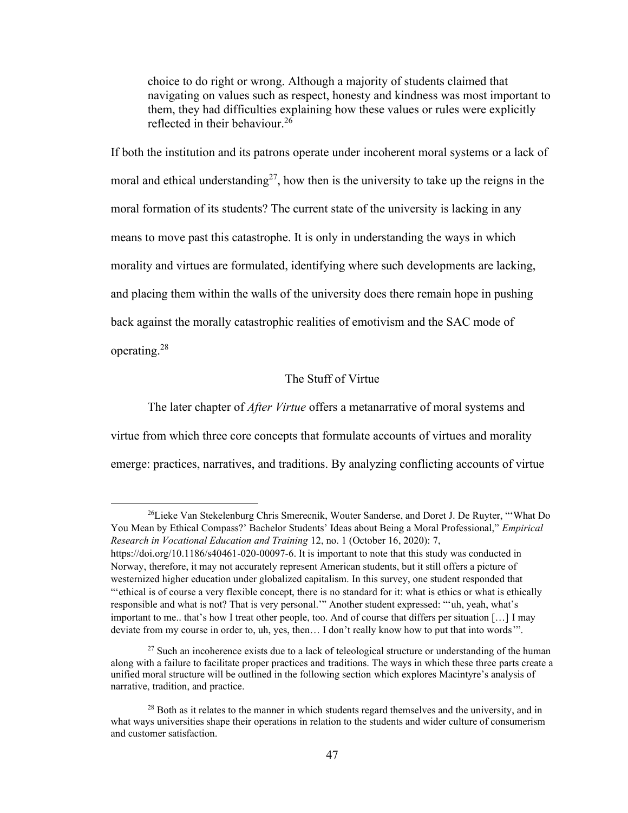choice to do right or wrong. Although a majority of students claimed that navigating on values such as respect, honesty and kindness was most important to them, they had difficulties explaining how these values or rules were explicitly reflected in their behaviour. 26

If both the institution and its patrons operate under incoherent moral systems or a lack of moral and ethical understanding<sup>27</sup>, how then is the university to take up the reigns in the moral formation of its students? The current state of the university is lacking in any means to move past this catastrophe. It is only in understanding the ways in which morality and virtues are formulated, identifying where such developments are lacking, and placing them within the walls of the university does there remain hope in pushing back against the morally catastrophic realities of emotivism and the SAC mode of operating. 28

# The Stuff of Virtue

The later chapter of *After Virtue* offers a metanarrative of moral systems and virtue from which three core concepts that formulate accounts of virtues and morality emerge: practices, narratives, and traditions. By analyzing conflicting accounts of virtue

<sup>26</sup>Lieke Van Stekelenburg Chris Smerecnik, Wouter Sanderse, and Doret J. De Ruyter, "'What Do You Mean by Ethical Compass?' Bachelor Students' Ideas about Being a Moral Professional," *Empirical Research in Vocational Education and Training* 12, no. 1 (October 16, 2020): 7, [https://doi.org/10.1186/s40461-020-00097-6.](https://doi.org/10.1186/s40461-020-00097-6) It is important to note that this study was conducted in Norway, therefore, it may not accurately represent American students, but it still offers a picture of westernized higher education under globalized capitalism. In this survey, one student responded that "'ethical is of course a very flexible concept, there is no standard for it: what is ethics or what is ethically responsible and what is not? That is very personal.'" Another student expressed: "'uh, yeah, what's important to me.. that's how I treat other people, too. And of course that differs per situation […] I may deviate from my course in order to, uh, yes, then… I don't really know how to put that into words'".

 $27$  Such an incoherence exists due to a lack of teleological structure or understanding of the human along with a failure to facilitate proper practices and traditions. The ways in which these three parts create a unified moral structure will be outlined in the following section which explores Macintyre's analysis of narrative, tradition, and practice.

<sup>&</sup>lt;sup>28</sup> Both as it relates to the manner in which students regard themselves and the university, and in what ways universities shape their operations in relation to the students and wider culture of consumerism and customer satisfaction.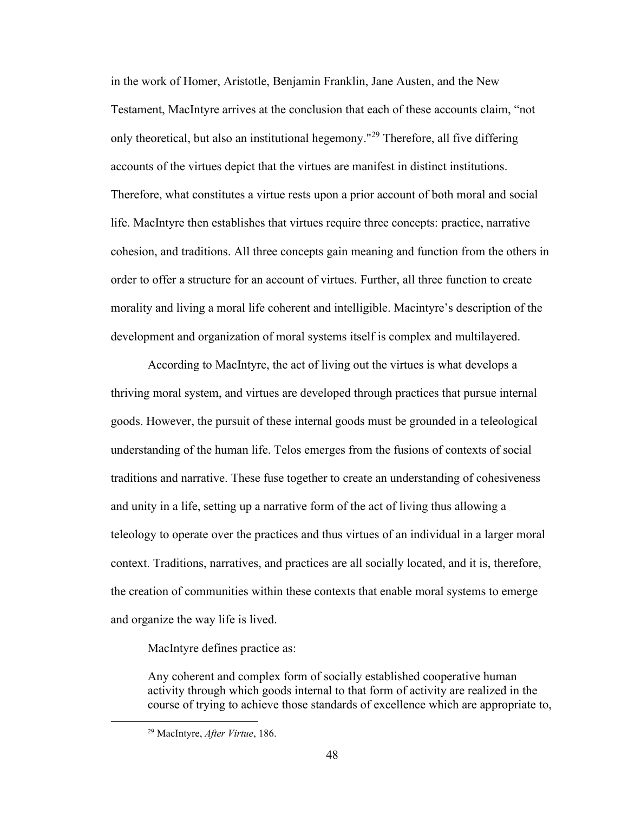in the work of Homer, Aristotle, Benjamin Franklin, Jane Austen, and the New Testament, MacIntyre arrives at the conclusion that each of these accounts claim, "not only theoretical, but also an institutional hegemony."<sup>29</sup> Therefore, all five differing accounts of the virtues depict that the virtues are manifest in distinct institutions. Therefore, what constitutes a virtue rests upon a prior account of both moral and social life. MacIntyre then establishes that virtues require three concepts: practice, narrative cohesion, and traditions. All three concepts gain meaning and function from the others in order to offer a structure for an account of virtues. Further, all three function to create morality and living a moral life coherent and intelligible. Macintyre's description of the development and organization of moral systems itself is complex and multilayered.

According to MacIntyre, the act of living out the virtues is what develops a thriving moral system, and virtues are developed through practices that pursue internal goods. However, the pursuit of these internal goods must be grounded in a teleological understanding of the human life. Telos emerges from the fusions of contexts of social traditions and narrative. These fuse together to create an understanding of cohesiveness and unity in a life, setting up a narrative form of the act of living thus allowing a teleology to operate over the practices and thus virtues of an individual in a larger moral context. Traditions, narratives, and practices are all socially located, and it is, therefore, the creation of communities within these contexts that enable moral systems to emerge and organize the way life is lived.

MacIntyre defines practice as:

Any coherent and complex form of socially established cooperative human activity through which goods internal to that form of activity are realized in the course of trying to achieve those standards of excellence which are appropriate to,

<sup>29</sup> MacIntyre, *After Virtue*, 186.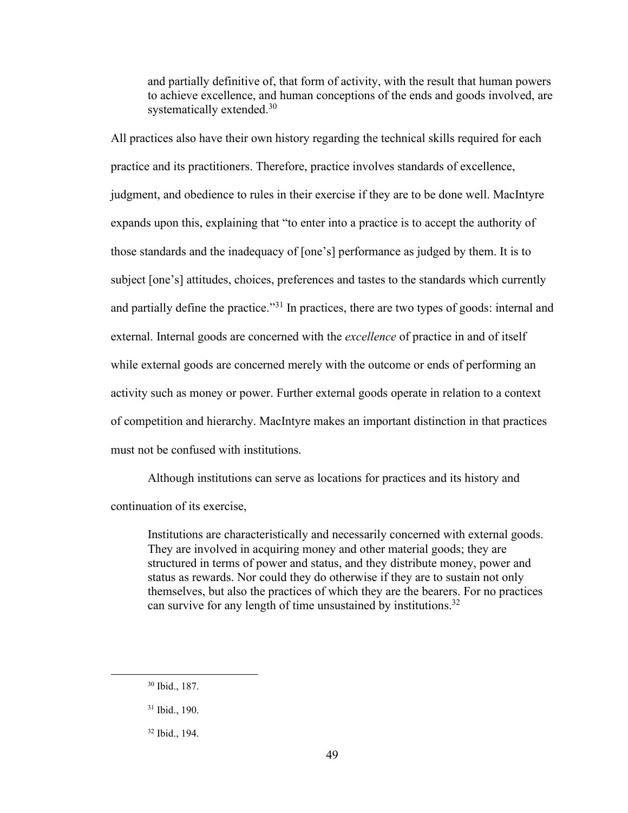and partially definitive of, that form of activity, with the result that human powers to achieve excellence, and human conceptions of the ends and goods involved, are systematically extended.<sup>30</sup>

All practices also have their own history regarding the technical skills required for each practice and its practitioners. Therefore, practice involves standards of excellence, judgment, and obedience to rules in their exercise if they are to be done well. MacIntyre expands upon this, explaining that "to enter into a practice is to accept the authority of those standards and the inadequacy of [one's] performance as judged by them. It is to subject [one's] attitudes, choices, preferences and tastes to the standards which currently and partially define the practice."<sup>31</sup> In practices, there are two types of goods: internal and external. Internal goods are concerned with the *excellence* of practice in and of itself while external goods are concerned merely with the outcome or ends of performing an activity such as money or power. Further external goods operate in relation to a context of competition and hierarchy. MacIntyre makes an important distinction in that practices must not be confused with institutions.

Although institutions can serve as locations for practices and its history and continuation of its exercise,

Institutions are characteristically and necessarily concerned with external goods. They are involved in acquiring money and other material goods; they are structured in terms of power and status, and they distribute money, power and status as rewards. Nor could they do otherwise if they are to sustain not only themselves, but also the practices of which they are the bearers. For no practices can survive for any length of time unsustained by institutions.<sup>32</sup>

<sup>30</sup> Ibid., 187.

<sup>31</sup> Ibid., 190.

<sup>32</sup> Ibid., 194.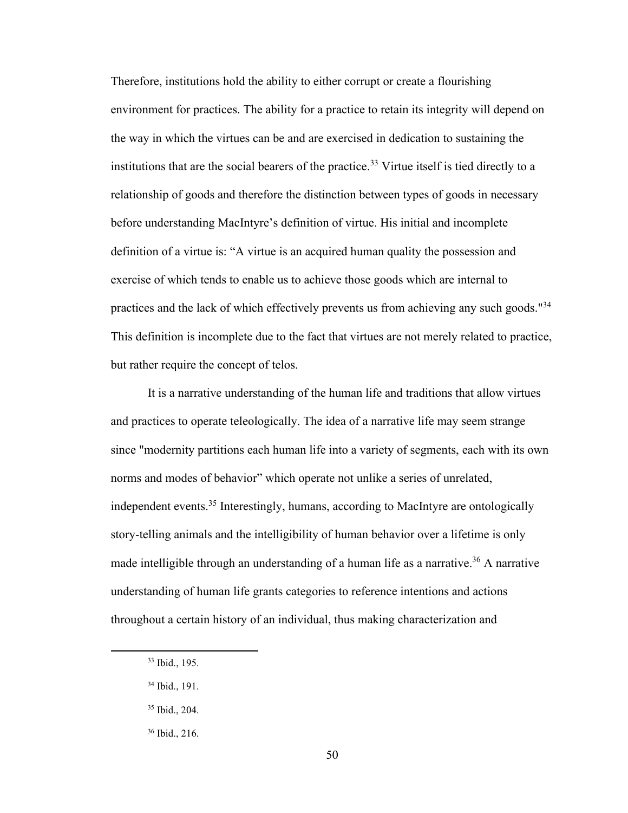Therefore, institutions hold the ability to either corrupt or create a flourishing environment for practices. The ability for a practice to retain its integrity will depend on the way in which the virtues can be and are exercised in dedication to sustaining the institutions that are the social bearers of the practice. <sup>33</sup> Virtue itself is tied directly to a relationship of goods and therefore the distinction between types of goods in necessary before understanding MacIntyre's definition of virtue. His initial and incomplete definition of a virtue is: "A virtue is an acquired human quality the possession and exercise of which tends to enable us to achieve those goods which are internal to practices and the lack of which effectively prevents us from achieving any such goods."<sup>34</sup> This definition is incomplete due to the fact that virtues are not merely related to practice, but rather require the concept of telos.

It is a narrative understanding of the human life and traditions that allow virtues and practices to operate teleologically. The idea of a narrative life may seem strange since "modernity partitions each human life into a variety of segments, each with its own norms and modes of behavior" which operate not unlike a series of unrelated, independent events. <sup>35</sup> Interestingly, humans, according to MacIntyre are ontologically story-telling animals and the intelligibility of human behavior over a lifetime is only made intelligible through an understanding of a human life as a narrative. <sup>36</sup> A narrative understanding of human life grants categories to reference intentions and actions throughout a certain history of an individual, thus making characterization and

<sup>33</sup> Ibid., 195.

<sup>34</sup> Ibid., 191.

<sup>35</sup> Ibid., 204.

<sup>36</sup> Ibid., 216.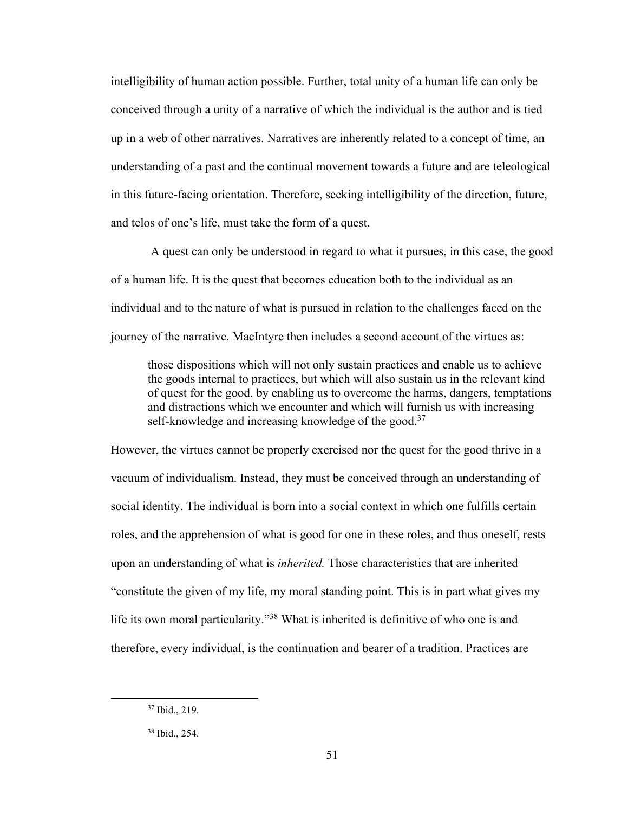intelligibility of human action possible. Further, total unity of a human life can only be conceived through a unity of a narrative of which the individual is the author and is tied up in a web of other narratives. Narratives are inherently related to a concept of time, an understanding of a past and the continual movement towards a future and are teleological in this future-facing orientation. Therefore, seeking intelligibility of the direction, future, and telos of one's life, must take the form of a quest.

A quest can only be understood in regard to what it pursues, in this case, the good of a human life. It is the quest that becomes education both to the individual as an individual and to the nature of what is pursued in relation to the challenges faced on the journey of the narrative. MacIntyre then includes a second account of the virtues as:

those dispositions which will not only sustain practices and enable us to achieve the goods internal to practices, but which will also sustain us in the relevant kind of quest for the good. by enabling us to overcome the harms, dangers, temptations and distractions which we encounter and which will furnish us with increasing self-knowledge and increasing knowledge of the good.<sup>37</sup>

However, the virtues cannot be properly exercised nor the quest for the good thrive in a vacuum of individualism. Instead, they must be conceived through an understanding of social identity. The individual is born into a social context in which one fulfills certain roles, and the apprehension of what is good for one in these roles, and thus oneself, rests upon an understanding of what is *inherited.* Those characteristics that are inherited "constitute the given of my life, my moral standing point. This is in part what gives my life its own moral particularity."<sup>38</sup> What is inherited is definitive of who one is and therefore, every individual, is the continuation and bearer of a tradition. Practices are

<sup>37</sup> Ibid., 219.

<sup>38</sup> Ibid., 254.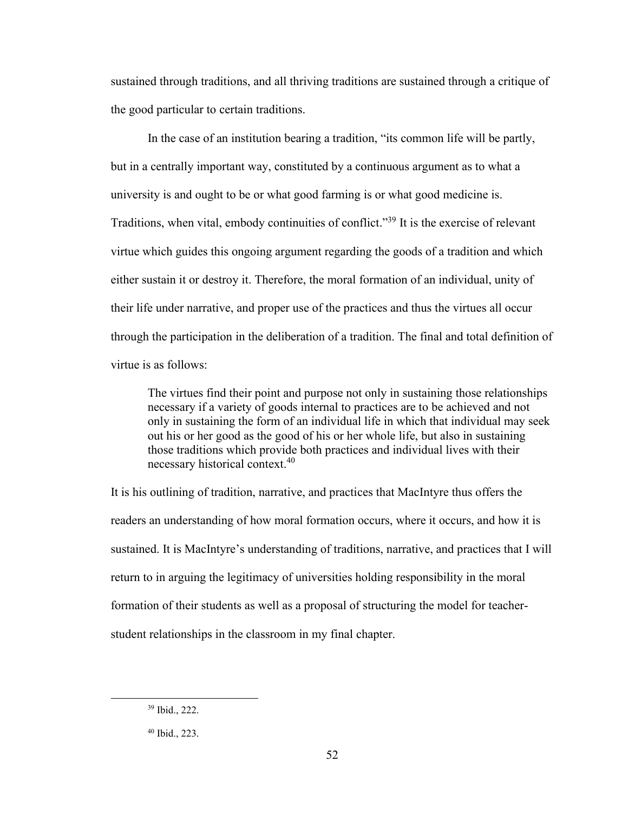sustained through traditions, and all thriving traditions are sustained through a critique of the good particular to certain traditions.

In the case of an institution bearing a tradition, "its common life will be partly, but in a centrally important way, constituted by a continuous argument as to what a university is and ought to be or what good farming is or what good medicine is. Traditions, when vital, embody continuities of conflict." <sup>39</sup> It is the exercise of relevant virtue which guides this ongoing argument regarding the goods of a tradition and which either sustain it or destroy it. Therefore, the moral formation of an individual, unity of their life under narrative, and proper use of the practices and thus the virtues all occur through the participation in the deliberation of a tradition. The final and total definition of virtue is as follows:

The virtues find their point and purpose not only in sustaining those relationships necessary if a variety of goods internal to practices are to be achieved and not only in sustaining the form of an individual life in which that individual may seek out his or her good as the good of his or her whole life, but also in sustaining those traditions which provide both practices and individual lives with their necessary historical context.<sup>40</sup>

It is his outlining of tradition, narrative, and practices that MacIntyre thus offers the readers an understanding of how moral formation occurs, where it occurs, and how it is sustained. It is MacIntyre's understanding of traditions, narrative, and practices that I will return to in arguing the legitimacy of universities holding responsibility in the moral formation of their students as well as a proposal of structuring the model for teacherstudent relationships in the classroom in my final chapter.

<sup>39</sup> Ibid., 222.

<sup>40</sup> Ibid., 223.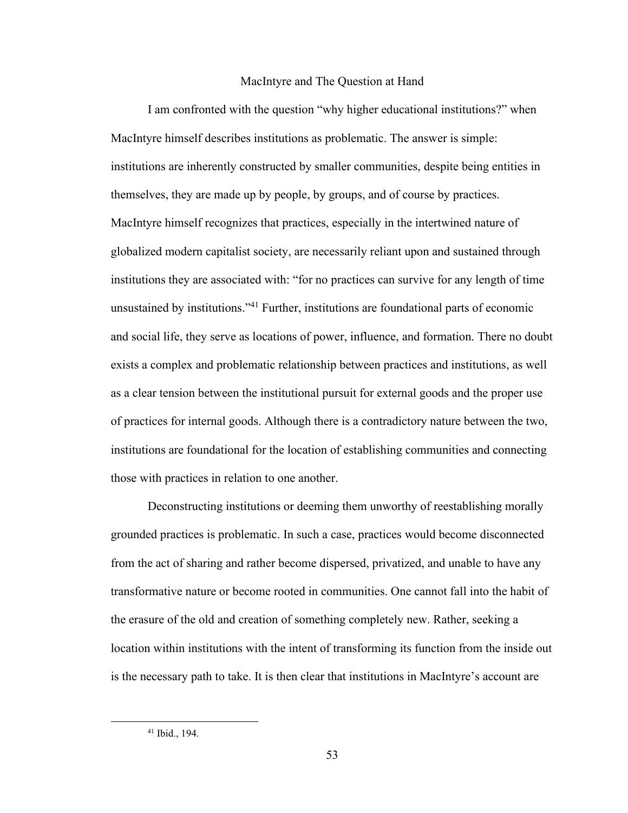#### MacIntyre and The Question at Hand

I am confronted with the question "why higher educational institutions?" when MacIntyre himself describes institutions as problematic. The answer is simple: institutions are inherently constructed by smaller communities, despite being entities in themselves, they are made up by people, by groups, and of course by practices. MacIntyre himself recognizes that practices, especially in the intertwined nature of globalized modern capitalist society, are necessarily reliant upon and sustained through institutions they are associated with: "for no practices can survive for any length of time unsustained by institutions."<sup>41</sup> Further, institutions are foundational parts of economic and social life, they serve as locations of power, influence, and formation. There no doubt exists a complex and problematic relationship between practices and institutions, as well as a clear tension between the institutional pursuit for external goods and the proper use of practices for internal goods. Although there is a contradictory nature between the two, institutions are foundational for the location of establishing communities and connecting those with practices in relation to one another.

Deconstructing institutions or deeming them unworthy of reestablishing morally grounded practices is problematic. In such a case, practices would become disconnected from the act of sharing and rather become dispersed, privatized, and unable to have any transformative nature or become rooted in communities. One cannot fall into the habit of the erasure of the old and creation of something completely new. Rather, seeking a location within institutions with the intent of transforming its function from the inside out is the necessary path to take. It is then clear that institutions in MacIntyre's account are

<sup>41</sup> Ibid., 194.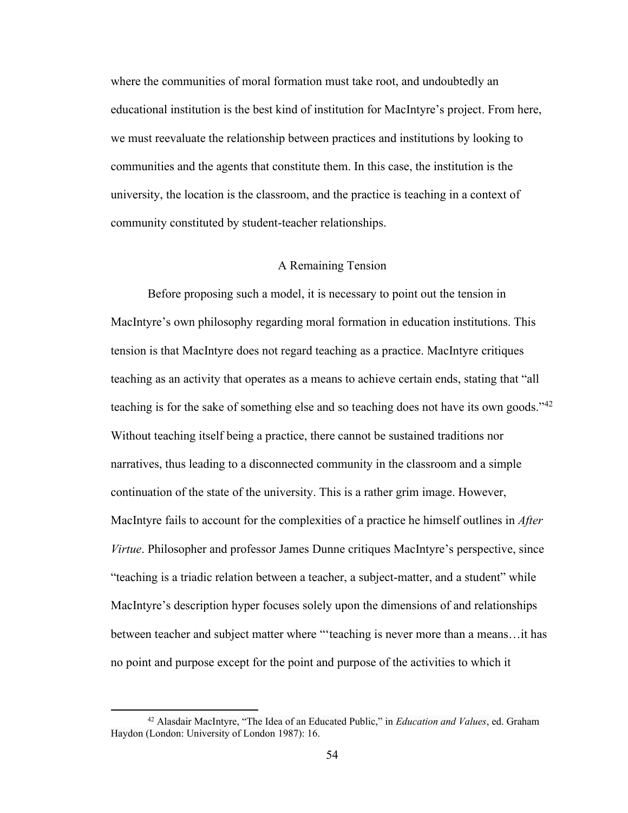where the communities of moral formation must take root, and undoubtedly an educational institution is the best kind of institution for MacIntyre's project. From here, we must reevaluate the relationship between practices and institutions by looking to communities and the agents that constitute them. In this case, the institution is the university, the location is the classroom, and the practice is teaching in a context of community constituted by student-teacher relationships.

# A Remaining Tension

Before proposing such a model, it is necessary to point out the tension in MacIntyre's own philosophy regarding moral formation in education institutions. This tension is that MacIntyre does not regard teaching as a practice. MacIntyre critiques teaching as an activity that operates as a means to achieve certain ends, stating that "all teaching is for the sake of something else and so teaching does not have its own goods." $42$ Without teaching itself being a practice, there cannot be sustained traditions nor narratives, thus leading to a disconnected community in the classroom and a simple continuation of the state of the university. This is a rather grim image. However, MacIntyre fails to account for the complexities of a practice he himself outlines in *After Virtue*. Philosopher and professor James Dunne critiques MacIntyre's perspective, since "teaching is a triadic relation between a teacher, a subject-matter, and a student" while MacIntyre's description hyper focuses solely upon the dimensions of and relationships between teacher and subject matter where "'teaching is never more than a means…it has no point and purpose except for the point and purpose of the activities to which it

<sup>42</sup> Alasdair MacIntyre, "The Idea of an Educated Public," in *Education and Values*, ed. Graham Haydon (London: University of London 1987): 16.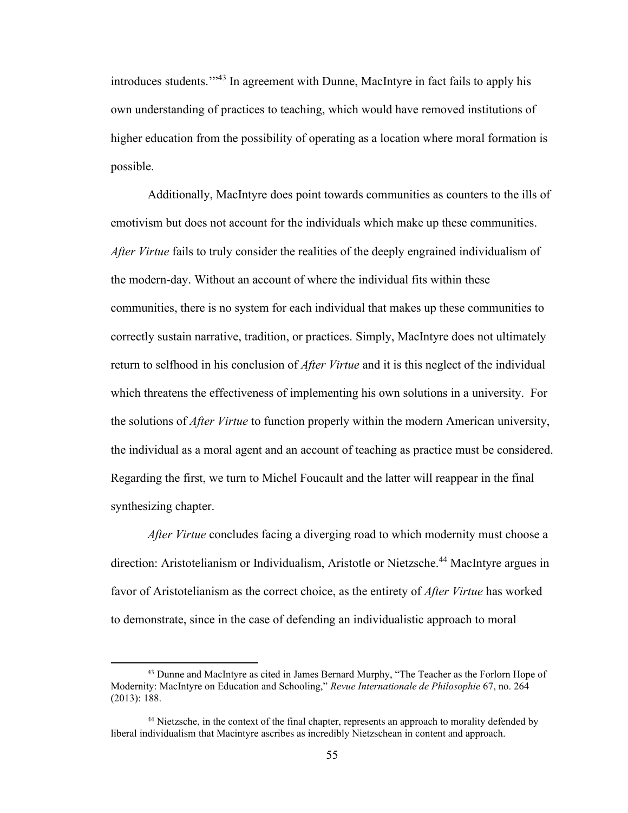introduces students.'" <sup>43</sup> In agreement with Dunne, MacIntyre in fact fails to apply his own understanding of practices to teaching, which would have removed institutions of higher education from the possibility of operating as a location where moral formation is possible.

Additionally, MacIntyre does point towards communities as counters to the ills of emotivism but does not account for the individuals which make up these communities. *After Virtue* fails to truly consider the realities of the deeply engrained individualism of the modern-day. Without an account of where the individual fits within these communities, there is no system for each individual that makes up these communities to correctly sustain narrative, tradition, or practices. Simply, MacIntyre does not ultimately return to selfhood in his conclusion of *After Virtue* and it is this neglect of the individual which threatens the effectiveness of implementing his own solutions in a university. For the solutions of *After Virtue* to function properly within the modern American university, the individual as a moral agent and an account of teaching as practice must be considered. Regarding the first, we turn to Michel Foucault and the latter will reappear in the final synthesizing chapter.

*After Virtue* concludes facing a diverging road to which modernity must choose a direction: Aristotelianism or Individualism, Aristotle or Nietzsche. <sup>44</sup> MacIntyre argues in favor of Aristotelianism as the correct choice, as the entirety of *After Virtue* has worked to demonstrate, since in the case of defending an individualistic approach to moral

<sup>&</sup>lt;sup>43</sup> Dunne and MacIntyre as cited in James Bernard Murphy, "The Teacher as the Forlorn Hope of Modernity: MacIntyre on Education and Schooling," *Revue Internationale de Philosophie* 67, no. 264 (2013): 188.

<sup>&</sup>lt;sup>44</sup> Nietzsche, in the context of the final chapter, represents an approach to morality defended by liberal individualism that Macintyre ascribes as incredibly Nietzschean in content and approach.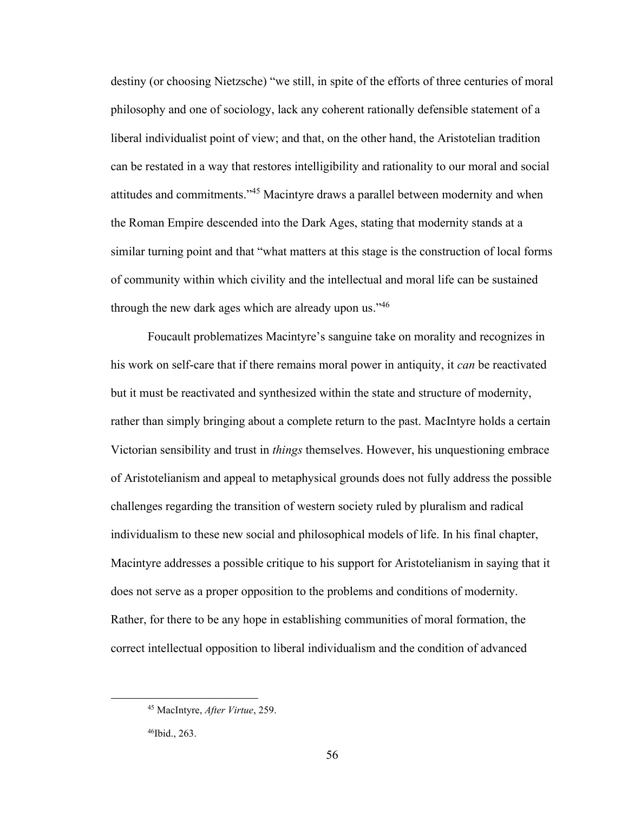destiny (or choosing Nietzsche) "we still, in spite of the efforts of three centuries of moral philosophy and one of sociology, lack any coherent rationally defensible statement of a liberal individualist point of view; and that, on the other hand, the Aristotelian tradition can be restated in a way that restores intelligibility and rationality to our moral and social attitudes and commitments."<sup>45</sup> Macintyre draws a parallel between modernity and when the Roman Empire descended into the Dark Ages, stating that modernity stands at a similar turning point and that "what matters at this stage is the construction of local forms of community within which civility and the intellectual and moral life can be sustained through the new dark ages which are already upon us."<sup>46</sup>

Foucault problematizes Macintyre's sanguine take on morality and recognizes in his work on self-care that if there remains moral power in antiquity, it *can* be reactivated but it must be reactivated and synthesized within the state and structure of modernity, rather than simply bringing about a complete return to the past. MacIntyre holds a certain Victorian sensibility and trust in *things* themselves. However, his unquestioning embrace of Aristotelianism and appeal to metaphysical grounds does not fully address the possible challenges regarding the transition of western society ruled by pluralism and radical individualism to these new social and philosophical models of life. In his final chapter, Macintyre addresses a possible critique to his support for Aristotelianism in saying that it does not serve as a proper opposition to the problems and conditions of modernity. Rather, for there to be any hope in establishing communities of moral formation, the correct intellectual opposition to liberal individualism and the condition of advanced

<sup>45</sup> MacIntyre, *After Virtue*, 259.

<sup>46</sup>Ibid., 263.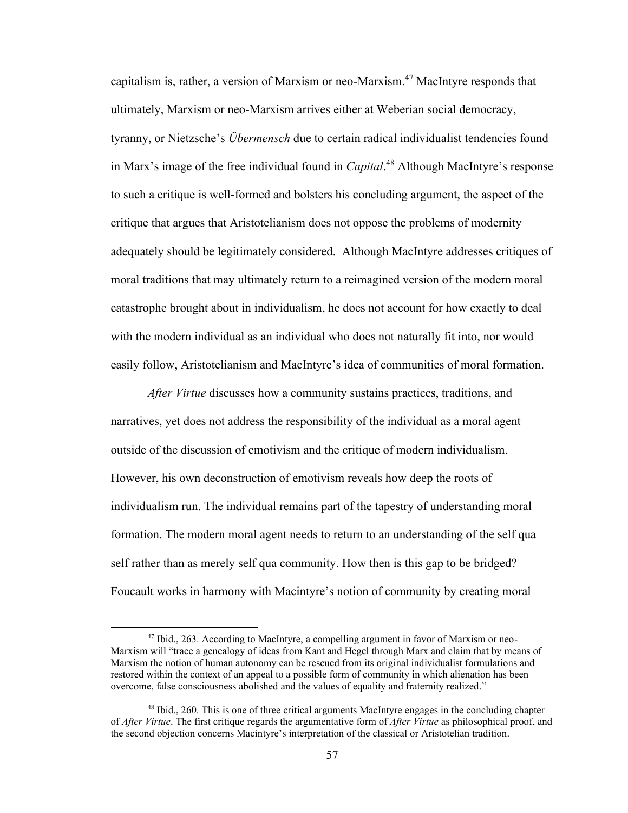capitalism is, rather, a version of Marxism or neo-Marxism. <sup>47</sup> MacIntyre responds that ultimately, Marxism or neo-Marxism arrives either at Weberian social democracy, tyranny, or Nietzsche's *Übermensch* due to certain radical individualist tendencies found in Marx's image of the free individual found in *Capital*. <sup>48</sup> Although MacIntyre's response to such a critique is well-formed and bolsters his concluding argument, the aspect of the critique that argues that Aristotelianism does not oppose the problems of modernity adequately should be legitimately considered. Although MacIntyre addresses critiques of moral traditions that may ultimately return to a reimagined version of the modern moral catastrophe brought about in individualism, he does not account for how exactly to deal with the modern individual as an individual who does not naturally fit into, nor would easily follow, Aristotelianism and MacIntyre's idea of communities of moral formation.

*After Virtue* discusses how a community sustains practices, traditions, and narratives, yet does not address the responsibility of the individual as a moral agent outside of the discussion of emotivism and the critique of modern individualism. However, his own deconstruction of emotivism reveals how deep the roots of individualism run. The individual remains part of the tapestry of understanding moral formation. The modern moral agent needs to return to an understanding of the self qua self rather than as merely self qua community. How then is this gap to be bridged? Foucault works in harmony with Macintyre's notion of community by creating moral

<sup>&</sup>lt;sup>47</sup> Ibid., 263. According to MacIntyre, a compelling argument in favor of Marxism or neo-Marxism will "trace a genealogy of ideas from Kant and Hegel through Marx and claim that by means of Marxism the notion of human autonomy can be rescued from its original individualist formulations and restored within the context of an appeal to a possible form of community in which alienation has been overcome, false consciousness abolished and the values of equality and fraternity realized."

<sup>48</sup> Ibid., 260. This is one of three critical arguments MacIntyre engages in the concluding chapter of *After Virtue*. The first critique regards the argumentative form of *After Virtue* as philosophical proof, and the second objection concerns Macintyre's interpretation of the classical or Aristotelian tradition.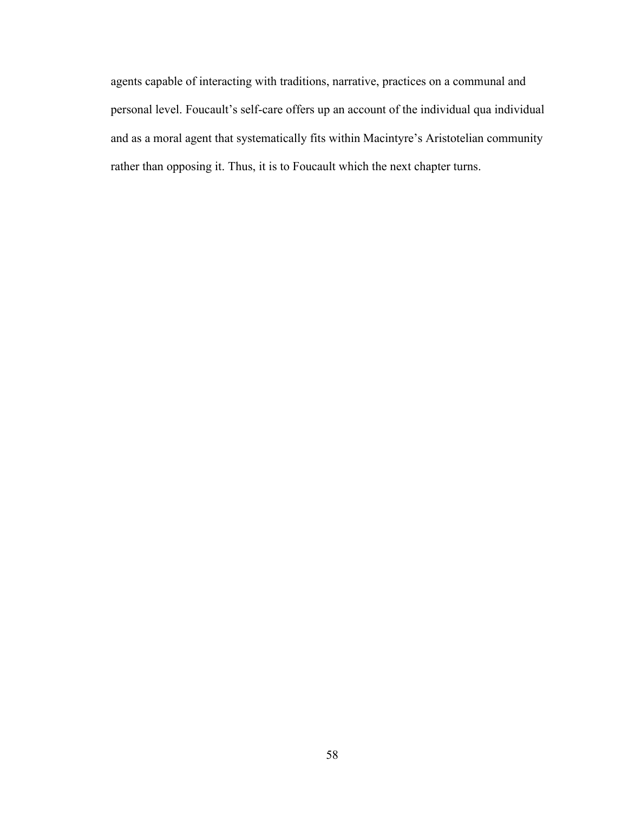agents capable of interacting with traditions, narrative, practices on a communal and personal level. Foucault's self-care offers up an account of the individual qua individual and as a moral agent that systematically fits within Macintyre's Aristotelian community rather than opposing it. Thus, it is to Foucault which the next chapter turns.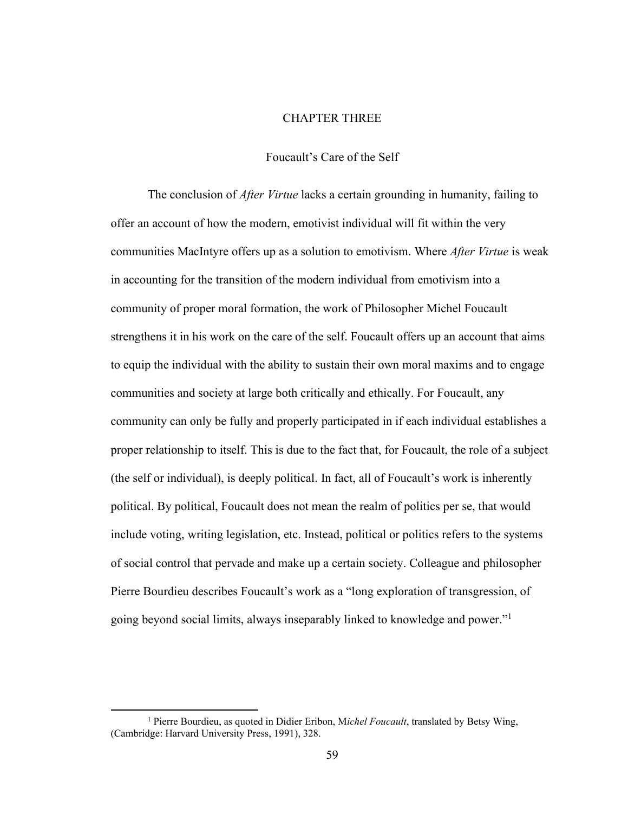# CHAPTER THREE

### Foucault's Care of the Self

The conclusion of *After Virtue* lacks a certain grounding in humanity, failing to offer an account of how the modern, emotivist individual will fit within the very communities MacIntyre offers up as a solution to emotivism. Where *After Virtue* is weak in accounting for the transition of the modern individual from emotivism into a community of proper moral formation, the work of Philosopher Michel Foucault strengthens it in his work on the care of the self. Foucault offers up an account that aims to equip the individual with the ability to sustain their own moral maxims and to engage communities and society at large both critically and ethically. For Foucault, any community can only be fully and properly participated in if each individual establishes a proper relationship to itself. This is due to the fact that, for Foucault, the role of a subject (the self or individual), is deeply political. In fact, all of Foucault's work is inherently political. By political, Foucault does not mean the realm of politics per se, that would include voting, writing legislation, etc. Instead, political or politics refers to the systems of social control that pervade and make up a certain society. Colleague and philosopher Pierre Bourdieu describes Foucault's work as a "long exploration of transgression, of going beyond social limits, always inseparably linked to knowledge and power."<sup>1</sup>

<sup>&</sup>lt;sup>1</sup> Pierre Bourdieu, as quoted in Didier Eribon, Michel Foucault, translated by Betsy Wing, (Cambridge: Harvard University Press, 1991), 328.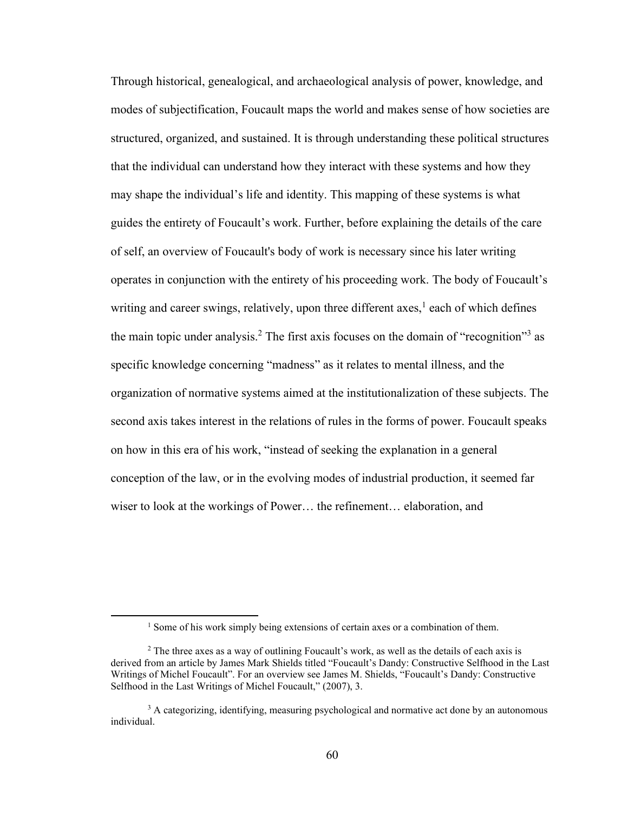Through historical, genealogical, and archaeological analysis of power, knowledge, and modes of subjectification, Foucault maps the world and makes sense of how societies are structured, organized, and sustained. It is through understanding these political structures that the individual can understand how they interact with these systems and how they may shape the individual's life and identity. This mapping of these systems is what guides the entirety of Foucault's work. Further, before explaining the details of the care of self, an overview of Foucault's body of work is necessary since his later writing operates in conjunction with the entirety of his proceeding work. The body of Foucault's writing and career swings, relatively, upon three different axes,<sup>1</sup> each of which defines the main topic under analysis.<sup>2</sup> The first axis focuses on the domain of "recognition"<sup>3</sup> as specific knowledge concerning "madness" as it relates to mental illness, and the organization of normative systems aimed at the institutionalization of these subjects. The second axis takes interest in the relations of rules in the forms of power. Foucault speaks on how in this era of his work, "instead of seeking the explanation in a general conception of the law, or in the evolving modes of industrial production, it seemed far wiser to look at the workings of Power… the refinement… elaboration, and

<sup>&</sup>lt;sup>1</sup> Some of his work simply being extensions of certain axes or a combination of them.

 $2^2$  The three axes as a way of outlining Foucault's work, as well as the details of each axis is derived from an article by James Mark Shields titled "Foucault's Dandy: Constructive Selfhood in the Last Writings of Michel Foucault". For an overview see James M. Shields, "Foucault's Dandy: Constructive Selfhood in the Last Writings of Michel Foucault," (2007), 3.

<sup>&</sup>lt;sup>3</sup> A categorizing, identifying, measuring psychological and normative act done by an autonomous individual.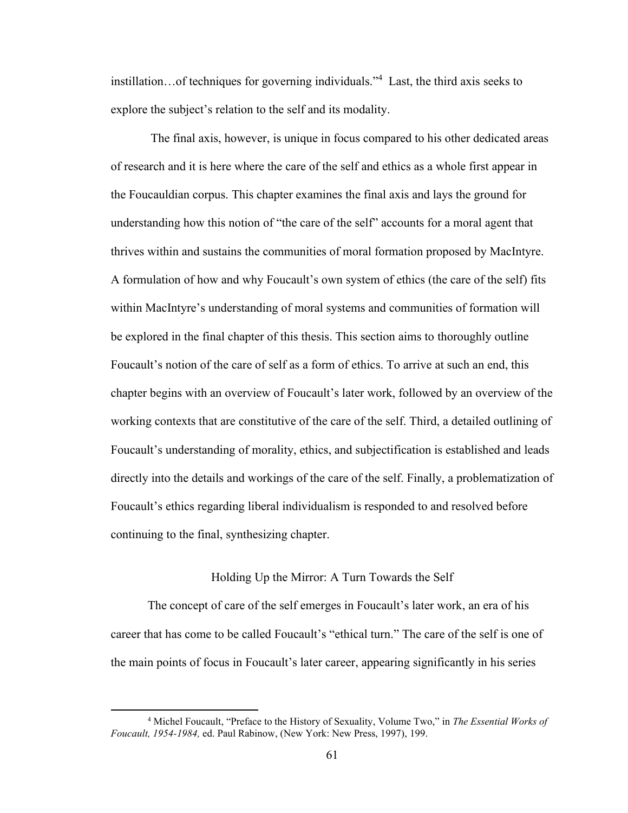instillation…of techniques for governing individuals."<sup>4</sup> Last, the third axis seeks to explore the subject's relation to the self and its modality.

The final axis, however, is unique in focus compared to his other dedicated areas of research and it is here where the care of the self and ethics as a whole first appear in the Foucauldian corpus. This chapter examines the final axis and lays the ground for understanding how this notion of "the care of the self" accounts for a moral agent that thrives within and sustains the communities of moral formation proposed by MacIntyre. A formulation of how and why Foucault's own system of ethics (the care of the self) fits within MacIntyre's understanding of moral systems and communities of formation will be explored in the final chapter of this thesis. This section aims to thoroughly outline Foucault's notion of the care of self as a form of ethics. To arrive at such an end, this chapter begins with an overview of Foucault's later work, followed by an overview of the working contexts that are constitutive of the care of the self. Third, a detailed outlining of Foucault's understanding of morality, ethics, and subjectification is established and leads directly into the details and workings of the care of the self. Finally, a problematization of Foucault's ethics regarding liberal individualism is responded to and resolved before continuing to the final, synthesizing chapter.

### Holding Up the Mirror: A Turn Towards the Self

The concept of care of the self emerges in Foucault's later work, an era of his career that has come to be called Foucault's "ethical turn." The care of the self is one of the main points of focus in Foucault's later career, appearing significantly in his series

<sup>4</sup> Michel Foucault, "Preface to the History of Sexuality, Volume Two," in *The Essential Works of Foucault, 1954-1984,* ed. Paul Rabinow, (New York: New Press, 1997), 199.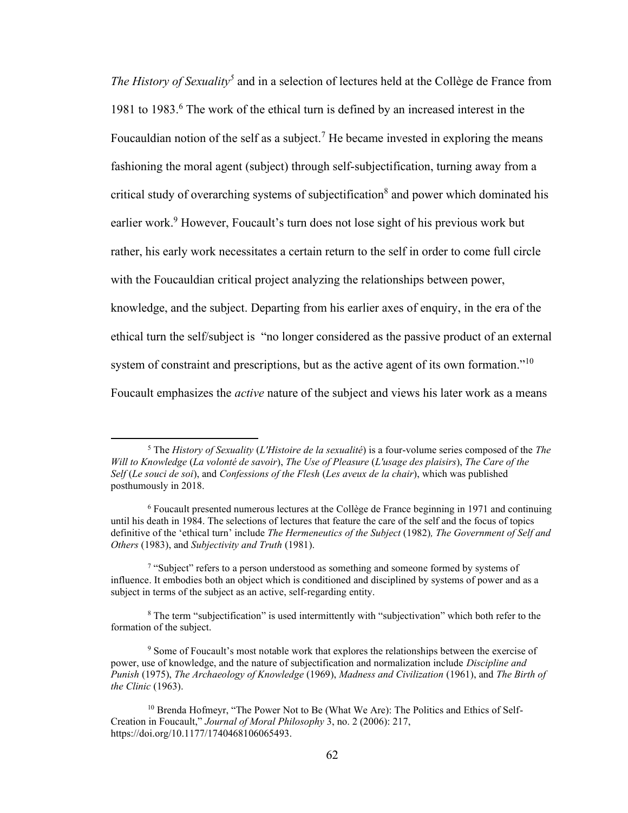The History of Sexuality<sup>5</sup> and in a selection of lectures held at the Collège de France from 1981 to 1983.<sup>6</sup> The work of the ethical turn is defined by an increased interest in the Foucauldian notion of the self as a subject.<sup>7</sup> He became invested in exploring the means fashioning the moral agent (subject) through self-subjectification, turning away from a critical study of overarching systems of subjectification<sup>8</sup> and power which dominated his earlier work.<sup>9</sup> However, Foucault's turn does not lose sight of his previous work but rather, his early work necessitates a certain return to the self in order to come full circle with the Foucauldian critical project analyzing the relationships between power, knowledge, and the subject. Departing from his earlier axes of enquiry, in the era of the ethical turn the self/subject is "no longer considered as the passive product of an external system of constraint and prescriptions, but as the active agent of its own formation."<sup>10</sup> Foucault emphasizes the *active* nature of the subject and views his later work as a means

<sup>5</sup> The *History of Sexuality* (*L'Histoire de la sexualité*) is a four-volume series composed of the *The Will to Knowledge* (*La volonté de savoir*), *The Use of Pleasure* (*L'usage des plaisirs*), *The Care of the Self* (*Le souci de soi*), and *Confessions of the Flesh* (*Les aveux de la chair*), which was published posthumously in 2018.

<sup>6</sup> Foucault presented numerous lectures at the Collège de France beginning in 1971 and continuing until his death in 1984. The selections of lectures that feature the care of the self and the focus of topics definitive of the 'ethical turn' include *The Hermeneutics of the Subject* (1982)*, The Government of Self and Others* (1983), and *Subjectivity and Truth* (1981).

<sup>&</sup>lt;sup>7</sup> "Subject" refers to a person understood as something and someone formed by systems of influence. It embodies both an object which is conditioned and disciplined by systems of power and as a subject in terms of the subject as an active, self-regarding entity.

<sup>8</sup> The term "subjectification" is used intermittently with "subjectivation" which both refer to the formation of the subject.

<sup>9</sup> Some of Foucault's most notable work that explores the relationships between the exercise of power, use of knowledge, and the nature of subjectification and normalization include *Discipline and Punish* (1975), *The Archaeology of Knowledge* (1969), *Madness and Civilization* (1961), and *The Birth of the Clinic* (1963).

<sup>&</sup>lt;sup>10</sup> Brenda Hofmeyr, "The Power Not to Be (What We Are): The Politics and Ethics of Self-Creation in Foucault," *Journal of Moral Philosophy* 3, no. 2 (2006): 217, https://doi.org/10.1177/1740468106065493.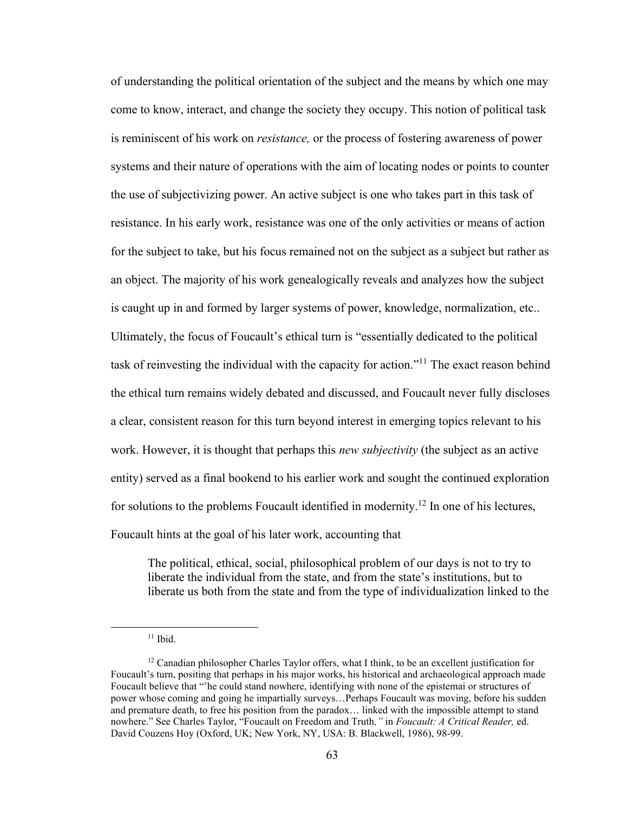of understanding the political orientation of the subject and the means by which one may come to know, interact, and change the society they occupy. This notion of political task is reminiscent of his work on *resistance,* or the process of fostering awareness of power systems and their nature of operations with the aim of locating nodes or points to counter the use of subjectivizing power. An active subject is one who takes part in this task of resistance. In his early work, resistance was one of the only activities or means of action for the subject to take, but his focus remained not on the subject as a subject but rather as an object. The majority of his work genealogically reveals and analyzes how the subject is caught up in and formed by larger systems of power, knowledge, normalization, etc.. Ultimately, the focus of Foucault's ethical turn is "essentially dedicated to the political task of reinvesting the individual with the capacity for action."<sup>11</sup> The exact reason behind the ethical turn remains widely debated and discussed, and Foucault never fully discloses a clear, consistent reason for this turn beyond interest in emerging topics relevant to his work. However, it is thought that perhaps this *new subjectivity* (the subject as an active entity) served as a final bookend to his earlier work and sought the continued exploration for solutions to the problems Foucault identified in modernity.<sup>12</sup> In one of his lectures, Foucault hints at the goal of his later work, accounting that

The political, ethical, social, philosophical problem of our days is not to try to liberate the individual from the state, and from the state's institutions, but to liberate us both from the state and from the type of individualization linked to the

 $11$  Ibid.

 $12$  Canadian philosopher Charles Taylor offers, what I think, to be an excellent justification for Foucault's turn, positing that perhaps in his major works, his historical and archaeological approach made Foucault believe that "'he could stand nowhere, identifying with none of the epistemai or structures of power whose coming and going he impartially surveys…Perhaps Foucault was moving, before his sudden and premature death, to free his position from the paradox… linked with the impossible attempt to stand nowhere." See Charles Taylor, "Foucault on Freedom and Truth*,"* in *Foucault: A Critical Reader,* ed. David Couzens Hoy (Oxford, UK; New York, NY, USA: B. Blackwell, 1986), 98-99.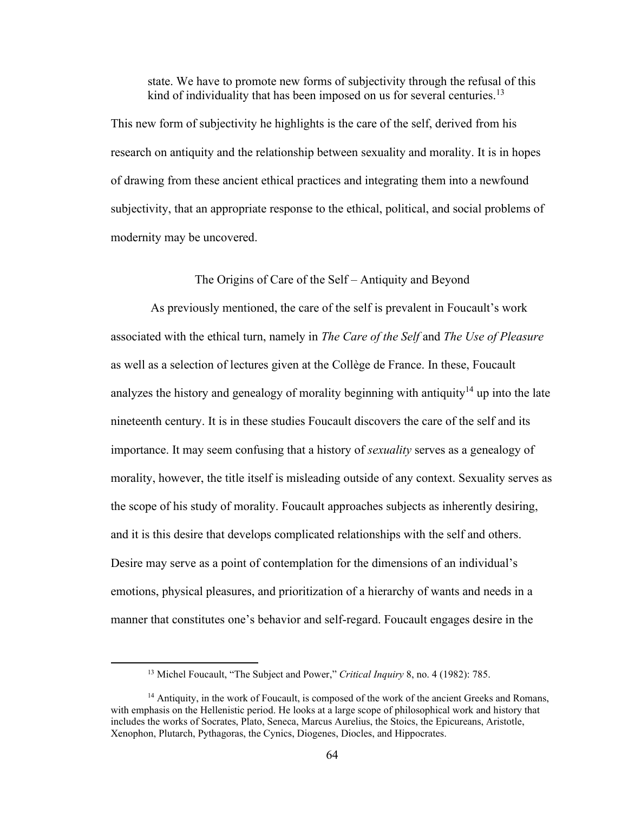state. We have to promote new forms of subjectivity through the refusal of this kind of individuality that has been imposed on us for several centuries.<sup>13</sup>

This new form of subjectivity he highlights is the care of the self, derived from his research on antiquity and the relationship between sexuality and morality. It is in hopes of drawing from these ancient ethical practices and integrating them into a newfound subjectivity, that an appropriate response to the ethical, political, and social problems of modernity may be uncovered.

# The Origins of Care of the Self – Antiquity and Beyond

As previously mentioned, the care of the self is prevalent in Foucault's work associated with the ethical turn, namely in *The Care of the Self* and *The Use of Pleasure*  as well as a selection of lectures given at the Collège de France. In these, Foucault analyzes the history and genealogy of morality beginning with antiquity<sup>14</sup> up into the late nineteenth century. It is in these studies Foucault discovers the care of the self and its importance. It may seem confusing that a history of *sexuality* serves as a genealogy of morality, however, the title itself is misleading outside of any context. Sexuality serves as the scope of his study of morality. Foucault approaches subjects as inherently desiring, and it is this desire that develops complicated relationships with the self and others. Desire may serve as a point of contemplation for the dimensions of an individual's emotions, physical pleasures, and prioritization of a hierarchy of wants and needs in a manner that constitutes one's behavior and self-regard. Foucault engages desire in the

<sup>13</sup> Michel Foucault, "The Subject and Power," *Critical Inquiry* 8, no. 4 (1982): 785.

 $14$  Antiquity, in the work of Foucault, is composed of the work of the ancient Greeks and Romans, with emphasis on the Hellenistic period. He looks at a large scope of philosophical work and history that includes the works of Socrates, Plato, Seneca, Marcus Aurelius, the Stoics, the Epicureans, Aristotle, Xenophon, Plutarch, Pythagoras, the Cynics, Diogenes, Diocles, and Hippocrates.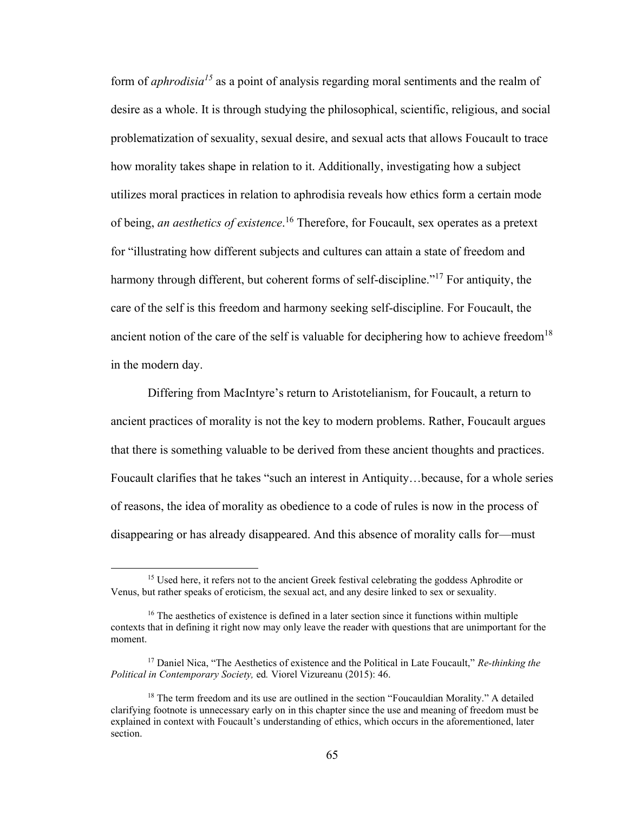form of *aphrodisia<sup>15</sup>* as a point of analysis regarding moral sentiments and the realm of desire as a whole. It is through studying the philosophical, scientific, religious, and social problematization of sexuality, sexual desire, and sexual acts that allows Foucault to trace how morality takes shape in relation to it. Additionally, investigating how a subject utilizes moral practices in relation to aphrodisia reveals how ethics form a certain mode of being, *an aesthetics of existence*. <sup>16</sup> Therefore, for Foucault, sex operates as a pretext for "illustrating how different subjects and cultures can attain a state of freedom and harmony through different, but coherent forms of self-discipline."<sup>17</sup> For antiquity, the care of the self is this freedom and harmony seeking self-discipline. For Foucault, the ancient notion of the care of the self is valuable for deciphering how to achieve freedom<sup>18</sup> in the modern day.

Differing from MacIntyre's return to Aristotelianism, for Foucault, a return to ancient practices of morality is not the key to modern problems. Rather, Foucault argues that there is something valuable to be derived from these ancient thoughts and practices. Foucault clarifies that he takes "such an interest in Antiquity…because, for a whole series of reasons, the idea of morality as obedience to a code of rules is now in the process of disappearing or has already disappeared. And this absence of morality calls for—must

<sup>&</sup>lt;sup>15</sup> Used here, it refers not to the ancient Greek festival celebrating the goddess Aphrodite or Venus, but rather speaks of eroticism, the sexual act, and any desire linked to sex or sexuality.

<sup>&</sup>lt;sup>16</sup> The aesthetics of existence is defined in a later section since it functions within multiple contexts that in defining it right now may only leave the reader with questions that are unimportant for the moment.

<sup>17</sup> Daniel Nica, "The Aesthetics of existence and the Political in Late Foucault," *Re-thinking the Political in Contemporary Society,* ed*.* Viorel Vizureanu (2015): 46.

 $18$  The term freedom and its use are outlined in the section "Foucauldian Morality." A detailed clarifying footnote is unnecessary early on in this chapter since the use and meaning of freedom must be explained in context with Foucault's understanding of ethics, which occurs in the aforementioned, later section.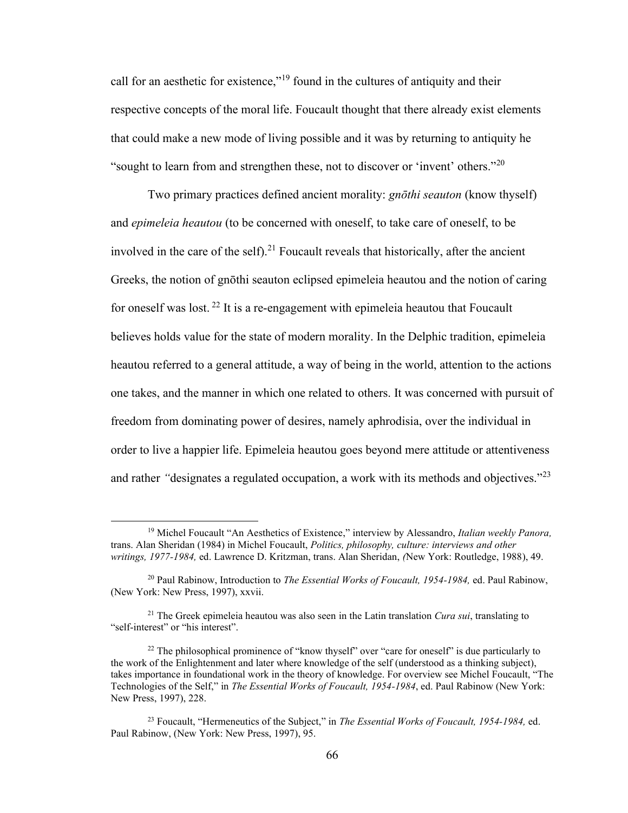call for an aesthetic for existence,"<sup>19</sup> found in the cultures of antiquity and their respective concepts of the moral life. Foucault thought that there already exist elements that could make a new mode of living possible and it was by returning to antiquity he "sought to learn from and strengthen these, not to discover or 'invent' others."<sup>20</sup>

Two primary practices defined ancient morality: *gnōthi seauton* (know thyself) and *epimeleia heautou* (to be concerned with oneself, to take care of oneself, to be involved in the care of the self).<sup>21</sup> Foucault reveals that historically, after the ancient Greeks, the notion of gnōthi seauton eclipsed epimeleia heautou and the notion of caring for oneself was lost.  $^{22}$  It is a re-engagement with epimeleia heautou that Foucault believes holds value for the state of modern morality. In the Delphic tradition, epimeleia heautou referred to a general attitude, a way of being in the world, attention to the actions one takes, and the manner in which one related to others. It was concerned with pursuit of freedom from dominating power of desires, namely aphrodisia, over the individual in order to live a happier life. Epimeleia heautou goes beyond mere attitude or attentiveness and rather *"*designates a regulated occupation, a work with its methods and objectives."<sup>23</sup>

<sup>19</sup> Michel Foucault "An Aesthetics of Existence," interview by Alessandro, *Italian weekly Panora,* trans. Alan Sheridan (1984) in Michel Foucault, *Politics, philosophy, culture: interviews and other writings, 1977-1984,* ed. Lawrence D. Kritzman, trans. Alan Sheridan, *(*New York: Routledge, 1988), 49.

<sup>20</sup> Paul Rabinow, Introduction to *The Essential Works of Foucault, 1954-1984,* ed. Paul Rabinow, (New York: New Press, 1997), xxvii.

<sup>21</sup> The Greek epimeleia heautou was also seen in the Latin translation *Cura sui*, translating to "self-interest" or "his interest".

<sup>&</sup>lt;sup>22</sup> The philosophical prominence of "know thyself" over "care for oneself" is due particularly to the work of the Enlightenment and later where knowledge of the self (understood as a thinking subject), takes importance in foundational work in the theory of knowledge. For overview see Michel Foucault, "The Technologies of the Self," in *The Essential Works of Foucault, 1954-1984*, ed. Paul Rabinow (New York: New Press, 1997), 228.

<sup>23</sup> Foucault, "Hermeneutics of the Subject," in *The Essential Works of Foucault, 1954-1984,* ed. Paul Rabinow, (New York: New Press, 1997), 95.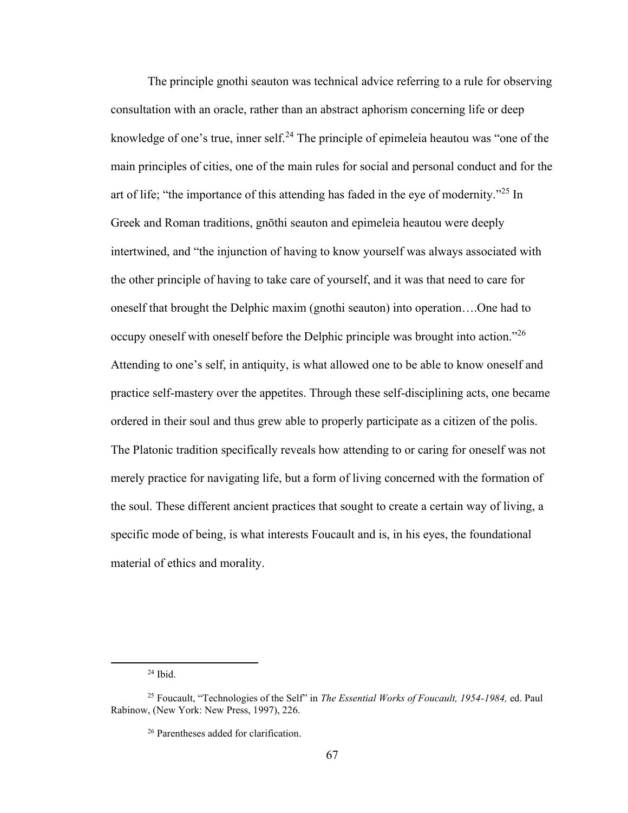The principle gnothi seauton was technical advice referring to a rule for observing consultation with an oracle, rather than an abstract aphorism concerning life or deep knowledge of one's true, inner self.<sup>24</sup> The principle of epimeleia heautou was "one of the main principles of cities, one of the main rules for social and personal conduct and for the art of life; "the importance of this attending has faded in the eye of modernity."<sup>25</sup> In Greek and Roman traditions, gnōthi seauton and epimeleia heautou were deeply intertwined, and "the injunction of having to know yourself was always associated with the other principle of having to take care of yourself, and it was that need to care for oneself that brought the Delphic maxim (gnothi seauton) into operation….One had to occupy oneself with oneself before the Delphic principle was brought into action."<sup>26</sup> Attending to one's self, in antiquity, is what allowed one to be able to know oneself and practice self-mastery over the appetites. Through these self-disciplining acts, one became ordered in their soul and thus grew able to properly participate as a citizen of the polis. The Platonic tradition specifically reveals how attending to or caring for oneself was not merely practice for navigating life, but a form of living concerned with the formation of the soul. These different ancient practices that sought to create a certain way of living, a specific mode of being, is what interests Foucault and is, in his eyes, the foundational material of ethics and morality.

 $24$  Ibid.

<sup>25</sup> Foucault, "Technologies of the Self" in *The Essential Works of Foucault, 1954-1984,* ed. Paul Rabinow, (New York: New Press, 1997), 226.

<sup>26</sup> Parentheses added for clarification.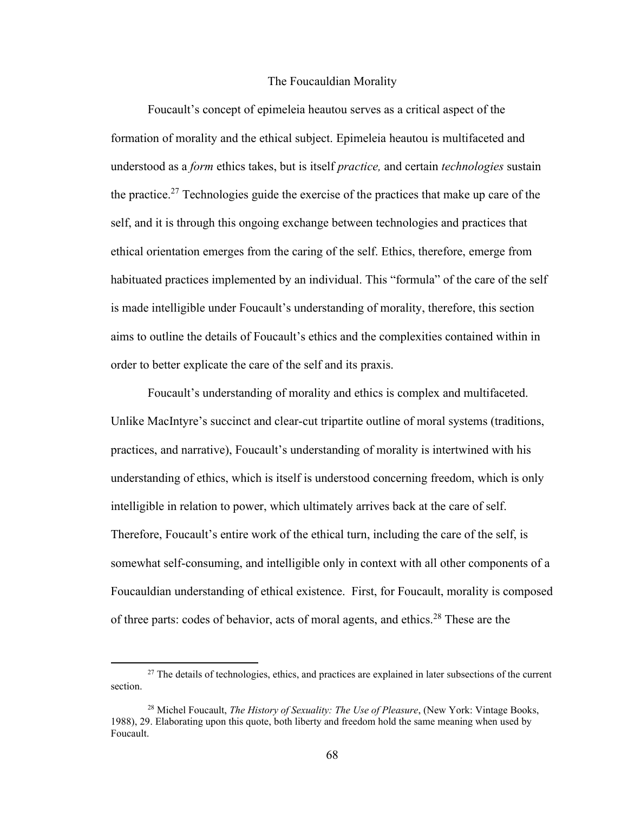#### The Foucauldian Morality

Foucault's concept of epimeleia heautou serves as a critical aspect of the formation of morality and the ethical subject. Epimeleia heautou is multifaceted and understood as a *form* ethics takes, but is itself *practice,* and certain *technologies* sustain the practice.<sup>27</sup> Technologies guide the exercise of the practices that make up care of the self, and it is through this ongoing exchange between technologies and practices that ethical orientation emerges from the caring of the self. Ethics, therefore, emerge from habituated practices implemented by an individual. This "formula" of the care of the self is made intelligible under Foucault's understanding of morality, therefore, this section aims to outline the details of Foucault's ethics and the complexities contained within in order to better explicate the care of the self and its praxis.

Foucault's understanding of morality and ethics is complex and multifaceted. Unlike MacIntyre's succinct and clear-cut tripartite outline of moral systems (traditions, practices, and narrative), Foucault's understanding of morality is intertwined with his understanding of ethics, which is itself is understood concerning freedom, which is only intelligible in relation to power, which ultimately arrives back at the care of self. Therefore, Foucault's entire work of the ethical turn, including the care of the self, is somewhat self-consuming, and intelligible only in context with all other components of a Foucauldian understanding of ethical existence. First, for Foucault, morality is composed of three parts: codes of behavior, acts of moral agents, and ethics.<sup>28</sup> These are the

<sup>&</sup>lt;sup>27</sup> The details of technologies, ethics, and practices are explained in later subsections of the current section.

<sup>28</sup> Michel Foucault, *The History of Sexuality: The Use of Pleasure*, (New York: Vintage Books, 1988), 29. Elaborating upon this quote, both liberty and freedom hold the same meaning when used by Foucault.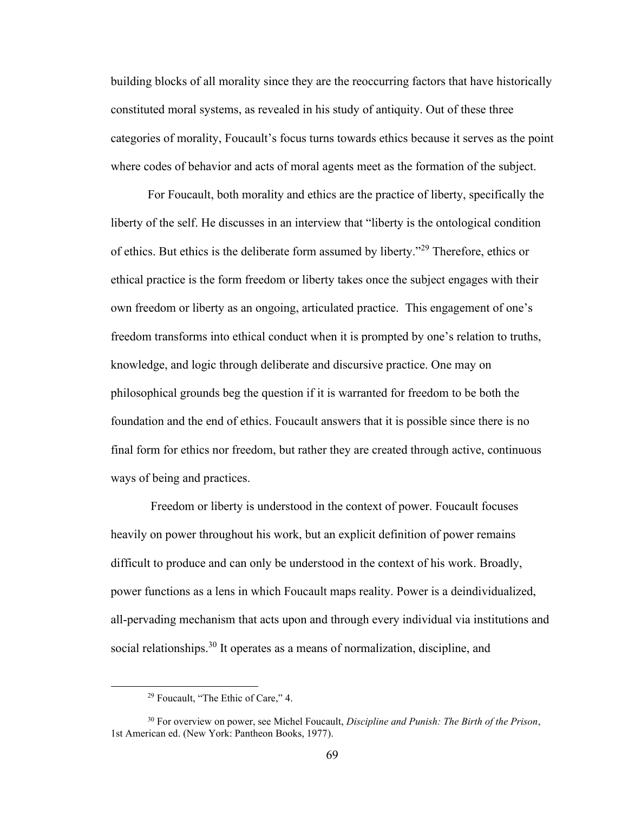building blocks of all morality since they are the reoccurring factors that have historically constituted moral systems, as revealed in his study of antiquity. Out of these three categories of morality, Foucault's focus turns towards ethics because it serves as the point where codes of behavior and acts of moral agents meet as the formation of the subject.

For Foucault, both morality and ethics are the practice of liberty, specifically the liberty of the self. He discusses in an interview that "liberty is the ontological condition of ethics. But ethics is the deliberate form assumed by liberty."<sup>29</sup> Therefore, ethics or ethical practice is the form freedom or liberty takes once the subject engages with their own freedom or liberty as an ongoing, articulated practice. This engagement of one's freedom transforms into ethical conduct when it is prompted by one's relation to truths, knowledge, and logic through deliberate and discursive practice. One may on philosophical grounds beg the question if it is warranted for freedom to be both the foundation and the end of ethics. Foucault answers that it is possible since there is no final form for ethics nor freedom, but rather they are created through active, continuous ways of being and practices.

Freedom or liberty is understood in the context of power. Foucault focuses heavily on power throughout his work, but an explicit definition of power remains difficult to produce and can only be understood in the context of his work. Broadly, power functions as a lens in which Foucault maps reality. Power is a deindividualized, all-pervading mechanism that acts upon and through every individual via institutions and social relationships.<sup>30</sup> It operates as a means of normalization, discipline, and

<sup>29</sup> Foucault, "The Ethic of Care," 4.

<sup>30</sup> For overview on power, see Michel Foucault, *Discipline and Punish: The Birth of the Prison*, 1st American ed. (New York: Pantheon Books, 1977).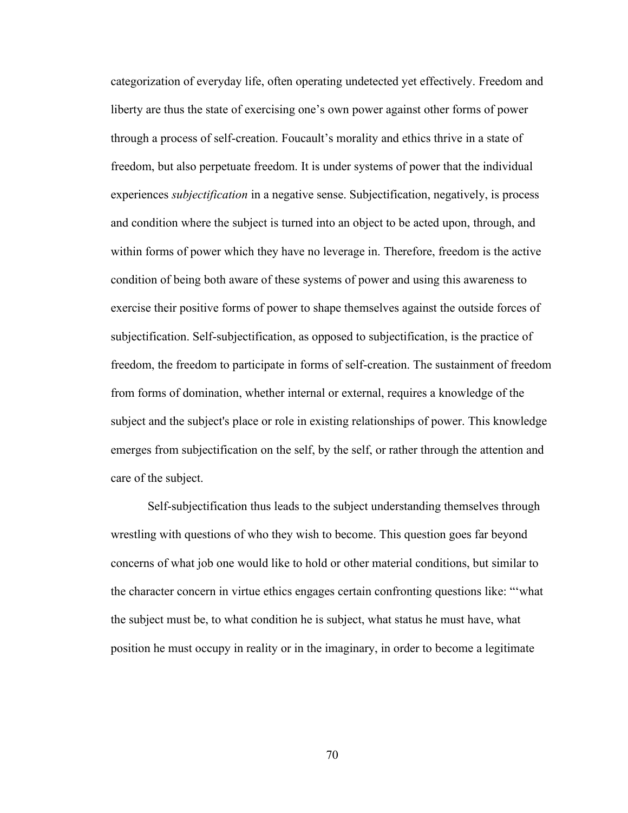categorization of everyday life, often operating undetected yet effectively. Freedom and liberty are thus the state of exercising one's own power against other forms of power through a process of self-creation. Foucault's morality and ethics thrive in a state of freedom, but also perpetuate freedom. It is under systems of power that the individual experiences *subjectification* in a negative sense. Subjectification, negatively, is process and condition where the subject is turned into an object to be acted upon, through, and within forms of power which they have no leverage in. Therefore, freedom is the active condition of being both aware of these systems of power and using this awareness to exercise their positive forms of power to shape themselves against the outside forces of subjectification. Self-subjectification, as opposed to subjectification, is the practice of freedom, the freedom to participate in forms of self-creation. The sustainment of freedom from forms of domination, whether internal or external, requires a knowledge of the subject and the subject's place or role in existing relationships of power. This knowledge emerges from subjectification on the self, by the self, or rather through the attention and care of the subject.

Self-subjectification thus leads to the subject understanding themselves through wrestling with questions of who they wish to become. This question goes far beyond concerns of what job one would like to hold or other material conditions, but similar to the character concern in virtue ethics engages certain confronting questions like: "'what the subject must be, to what condition he is subject, what status he must have, what position he must occupy in reality or in the imaginary, in order to become a legitimate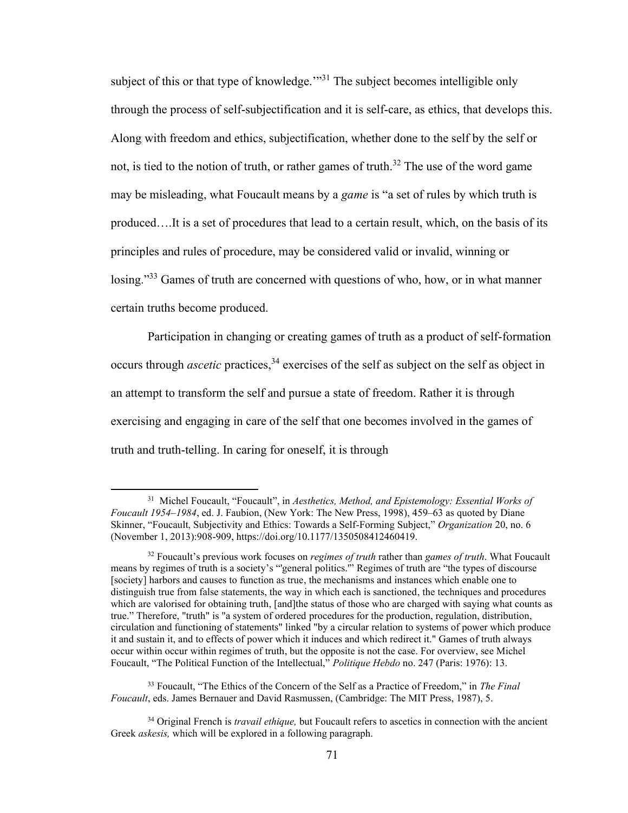subject of this or that type of knowledge."<sup>31</sup> The subject becomes intelligible only through the process of self-subjectification and it is self-care, as ethics, that develops this. Along with freedom and ethics, subjectification, whether done to the self by the self or not, is tied to the notion of truth, or rather games of truth.<sup>32</sup> The use of the word game may be misleading, what Foucault means by a *game* is "a set of rules by which truth is produced….It is a set of procedures that lead to a certain result, which, on the basis of its principles and rules of procedure, may be considered valid or invalid, winning or losing."<sup>33</sup> Games of truth are concerned with questions of who, how, or in what manner certain truths become produced.

Participation in changing or creating games of truth as a product of self-formation occurs through *ascetic* practices,<sup>34</sup> exercises of the self as subject on the self as object in an attempt to transform the self and pursue a state of freedom. Rather it is through exercising and engaging in care of the self that one becomes involved in the games of truth and truth-telling. In caring for oneself, it is through

<sup>31</sup> Michel Foucault, "Foucault", in *Aesthetics, Method, and Epistemology: Essential Works of Foucault 1954–1984*, ed. J. Faubion, (New York: The New Press, 1998), 459–63 as quoted by Diane Skinner, "Foucault, Subjectivity and Ethics: Towards a Self-Forming Subject," *Organization* 20, no. 6 (November 1, 2013):908-909, https://doi.org/10.1177/1350508412460419.

<sup>32</sup> Foucault's previous work focuses on *regimes of truth* rather than *games of truth*. What Foucault means by regimes of truth is a society's "'general politics.'" Regimes of truth are "the types of discourse [society] harbors and causes to function as true, the mechanisms and instances which enable one to distinguish true from false statements, the way in which each is sanctioned, the techniques and procedures which are valorised for obtaining truth, [and]the status of those who are charged with saying what counts as true." Therefore, "truth" is "a system of ordered procedures for the production, regulation, distribution, circulation and functioning of statements" linked "by a circular relation to systems of power which produce it and sustain it, and to effects of power which it induces and which redirect it." Games of truth always occur within occur within regimes of truth, but the opposite is not the case. For overview, see Michel Foucault, "The Political Function of the Intellectual," *Politique Hebdo* no. 247 (Paris: 1976): 13.

<sup>33</sup> Foucault, "The Ethics of the Concern of the Self as a Practice of Freedom," in *The Final Foucault*, eds. James Bernauer and David Rasmussen, (Cambridge: The MIT Press, 1987), 5.

<sup>34</sup> Original French is *travail ethique,* but Foucault refers to ascetics in connection with the ancient Greek *askesis,* which will be explored in a following paragraph.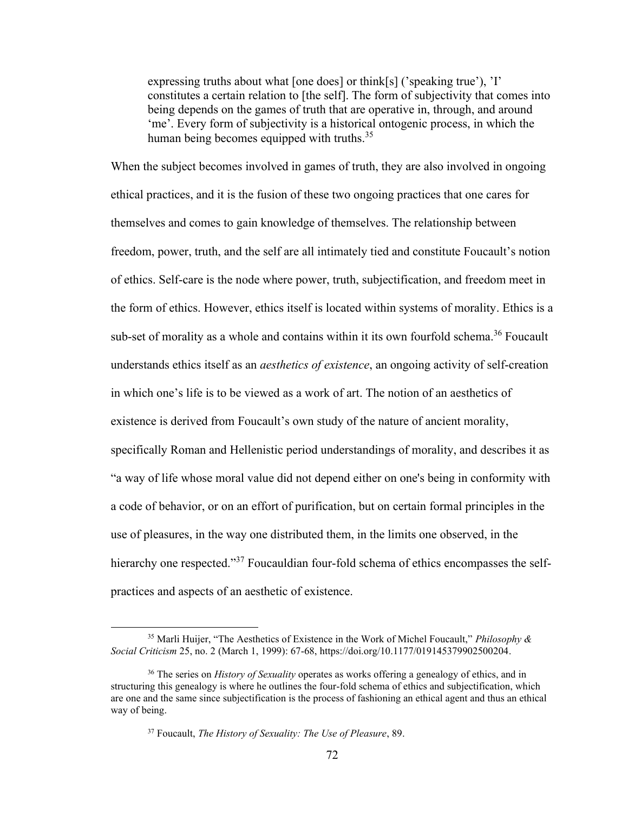expressing truths about what [one does] or think[s] ('speaking true'), 'I' constitutes a certain relation to [the self]. The form of subjectivity that comes into being depends on the games of truth that are operative in, through, and around 'me'. Every form of subjectivity is a historical ontogenic process, in which the human being becomes equipped with truths.<sup>35</sup>

When the subject becomes involved in games of truth, they are also involved in ongoing ethical practices, and it is the fusion of these two ongoing practices that one cares for themselves and comes to gain knowledge of themselves. The relationship between freedom, power, truth, and the self are all intimately tied and constitute Foucault's notion of ethics. Self-care is the node where power, truth, subjectification, and freedom meet in the form of ethics. However, ethics itself is located within systems of morality. Ethics is a sub-set of morality as a whole and contains within it its own fourfold schema.<sup>36</sup> Foucault understands ethics itself as an *aesthetics of existence*, an ongoing activity of self-creation in which one's life is to be viewed as a work of art. The notion of an aesthetics of existence is derived from Foucault's own study of the nature of ancient morality, specifically Roman and Hellenistic period understandings of morality, and describes it as "a way of life whose moral value did not depend either on one's being in conformity with a code of behavior, or on an effort of purification, but on certain formal principles in the use of pleasures, in the way one distributed them, in the limits one observed, in the hierarchy one respected."<sup>37</sup> Foucauldian four-fold schema of ethics encompasses the selfpractices and aspects of an aesthetic of existence.

<sup>35</sup> Marli Huijer, "The Aesthetics of Existence in the Work of Michel Foucault," *Philosophy & Social Criticism* 25, no. 2 (March 1, 1999): 67-68[, https://doi.org/10.1177/019145379902500204.](https://doi.org/10.1177/019145379902500204)

<sup>36</sup> The series on *History of Sexuality* operates as works offering a genealogy of ethics, and in structuring this genealogy is where he outlines the four-fold schema of ethics and subjectification, which are one and the same since subjectification is the process of fashioning an ethical agent and thus an ethical way of being.

<sup>37</sup> Foucault, *The History of Sexuality: The Use of Pleasure*, 89.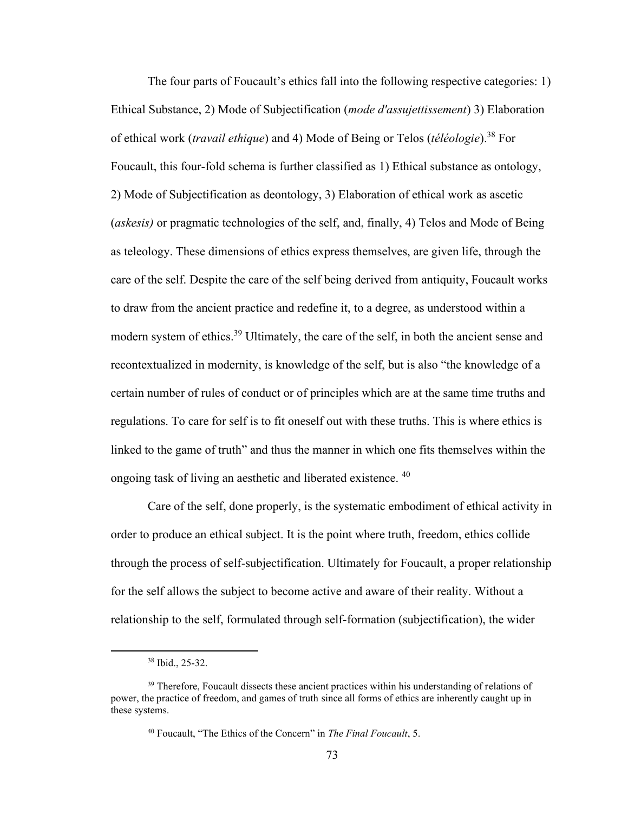The four parts of Foucault's ethics fall into the following respective categories: 1) Ethical Substance, 2) Mode of Subjectification (*mode d'assujettissement*) 3) Elaboration of ethical work (*travail ethique*) and 4) Mode of Being or Telos (*téléologie*).<sup>38</sup> For Foucault, this four-fold schema is further classified as 1) Ethical substance as ontology, 2) Mode of Subjectification as deontology, 3) Elaboration of ethical work as ascetic (*askesis)* or pragmatic technologies of the self, and, finally, 4) Telos and Mode of Being as teleology. These dimensions of ethics express themselves, are given life, through the care of the self. Despite the care of the self being derived from antiquity, Foucault works to draw from the ancient practice and redefine it, to a degree, as understood within a modern system of ethics.<sup>39</sup> Ultimately, the care of the self, in both the ancient sense and recontextualized in modernity, is knowledge of the self, but is also "the knowledge of a certain number of rules of conduct or of principles which are at the same time truths and regulations. To care for self is to fit oneself out with these truths. This is where ethics is linked to the game of truth" and thus the manner in which one fits themselves within the ongoing task of living an aesthetic and liberated existence. <sup>40</sup>

Care of the self, done properly, is the systematic embodiment of ethical activity in order to produce an ethical subject. It is the point where truth, freedom, ethics collide through the process of self-subjectification. Ultimately for Foucault, a proper relationship for the self allows the subject to become active and aware of their reality. Without a relationship to the self, formulated through self-formation (subjectification), the wider

<sup>38</sup> Ibid., 25-32.

<sup>&</sup>lt;sup>39</sup> Therefore, Foucault dissects these ancient practices within his understanding of relations of power, the practice of freedom, and games of truth since all forms of ethics are inherently caught up in these systems.

<sup>40</sup> Foucault, "The Ethics of the Concern" in *The Final Foucault*, 5.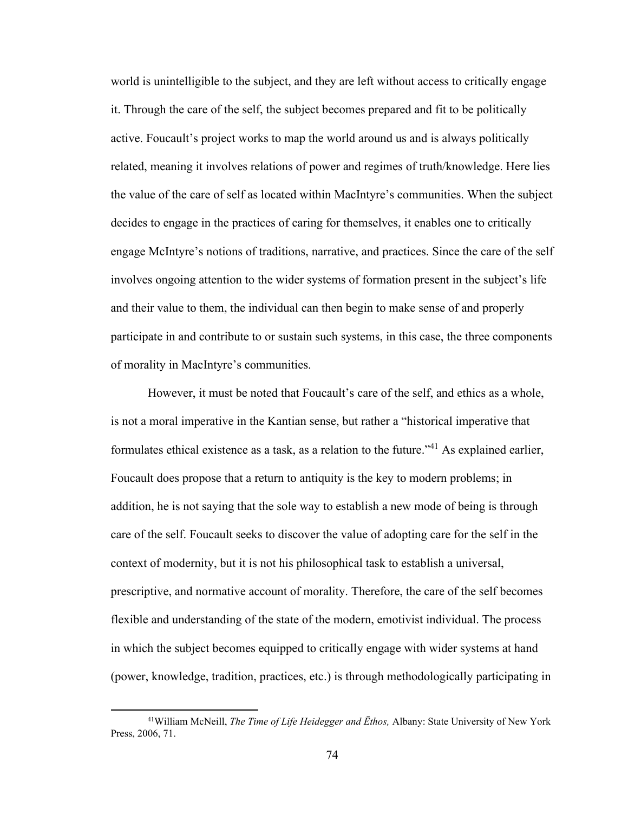world is unintelligible to the subject, and they are left without access to critically engage it. Through the care of the self, the subject becomes prepared and fit to be politically active. Foucault's project works to map the world around us and is always politically related, meaning it involves relations of power and regimes of truth/knowledge. Here lies the value of the care of self as located within MacIntyre's communities. When the subject decides to engage in the practices of caring for themselves, it enables one to critically engage McIntyre's notions of traditions, narrative, and practices. Since the care of the self involves ongoing attention to the wider systems of formation present in the subject's life and their value to them, the individual can then begin to make sense of and properly participate in and contribute to or sustain such systems, in this case, the three components of morality in MacIntyre's communities.

However, it must be noted that Foucault's care of the self, and ethics as a whole, is not a moral imperative in the Kantian sense, but rather a "historical imperative that formulates ethical existence as a task, as a relation to the future."<sup>41</sup> As explained earlier, Foucault does propose that a return to antiquity is the key to modern problems; in addition, he is not saying that the sole way to establish a new mode of being is through care of the self. Foucault seeks to discover the value of adopting care for the self in the context of modernity, but it is not his philosophical task to establish a universal, prescriptive, and normative account of morality. Therefore, the care of the self becomes flexible and understanding of the state of the modern, emotivist individual. The process in which the subject becomes equipped to critically engage with wider systems at hand (power, knowledge, tradition, practices, etc.) is through methodologically participating in

<sup>41</sup>William McNeill, *The Time of Life Heidegger and Ēthos,* Albany: State University of New York Press, 2006, 71.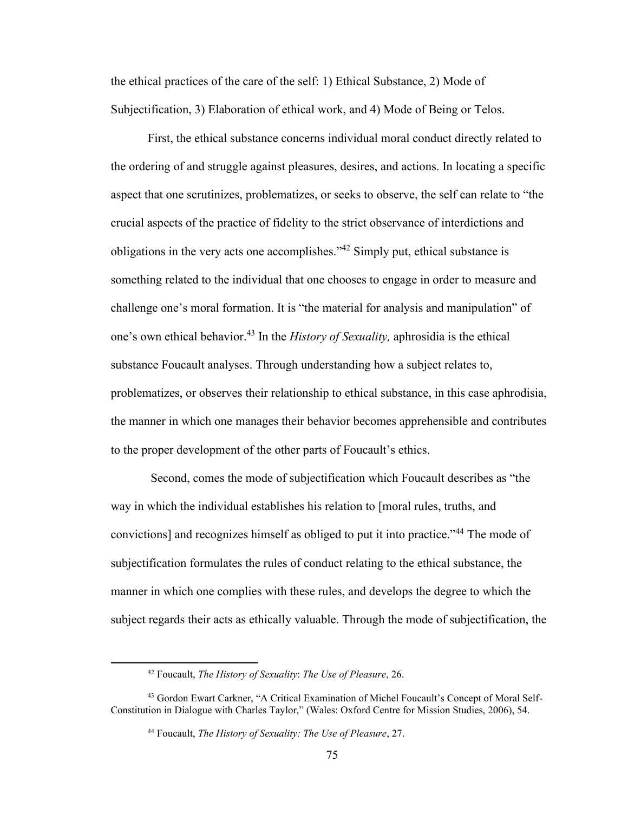the ethical practices of the care of the self: 1) Ethical Substance, 2) Mode of Subjectification, 3) Elaboration of ethical work, and 4) Mode of Being or Telos.

First, the ethical substance concerns individual moral conduct directly related to the ordering of and struggle against pleasures, desires, and actions. In locating a specific aspect that one scrutinizes, problematizes, or seeks to observe, the self can relate to "the crucial aspects of the practice of fidelity to the strict observance of interdictions and obligations in the very acts one accomplishes."<sup>42</sup> Simply put, ethical substance is something related to the individual that one chooses to engage in order to measure and challenge one's moral formation. It is "the material for analysis and manipulation" of one's own ethical behavior.<sup>43</sup> In the *History of Sexuality,* aphrosidia is the ethical substance Foucault analyses. Through understanding how a subject relates to, problematizes, or observes their relationship to ethical substance, in this case aphrodisia, the manner in which one manages their behavior becomes apprehensible and contributes to the proper development of the other parts of Foucault's ethics.

Second, comes the mode of subjectification which Foucault describes as "the way in which the individual establishes his relation to [moral rules, truths, and convictions] and recognizes himself as obliged to put it into practice."<sup>44</sup> The mode of subjectification formulates the rules of conduct relating to the ethical substance, the manner in which one complies with these rules, and develops the degree to which the subject regards their acts as ethically valuable. Through the mode of subjectification, the

<sup>42</sup> Foucault, *The History of Sexuality*: *The Use of Pleasure*, 26.

<sup>43</sup> Gordon Ewart Carkner, "A Critical Examination of Michel Foucault's Concept of Moral Self-Constitution in Dialogue with Charles Taylor," (Wales: Oxford Centre for Mission Studies, 2006), 54.

<sup>44</sup> Foucault, *The History of Sexuality: The Use of Pleasure*, 27.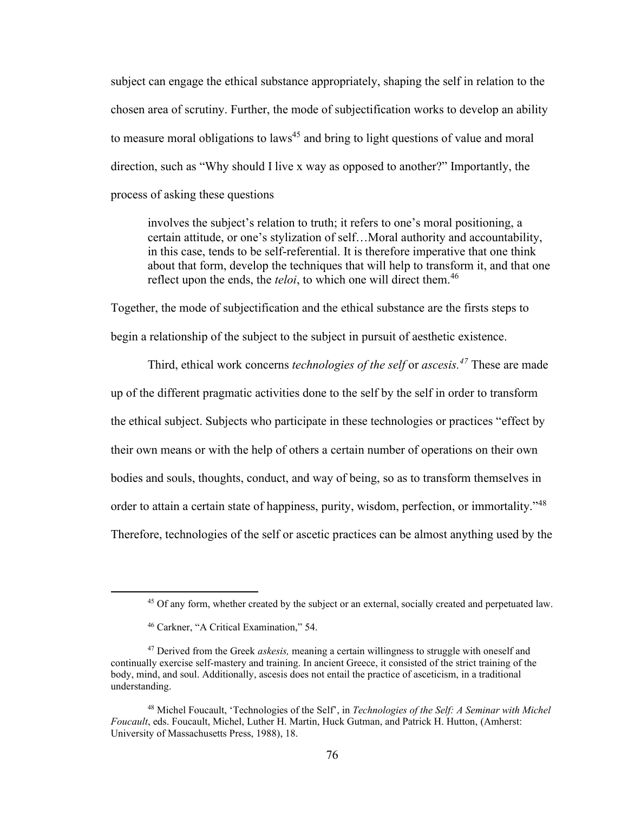subject can engage the ethical substance appropriately, shaping the self in relation to the chosen area of scrutiny. Further, the mode of subjectification works to develop an ability to measure moral obligations to laws<sup>45</sup> and bring to light questions of value and moral direction, such as "Why should I live x way as opposed to another?" Importantly, the process of asking these questions

involves the subject's relation to truth; it refers to one's moral positioning, a certain attitude, or one's stylization of self…Moral authority and accountability, in this case, tends to be self-referential. It is therefore imperative that one think about that form, develop the techniques that will help to transform it, and that one reflect upon the ends, the *teloi*, to which one will direct them.<sup>46</sup>

Together, the mode of subjectification and the ethical substance are the firsts steps to begin a relationship of the subject to the subject in pursuit of aesthetic existence.

Third, ethical work concerns *technologies of the self* or *ascesis. <sup>47</sup>* These are made up of the different pragmatic activities done to the self by the self in order to transform the ethical subject. Subjects who participate in these technologies or practices "effect by their own means or with the help of others a certain number of operations on their own bodies and souls, thoughts, conduct, and way of being, so as to transform themselves in order to attain a certain state of happiness, purity, wisdom, perfection, or immortality."<sup>48</sup> Therefore, technologies of the self or ascetic practices can be almost anything used by the

<sup>45</sup> Of any form, whether created by the subject or an external, socially created and perpetuated law.

<sup>46</sup> Carkner, "A Critical Examination," 54.

<sup>47</sup> Derived from the Greek *askesis,* meaning a certain willingness to struggle with oneself and continually exercise self-mastery and training. In ancient Greece, it consisted of the strict training of the body, mind, and soul. Additionally, ascesis does not entail the practice of asceticism, in a traditional understanding.

<sup>48</sup> Michel Foucault, 'Technologies of the Self', in *Technologies of the Self: A Seminar with Michel Foucault*, eds. Foucault, Michel, Luther H. Martin, Huck Gutman, and Patrick H. Hutton, (Amherst: University of Massachusetts Press, 1988), 18.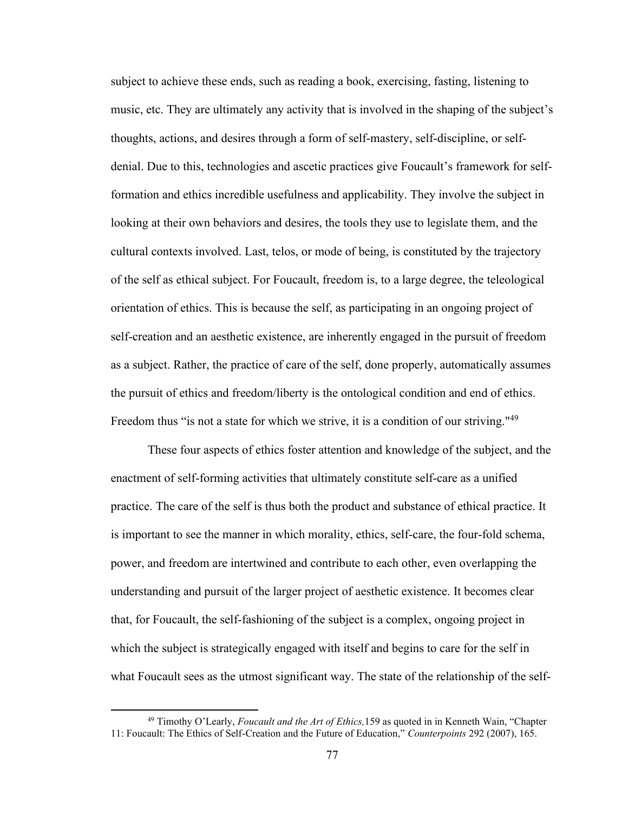subject to achieve these ends, such as reading a book, exercising, fasting, listening to music, etc. They are ultimately any activity that is involved in the shaping of the subject's thoughts, actions, and desires through a form of self-mastery, self-discipline, or selfdenial. Due to this, technologies and ascetic practices give Foucault's framework for selfformation and ethics incredible usefulness and applicability. They involve the subject in looking at their own behaviors and desires, the tools they use to legislate them, and the cultural contexts involved. Last, telos, or mode of being, is constituted by the trajectory of the self as ethical subject. For Foucault, freedom is, to a large degree, the teleological orientation of ethics. This is because the self, as participating in an ongoing project of self-creation and an aesthetic existence, are inherently engaged in the pursuit of freedom as a subject. Rather, the practice of care of the self, done properly, automatically assumes the pursuit of ethics and freedom/liberty is the ontological condition and end of ethics. Freedom thus "is not a state for which we strive, it is a condition of our striving."<sup>49</sup>

These four aspects of ethics foster attention and knowledge of the subject, and the enactment of self-forming activities that ultimately constitute self-care as a unified practice. The care of the self is thus both the product and substance of ethical practice. It is important to see the manner in which morality, ethics, self-care, the four-fold schema, power, and freedom are intertwined and contribute to each other, even overlapping the understanding and pursuit of the larger project of aesthetic existence. It becomes clear that, for Foucault, the self-fashioning of the subject is a complex, ongoing project in which the subject is strategically engaged with itself and begins to care for the self in what Foucault sees as the utmost significant way. The state of the relationship of the self-

<sup>49</sup> Timothy O'Learly, *Foucault and the Art of Ethics,*159 as quoted in in Kenneth Wain, "Chapter 11: Foucault: The Ethics of Self-Creation and the Future of Education," *Counterpoints* 292 (2007), 165.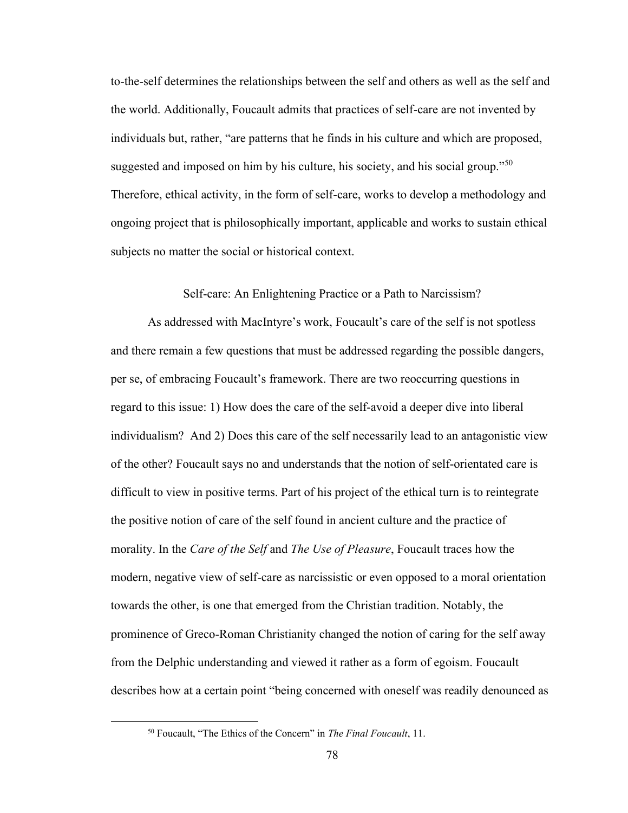to-the-self determines the relationships between the self and others as well as the self and the world. Additionally, Foucault admits that practices of self-care are not invented by individuals but, rather, "are patterns that he finds in his culture and which are proposed, suggested and imposed on him by his culture, his society, and his social group."<sup>50</sup> Therefore, ethical activity, in the form of self-care, works to develop a methodology and ongoing project that is philosophically important, applicable and works to sustain ethical subjects no matter the social or historical context.

## Self-care: An Enlightening Practice or a Path to Narcissism?

As addressed with MacIntyre's work, Foucault's care of the self is not spotless and there remain a few questions that must be addressed regarding the possible dangers, per se, of embracing Foucault's framework. There are two reoccurring questions in regard to this issue: 1) How does the care of the self-avoid a deeper dive into liberal individualism? And 2) Does this care of the self necessarily lead to an antagonistic view of the other? Foucault says no and understands that the notion of self-orientated care is difficult to view in positive terms. Part of his project of the ethical turn is to reintegrate the positive notion of care of the self found in ancient culture and the practice of morality. In the *Care of the Self* and *The Use of Pleasure*, Foucault traces how the modern, negative view of self-care as narcissistic or even opposed to a moral orientation towards the other, is one that emerged from the Christian tradition. Notably, the prominence of Greco-Roman Christianity changed the notion of caring for the self away from the Delphic understanding and viewed it rather as a form of egoism. Foucault describes how at a certain point "being concerned with oneself was readily denounced as

<sup>50</sup> Foucault, "The Ethics of the Concern" in *The Final Foucault*, 11.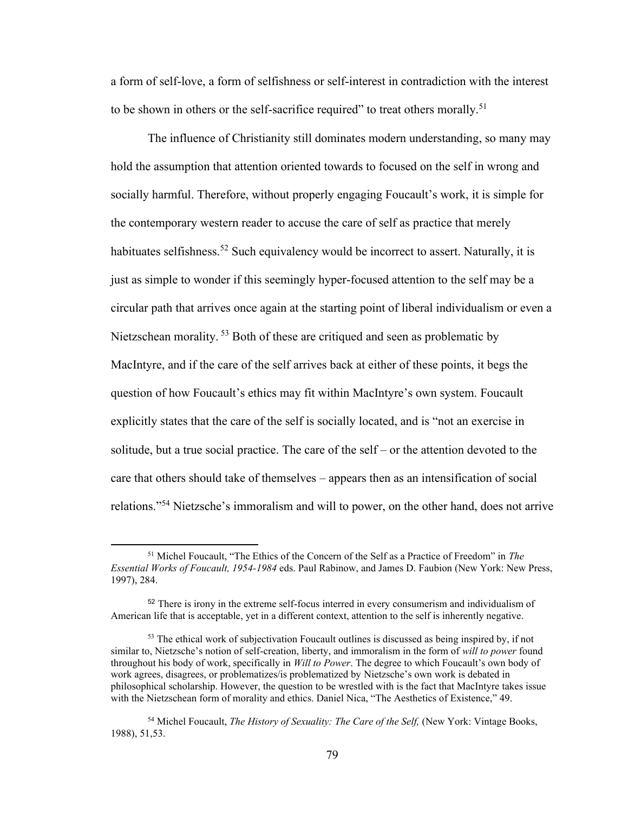a form of self-love, a form of selfishness or self-interest in contradiction with the interest to be shown in others or the self-sacrifice required" to treat others morally.<sup>51</sup>

The influence of Christianity still dominates modern understanding, so many may hold the assumption that attention oriented towards to focused on the self in wrong and socially harmful. Therefore, without properly engaging Foucault's work, it is simple for the contemporary western reader to accuse the care of self as practice that merely habituates selfishness.<sup>52</sup> Such equivalency would be incorrect to assert. Naturally, it is just as simple to wonder if this seemingly hyper-focused attention to the self may be a circular path that arrives once again at the starting point of liberal individualism or even a Nietzschean morality. <sup>53</sup> Both of these are critiqued and seen as problematic by MacIntyre, and if the care of the self arrives back at either of these points, it begs the question of how Foucault's ethics may fit within MacIntyre's own system. Foucault explicitly states that the care of the self is socially located, and is "not an exercise in solitude, but a true social practice. The care of the self – or the attention devoted to the care that others should take of themselves – appears then as an intensification of social relations."<sup>54</sup> Nietzsche's immoralism and will to power, on the other hand, does not arrive

<sup>51</sup> Michel Foucault, "The Ethics of the Concern of the Self as a Practice of Freedom" in *The Essential Works of Foucault, 1954-1984* eds. Paul Rabinow, and James D. Faubion (New York: New Press, 1997), 284.

<sup>52</sup> There is irony in the extreme self-focus interred in every consumerism and individualism of American life that is acceptable, yet in a different context, attention to the self is inherently negative.

<sup>&</sup>lt;sup>53</sup> The ethical work of subjectivation Foucault outlines is discussed as being inspired by, if not similar to, Nietzsche's notion of self-creation, liberty, and immoralism in the form of *will to power* found throughout his body of work, specifically in *Will to Power*. The degree to which Foucault's own body of work agrees, disagrees, or problematizes/is problematized by Nietzsche's own work is debated in philosophical scholarship. However, the question to be wrestled with is the fact that MacIntyre takes issue with the Nietzschean form of morality and ethics. Daniel Nica, "The Aesthetics of Existence," 49.

<sup>54</sup> Michel Foucault, *The History of Sexuality: The Care of the Self,* (New York: Vintage Books, 1988), 51,53.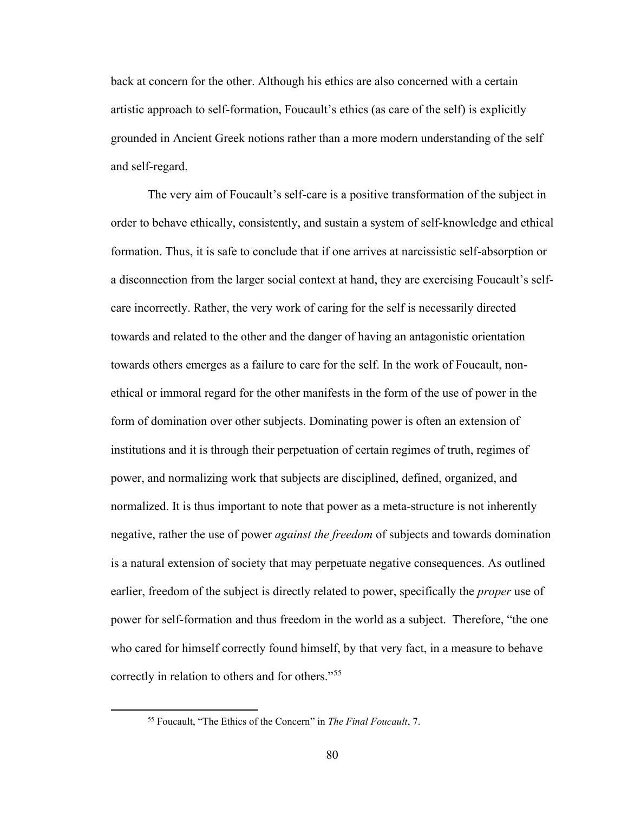back at concern for the other. Although his ethics are also concerned with a certain artistic approach to self-formation, Foucault's ethics (as care of the self) is explicitly grounded in Ancient Greek notions rather than a more modern understanding of the self and self-regard.

The very aim of Foucault's self-care is a positive transformation of the subject in order to behave ethically, consistently, and sustain a system of self-knowledge and ethical formation. Thus, it is safe to conclude that if one arrives at narcissistic self-absorption or a disconnection from the larger social context at hand, they are exercising Foucault's selfcare incorrectly. Rather, the very work of caring for the self is necessarily directed towards and related to the other and the danger of having an antagonistic orientation towards others emerges as a failure to care for the self. In the work of Foucault, nonethical or immoral regard for the other manifests in the form of the use of power in the form of domination over other subjects. Dominating power is often an extension of institutions and it is through their perpetuation of certain regimes of truth, regimes of power, and normalizing work that subjects are disciplined, defined, organized, and normalized. It is thus important to note that power as a meta-structure is not inherently negative, rather the use of power *against the freedom* of subjects and towards domination is a natural extension of society that may perpetuate negative consequences. As outlined earlier, freedom of the subject is directly related to power, specifically the *proper* use of power for self-formation and thus freedom in the world as a subject. Therefore, "the one who cared for himself correctly found himself, by that very fact, in a measure to behave correctly in relation to others and for others."<sup>55</sup>

<sup>55</sup> Foucault, "The Ethics of the Concern" in *The Final Foucault*, 7.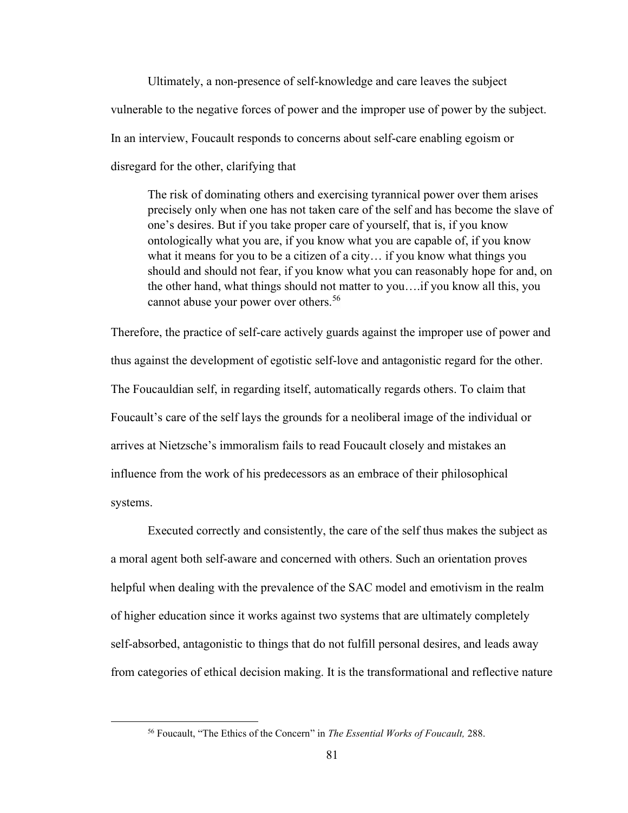Ultimately, a non-presence of self-knowledge and care leaves the subject vulnerable to the negative forces of power and the improper use of power by the subject. In an interview, Foucault responds to concerns about self-care enabling egoism or disregard for the other, clarifying that

The risk of dominating others and exercising tyrannical power over them arises precisely only when one has not taken care of the self and has become the slave of one's desires. But if you take proper care of yourself, that is, if you know ontologically what you are, if you know what you are capable of, if you know what it means for you to be a citizen of a city… if you know what things you should and should not fear, if you know what you can reasonably hope for and, on the other hand, what things should not matter to you….if you know all this, you cannot abuse your power over others.<sup>56</sup>

Therefore, the practice of self-care actively guards against the improper use of power and thus against the development of egotistic self-love and antagonistic regard for the other. The Foucauldian self, in regarding itself, automatically regards others. To claim that Foucault's care of the self lays the grounds for a neoliberal image of the individual or arrives at Nietzsche's immoralism fails to read Foucault closely and mistakes an influence from the work of his predecessors as an embrace of their philosophical systems.

Executed correctly and consistently, the care of the self thus makes the subject as a moral agent both self-aware and concerned with others. Such an orientation proves helpful when dealing with the prevalence of the SAC model and emotivism in the realm of higher education since it works against two systems that are ultimately completely self-absorbed, antagonistic to things that do not fulfill personal desires, and leads away from categories of ethical decision making. It is the transformational and reflective nature

<sup>56</sup> Foucault, "The Ethics of the Concern" in *The Essential Works of Foucault,* 288.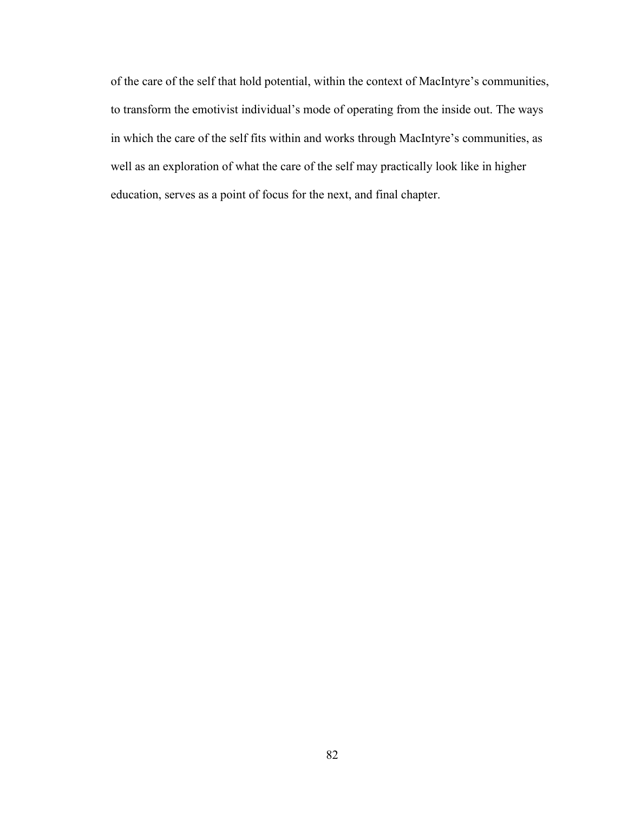of the care of the self that hold potential, within the context of MacIntyre's communities, to transform the emotivist individual's mode of operating from the inside out. The ways in which the care of the self fits within and works through MacIntyre's communities, as well as an exploration of what the care of the self may practically look like in higher education, serves as a point of focus for the next, and final chapter.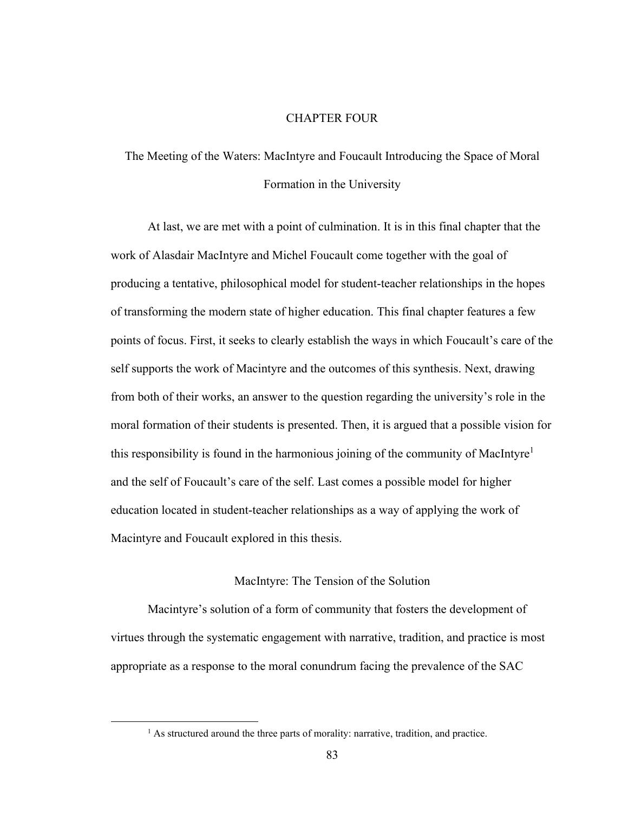## CHAPTER FOUR

# The Meeting of the Waters: MacIntyre and Foucault Introducing the Space of Moral Formation in the University

At last, we are met with a point of culmination. It is in this final chapter that the work of Alasdair MacIntyre and Michel Foucault come together with the goal of producing a tentative, philosophical model for student-teacher relationships in the hopes of transforming the modern state of higher education. This final chapter features a few points of focus. First, it seeks to clearly establish the ways in which Foucault's care of the self supports the work of Macintyre and the outcomes of this synthesis. Next, drawing from both of their works, an answer to the question regarding the university's role in the moral formation of their students is presented. Then, it is argued that a possible vision for this responsibility is found in the harmonious joining of the community of MacIntyre<sup>1</sup> and the self of Foucault's care of the self. Last comes a possible model for higher education located in student-teacher relationships as a way of applying the work of Macintyre and Foucault explored in this thesis.

### MacIntyre: The Tension of the Solution

Macintyre's solution of a form of community that fosters the development of virtues through the systematic engagement with narrative, tradition, and practice is most appropriate as a response to the moral conundrum facing the prevalence of the SAC

<sup>&</sup>lt;sup>1</sup> As structured around the three parts of morality: narrative, tradition, and practice.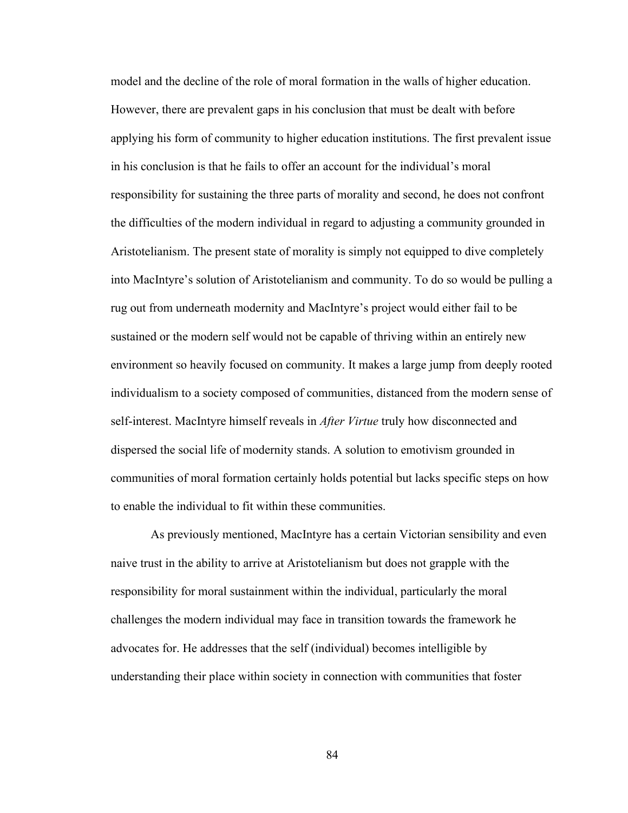model and the decline of the role of moral formation in the walls of higher education. However, there are prevalent gaps in his conclusion that must be dealt with before applying his form of community to higher education institutions. The first prevalent issue in his conclusion is that he fails to offer an account for the individual's moral responsibility for sustaining the three parts of morality and second, he does not confront the difficulties of the modern individual in regard to adjusting a community grounded in Aristotelianism. The present state of morality is simply not equipped to dive completely into MacIntyre's solution of Aristotelianism and community. To do so would be pulling a rug out from underneath modernity and MacIntyre's project would either fail to be sustained or the modern self would not be capable of thriving within an entirely new environment so heavily focused on community. It makes a large jump from deeply rooted individualism to a society composed of communities, distanced from the modern sense of self-interest. MacIntyre himself reveals in *After Virtue* truly how disconnected and dispersed the social life of modernity stands. A solution to emotivism grounded in communities of moral formation certainly holds potential but lacks specific steps on how to enable the individual to fit within these communities.

As previously mentioned, MacIntyre has a certain Victorian sensibility and even naive trust in the ability to arrive at Aristotelianism but does not grapple with the responsibility for moral sustainment within the individual, particularly the moral challenges the modern individual may face in transition towards the framework he advocates for. He addresses that the self (individual) becomes intelligible by understanding their place within society in connection with communities that foster

84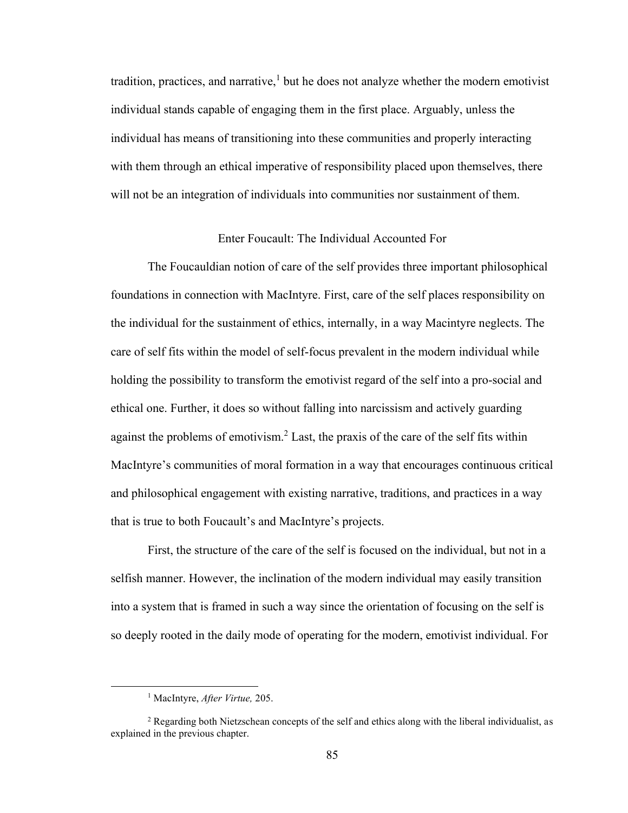tradition, practices, and narrative, $<sup>1</sup>$  but he does not analyze whether the modern emotivist</sup> individual stands capable of engaging them in the first place. Arguably, unless the individual has means of transitioning into these communities and properly interacting with them through an ethical imperative of responsibility placed upon themselves, there will not be an integration of individuals into communities nor sustainment of them.

## Enter Foucault: The Individual Accounted For

The Foucauldian notion of care of the self provides three important philosophical foundations in connection with MacIntyre. First, care of the self places responsibility on the individual for the sustainment of ethics, internally, in a way Macintyre neglects. The care of self fits within the model of self-focus prevalent in the modern individual while holding the possibility to transform the emotivist regard of the self into a pro-social and ethical one. Further, it does so without falling into narcissism and actively guarding against the problems of emotivism.<sup>2</sup> Last, the praxis of the care of the self fits within MacIntyre's communities of moral formation in a way that encourages continuous critical and philosophical engagement with existing narrative, traditions, and practices in a way that is true to both Foucault's and MacIntyre's projects.

First, the structure of the care of the self is focused on the individual, but not in a selfish manner. However, the inclination of the modern individual may easily transition into a system that is framed in such a way since the orientation of focusing on the self is so deeply rooted in the daily mode of operating for the modern, emotivist individual. For

<sup>1</sup> MacIntyre, *After Virtue,* 205.

<sup>&</sup>lt;sup>2</sup> Regarding both Nietzschean concepts of the self and ethics along with the liberal individualist, as explained in the previous chapter.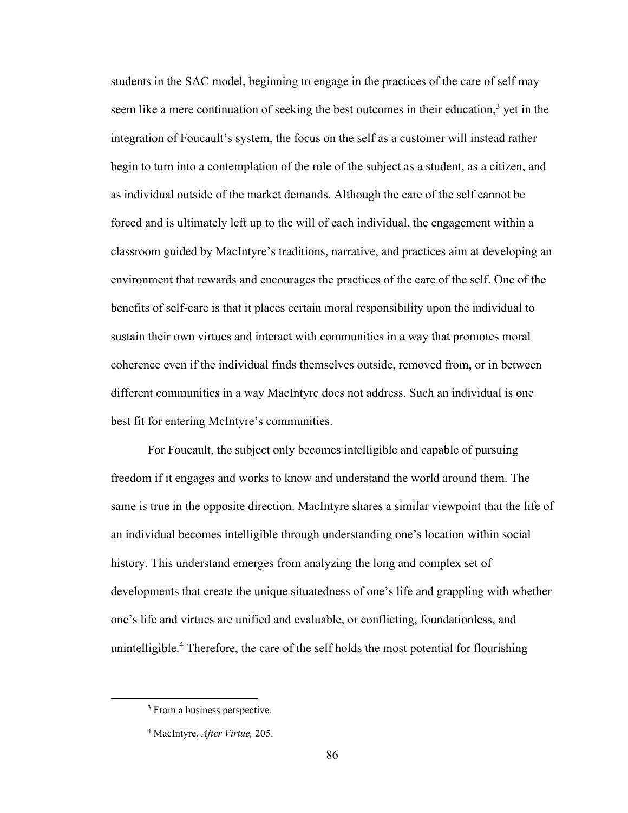students in the SAC model, beginning to engage in the practices of the care of self may seem like a mere continuation of seeking the best outcomes in their education,<sup>3</sup> yet in the integration of Foucault's system, the focus on the self as a customer will instead rather begin to turn into a contemplation of the role of the subject as a student, as a citizen, and as individual outside of the market demands. Although the care of the self cannot be forced and is ultimately left up to the will of each individual, the engagement within a classroom guided by MacIntyre's traditions, narrative, and practices aim at developing an environment that rewards and encourages the practices of the care of the self. One of the benefits of self-care is that it places certain moral responsibility upon the individual to sustain their own virtues and interact with communities in a way that promotes moral coherence even if the individual finds themselves outside, removed from, or in between different communities in a way MacIntyre does not address. Such an individual is one best fit for entering McIntyre's communities.

For Foucault, the subject only becomes intelligible and capable of pursuing freedom if it engages and works to know and understand the world around them. The same is true in the opposite direction. MacIntyre shares a similar viewpoint that the life of an individual becomes intelligible through understanding one's location within social history. This understand emerges from analyzing the long and complex set of developments that create the unique situatedness of one's life and grappling with whether one's life and virtues are unified and evaluable, or conflicting, foundationless, and unintelligible.<sup>4</sup> Therefore, the care of the self holds the most potential for flourishing

<sup>&</sup>lt;sup>3</sup> From a business perspective.

<sup>4</sup> MacIntyre, *After Virtue,* 205.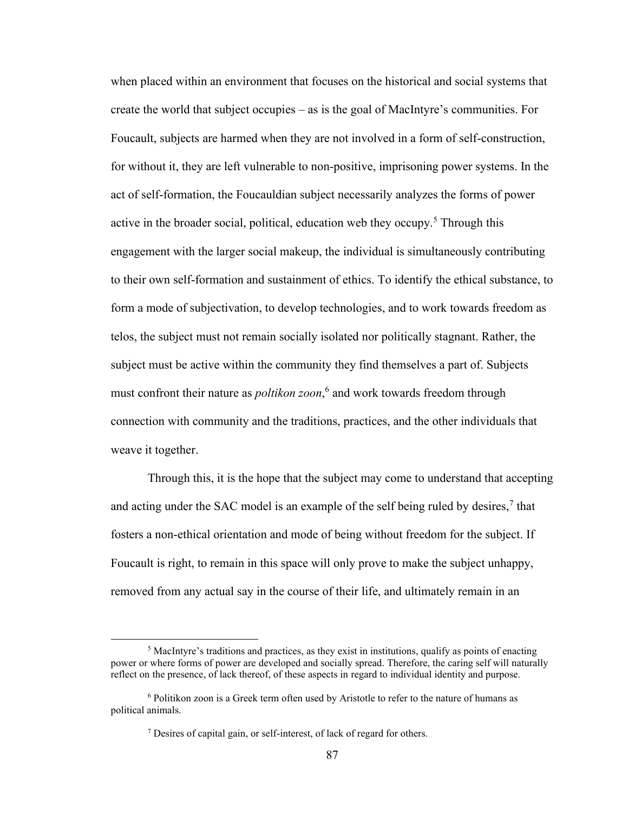when placed within an environment that focuses on the historical and social systems that create the world that subject occupies – as is the goal of MacIntyre's communities. For Foucault, subjects are harmed when they are not involved in a form of self-construction, for without it, they are left vulnerable to non-positive, imprisoning power systems. In the act of self-formation, the Foucauldian subject necessarily analyzes the forms of power active in the broader social, political, education web they occupy.<sup>5</sup> Through this engagement with the larger social makeup, the individual is simultaneously contributing to their own self-formation and sustainment of ethics. To identify the ethical substance, to form a mode of subjectivation, to develop technologies, and to work towards freedom as telos, the subject must not remain socially isolated nor politically stagnant. Rather, the subject must be active within the community they find themselves a part of. Subjects must confront their nature as *poltikon zoon*, 6 and work towards freedom through connection with community and the traditions, practices, and the other individuals that weave it together.

Through this, it is the hope that the subject may come to understand that accepting and acting under the SAC model is an example of the self being ruled by desires,<sup>7</sup> that fosters a non-ethical orientation and mode of being without freedom for the subject. If Foucault is right, to remain in this space will only prove to make the subject unhappy, removed from any actual say in the course of their life, and ultimately remain in an

 $<sup>5</sup>$  MacIntyre's traditions and practices, as they exist in institutions, qualify as points of enacting</sup> power or where forms of power are developed and socially spread. Therefore, the caring self will naturally reflect on the presence, of lack thereof, of these aspects in regard to individual identity and purpose.

<sup>6</sup> Politikon zoon is a Greek term often used by Aristotle to refer to the nature of humans as political animals.

<sup>7</sup> Desires of capital gain, or self-interest, of lack of regard for others.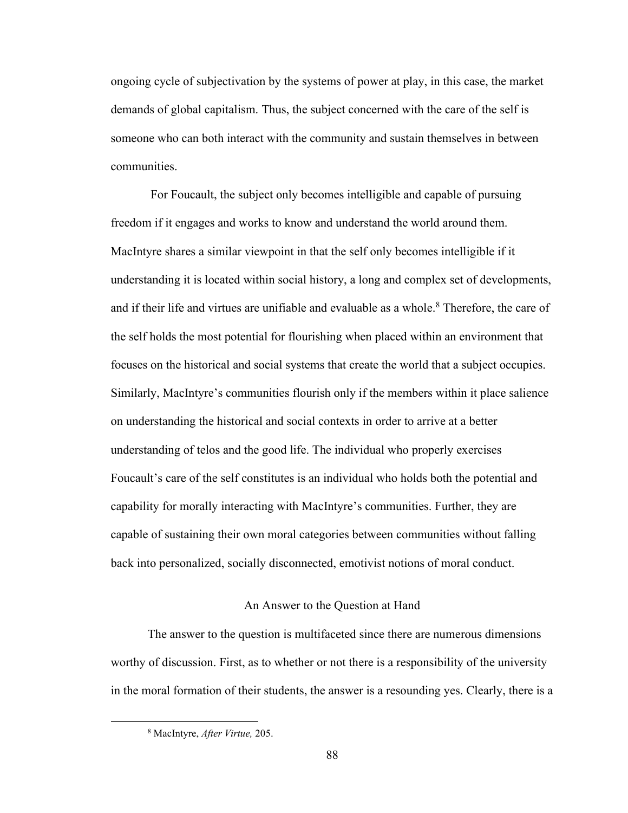ongoing cycle of subjectivation by the systems of power at play, in this case, the market demands of global capitalism. Thus, the subject concerned with the care of the self is someone who can both interact with the community and sustain themselves in between communities.

For Foucault, the subject only becomes intelligible and capable of pursuing freedom if it engages and works to know and understand the world around them. MacIntyre shares a similar viewpoint in that the self only becomes intelligible if it understanding it is located within social history, a long and complex set of developments, and if their life and virtues are unifiable and evaluable as a whole.<sup>8</sup> Therefore, the care of the self holds the most potential for flourishing when placed within an environment that focuses on the historical and social systems that create the world that a subject occupies. Similarly, MacIntyre's communities flourish only if the members within it place salience on understanding the historical and social contexts in order to arrive at a better understanding of telos and the good life. The individual who properly exercises Foucault's care of the self constitutes is an individual who holds both the potential and capability for morally interacting with MacIntyre's communities. Further, they are capable of sustaining their own moral categories between communities without falling back into personalized, socially disconnected, emotivist notions of moral conduct.

### An Answer to the Question at Hand

The answer to the question is multifaceted since there are numerous dimensions worthy of discussion. First, as to whether or not there is a responsibility of the university in the moral formation of their students, the answer is a resounding yes. Clearly, there is a

<sup>8</sup> MacIntyre, *After Virtue,* 205.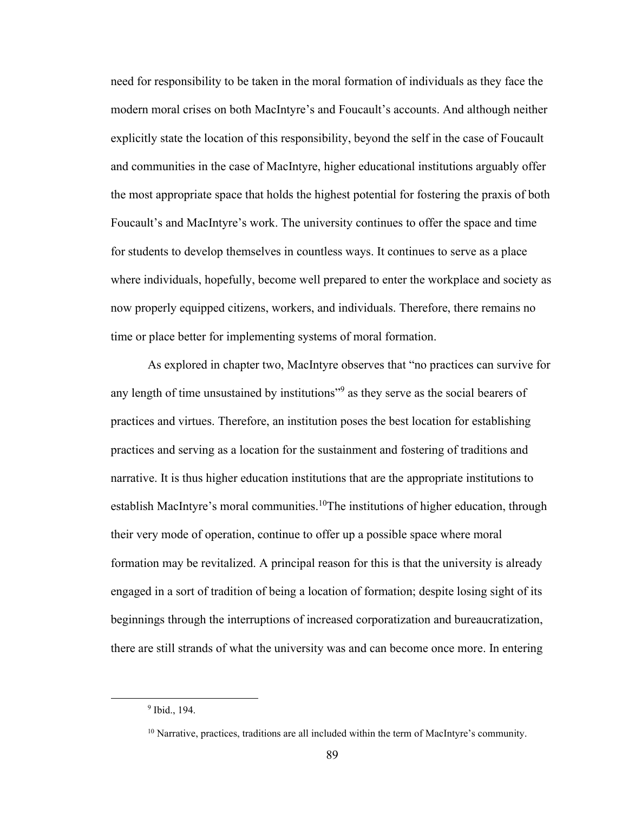need for responsibility to be taken in the moral formation of individuals as they face the modern moral crises on both MacIntyre's and Foucault's accounts. And although neither explicitly state the location of this responsibility, beyond the self in the case of Foucault and communities in the case of MacIntyre, higher educational institutions arguably offer the most appropriate space that holds the highest potential for fostering the praxis of both Foucault's and MacIntyre's work. The university continues to offer the space and time for students to develop themselves in countless ways. It continues to serve as a place where individuals, hopefully, become well prepared to enter the workplace and society as now properly equipped citizens, workers, and individuals. Therefore, there remains no time or place better for implementing systems of moral formation.

As explored in chapter two, MacIntyre observes that "no practices can survive for any length of time unsustained by institutions"<sup>9</sup> as they serve as the social bearers of practices and virtues. Therefore, an institution poses the best location for establishing practices and serving as a location for the sustainment and fostering of traditions and narrative. It is thus higher education institutions that are the appropriate institutions to establish MacIntyre's moral communities.<sup>10</sup>The institutions of higher education, through their very mode of operation, continue to offer up a possible space where moral formation may be revitalized. A principal reason for this is that the university is already engaged in a sort of tradition of being a location of formation; despite losing sight of its beginnings through the interruptions of increased corporatization and bureaucratization, there are still strands of what the university was and can become once more. In entering

<sup>9</sup> Ibid., 194.

<sup>&</sup>lt;sup>10</sup> Narrative, practices, traditions are all included within the term of MacIntyre's community.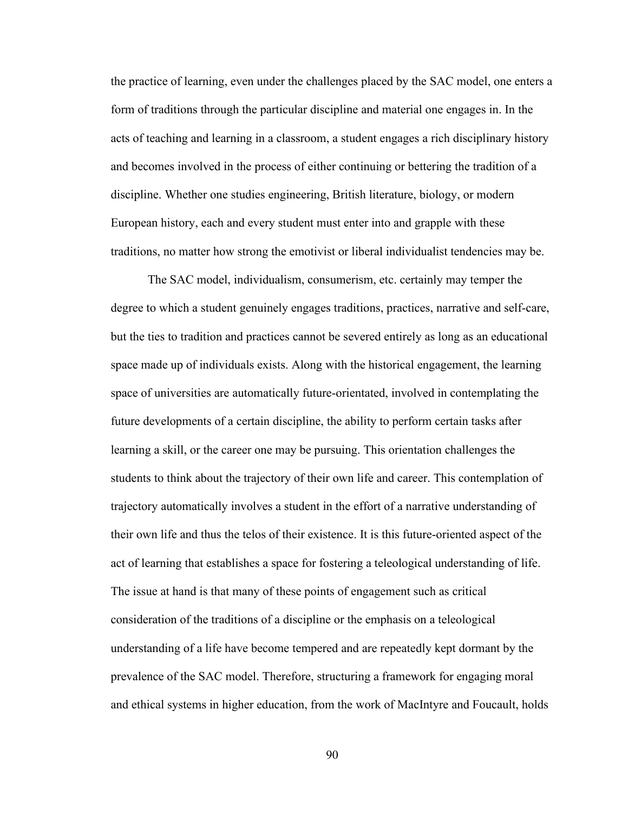the practice of learning, even under the challenges placed by the SAC model, one enters a form of traditions through the particular discipline and material one engages in. In the acts of teaching and learning in a classroom, a student engages a rich disciplinary history and becomes involved in the process of either continuing or bettering the tradition of a discipline. Whether one studies engineering, British literature, biology, or modern European history, each and every student must enter into and grapple with these traditions, no matter how strong the emotivist or liberal individualist tendencies may be.

The SAC model, individualism, consumerism, etc. certainly may temper the degree to which a student genuinely engages traditions, practices, narrative and self-care, but the ties to tradition and practices cannot be severed entirely as long as an educational space made up of individuals exists. Along with the historical engagement, the learning space of universities are automatically future-orientated, involved in contemplating the future developments of a certain discipline, the ability to perform certain tasks after learning a skill, or the career one may be pursuing. This orientation challenges the students to think about the trajectory of their own life and career. This contemplation of trajectory automatically involves a student in the effort of a narrative understanding of their own life and thus the telos of their existence. It is this future-oriented aspect of the act of learning that establishes a space for fostering a teleological understanding of life. The issue at hand is that many of these points of engagement such as critical consideration of the traditions of a discipline or the emphasis on a teleological understanding of a life have become tempered and are repeatedly kept dormant by the prevalence of the SAC model. Therefore, structuring a framework for engaging moral and ethical systems in higher education, from the work of MacIntyre and Foucault, holds

90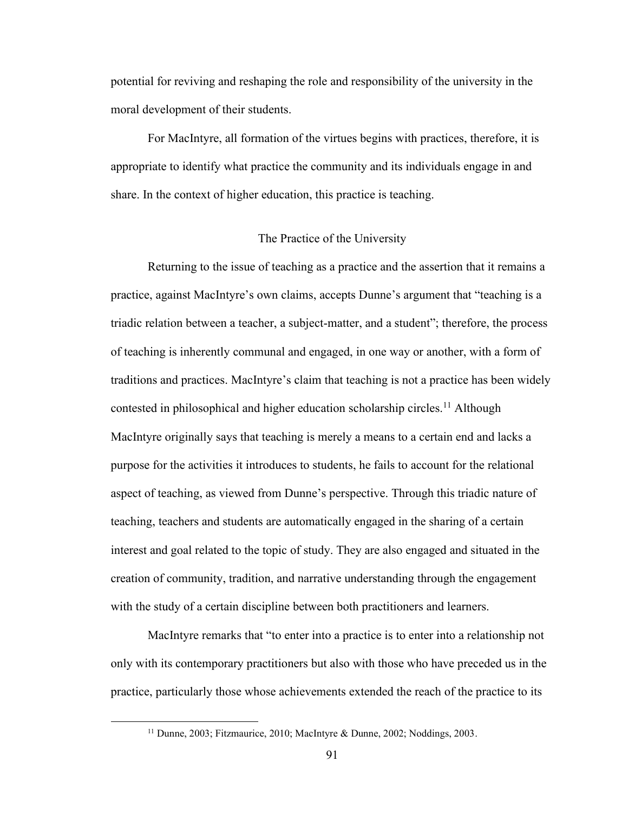potential for reviving and reshaping the role and responsibility of the university in the moral development of their students.

For MacIntyre, all formation of the virtues begins with practices, therefore, it is appropriate to identify what practice the community and its individuals engage in and share. In the context of higher education, this practice is teaching.

#### The Practice of the University

Returning to the issue of teaching as a practice and the assertion that it remains a practice, against MacIntyre's own claims, accepts Dunne's argument that "teaching is a triadic relation between a teacher, a subject-matter, and a student"; therefore, the process of teaching is inherently communal and engaged, in one way or another, with a form of traditions and practices. MacIntyre's claim that teaching is not a practice has been widely contested in philosophical and higher education scholarship circles.<sup>11</sup> Although MacIntyre originally says that teaching is merely a means to a certain end and lacks a purpose for the activities it introduces to students, he fails to account for the relational aspect of teaching, as viewed from Dunne's perspective. Through this triadic nature of teaching, teachers and students are automatically engaged in the sharing of a certain interest and goal related to the topic of study. They are also engaged and situated in the creation of community, tradition, and narrative understanding through the engagement with the study of a certain discipline between both practitioners and learners.

MacIntyre remarks that "to enter into a practice is to enter into a relationship not only with its contemporary practitioners but also with those who have preceded us in the practice, particularly those whose achievements extended the reach of the practice to its

<sup>&</sup>lt;sup>11</sup> Dunne, 2003; Fitzmaurice, 2010; MacIntyre & Dunne, 2002; Noddings, 2003.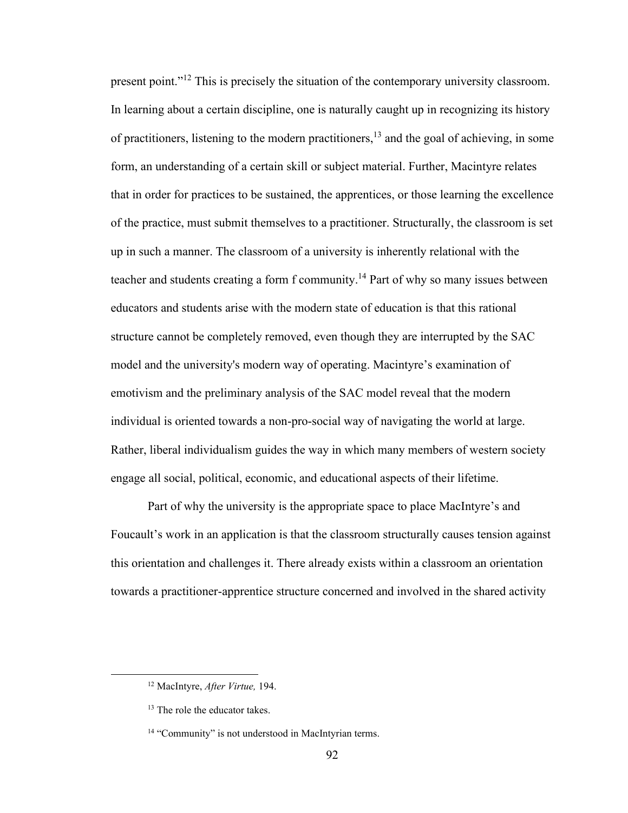present point."<sup>12</sup> This is precisely the situation of the contemporary university classroom. In learning about a certain discipline, one is naturally caught up in recognizing its history of practitioners, listening to the modern practitioners,<sup>13</sup> and the goal of achieving, in some form, an understanding of a certain skill or subject material. Further, Macintyre relates that in order for practices to be sustained, the apprentices, or those learning the excellence of the practice, must submit themselves to a practitioner. Structurally, the classroom is set up in such a manner. The classroom of a university is inherently relational with the teacher and students creating a form f community.<sup>14</sup> Part of why so many issues between educators and students arise with the modern state of education is that this rational structure cannot be completely removed, even though they are interrupted by the SAC model and the university's modern way of operating. Macintyre's examination of emotivism and the preliminary analysis of the SAC model reveal that the modern individual is oriented towards a non-pro-social way of navigating the world at large. Rather, liberal individualism guides the way in which many members of western society engage all social, political, economic, and educational aspects of their lifetime.

Part of why the university is the appropriate space to place MacIntyre's and Foucault's work in an application is that the classroom structurally causes tension against this orientation and challenges it. There already exists within a classroom an orientation towards a practitioner-apprentice structure concerned and involved in the shared activity

<sup>12</sup> MacIntyre, *After Virtue,* 194.

<sup>&</sup>lt;sup>13</sup> The role the educator takes.

<sup>&</sup>lt;sup>14</sup> "Community" is not understood in MacIntyrian terms.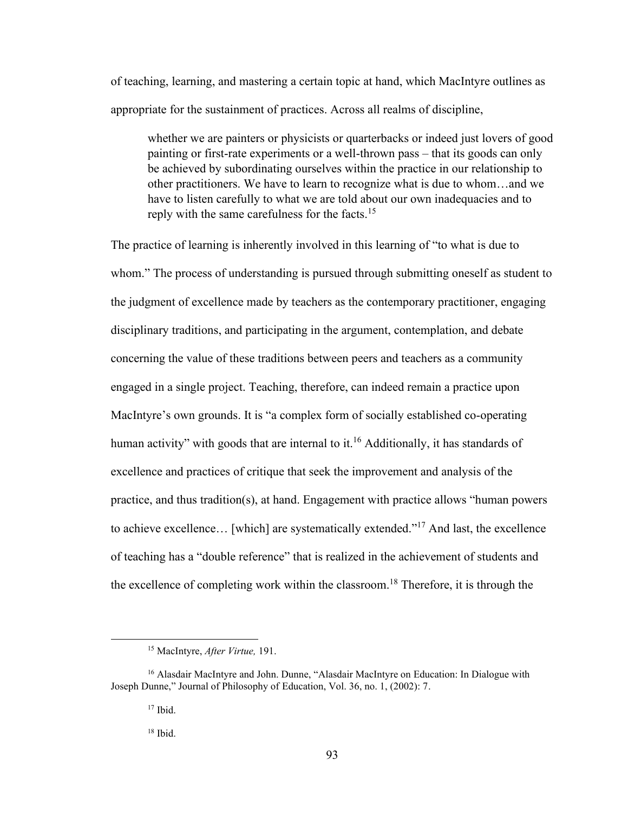of teaching, learning, and mastering a certain topic at hand, which MacIntyre outlines as appropriate for the sustainment of practices. Across all realms of discipline,

whether we are painters or physicists or quarterbacks or indeed just lovers of good painting or first-rate experiments or a well-thrown pass – that its goods can only be achieved by subordinating ourselves within the practice in our relationship to other practitioners. We have to learn to recognize what is due to whom…and we have to listen carefully to what we are told about our own inadequacies and to reply with the same carefulness for the facts.<sup>15</sup>

The practice of learning is inherently involved in this learning of "to what is due to whom." The process of understanding is pursued through submitting oneself as student to the judgment of excellence made by teachers as the contemporary practitioner, engaging disciplinary traditions, and participating in the argument, contemplation, and debate concerning the value of these traditions between peers and teachers as a community engaged in a single project. Teaching, therefore, can indeed remain a practice upon MacIntyre's own grounds. It is "a complex form of socially established co-operating human activity" with goods that are internal to it.<sup>16</sup> Additionally, it has standards of excellence and practices of critique that seek the improvement and analysis of the practice, and thus tradition(s), at hand. Engagement with practice allows "human powers to achieve excellence… [which] are systematically extended."<sup>17</sup> And last, the excellence of teaching has a "double reference" that is realized in the achievement of students and the excellence of completing work within the classroom.<sup>18</sup> Therefore, it is through the

<sup>15</sup> MacIntyre, *After Virtue,* 191.

<sup>&</sup>lt;sup>16</sup> Alasdair MacIntyre and John. Dunne, "Alasdair MacIntyre on Education: In Dialogue with Joseph Dunne," Journal of Philosophy of Education, Vol. 36, no. 1, (2002): 7.

<sup>17</sup> Ibid.

<sup>18</sup> Ibid.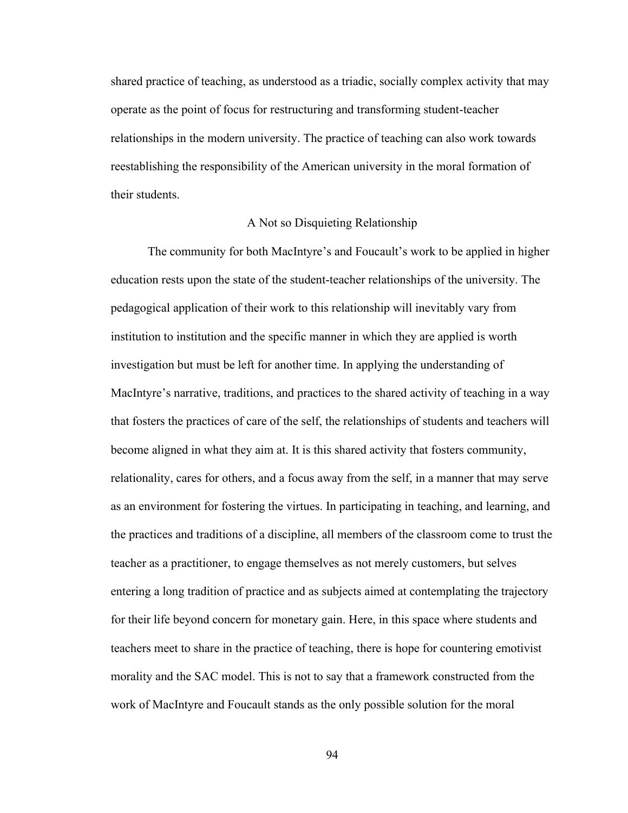shared practice of teaching, as understood as a triadic, socially complex activity that may operate as the point of focus for restructuring and transforming student-teacher relationships in the modern university. The practice of teaching can also work towards reestablishing the responsibility of the American university in the moral formation of their students.

## A Not so Disquieting Relationship

The community for both MacIntyre's and Foucault's work to be applied in higher education rests upon the state of the student-teacher relationships of the university. The pedagogical application of their work to this relationship will inevitably vary from institution to institution and the specific manner in which they are applied is worth investigation but must be left for another time. In applying the understanding of MacIntyre's narrative, traditions, and practices to the shared activity of teaching in a way that fosters the practices of care of the self, the relationships of students and teachers will become aligned in what they aim at. It is this shared activity that fosters community, relationality, cares for others, and a focus away from the self, in a manner that may serve as an environment for fostering the virtues. In participating in teaching, and learning, and the practices and traditions of a discipline, all members of the classroom come to trust the teacher as a practitioner, to engage themselves as not merely customers, but selves entering a long tradition of practice and as subjects aimed at contemplating the trajectory for their life beyond concern for monetary gain. Here, in this space where students and teachers meet to share in the practice of teaching, there is hope for countering emotivist morality and the SAC model. This is not to say that a framework constructed from the work of MacIntyre and Foucault stands as the only possible solution for the moral

94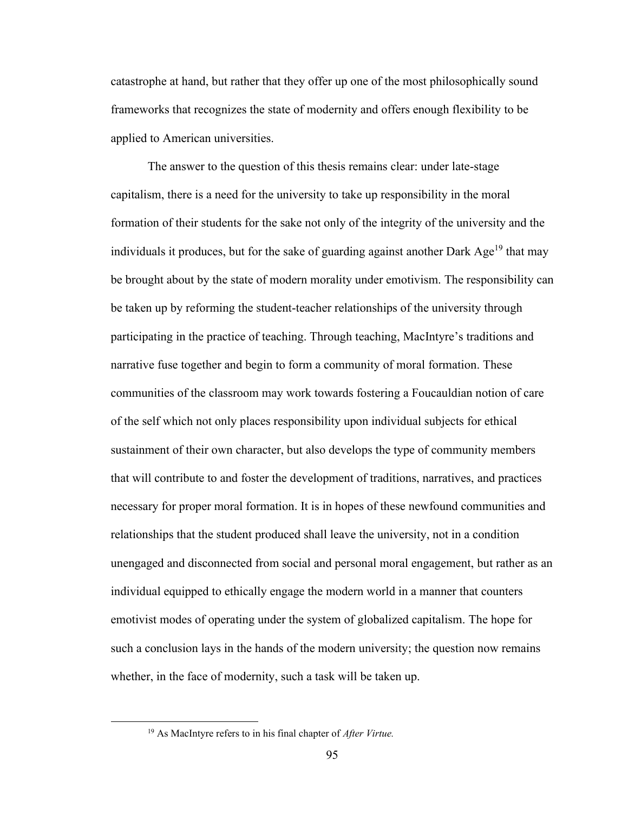catastrophe at hand, but rather that they offer up one of the most philosophically sound frameworks that recognizes the state of modernity and offers enough flexibility to be applied to American universities.

The answer to the question of this thesis remains clear: under late-stage capitalism, there is a need for the university to take up responsibility in the moral formation of their students for the sake not only of the integrity of the university and the individuals it produces, but for the sake of guarding against another Dark  $Age<sup>19</sup>$  that may be brought about by the state of modern morality under emotivism. The responsibility can be taken up by reforming the student-teacher relationships of the university through participating in the practice of teaching. Through teaching, MacIntyre's traditions and narrative fuse together and begin to form a community of moral formation. These communities of the classroom may work towards fostering a Foucauldian notion of care of the self which not only places responsibility upon individual subjects for ethical sustainment of their own character, but also develops the type of community members that will contribute to and foster the development of traditions, narratives, and practices necessary for proper moral formation. It is in hopes of these newfound communities and relationships that the student produced shall leave the university, not in a condition unengaged and disconnected from social and personal moral engagement, but rather as an individual equipped to ethically engage the modern world in a manner that counters emotivist modes of operating under the system of globalized capitalism. The hope for such a conclusion lays in the hands of the modern university; the question now remains whether, in the face of modernity, such a task will be taken up.

<sup>19</sup> As MacIntyre refers to in his final chapter of *After Virtue.*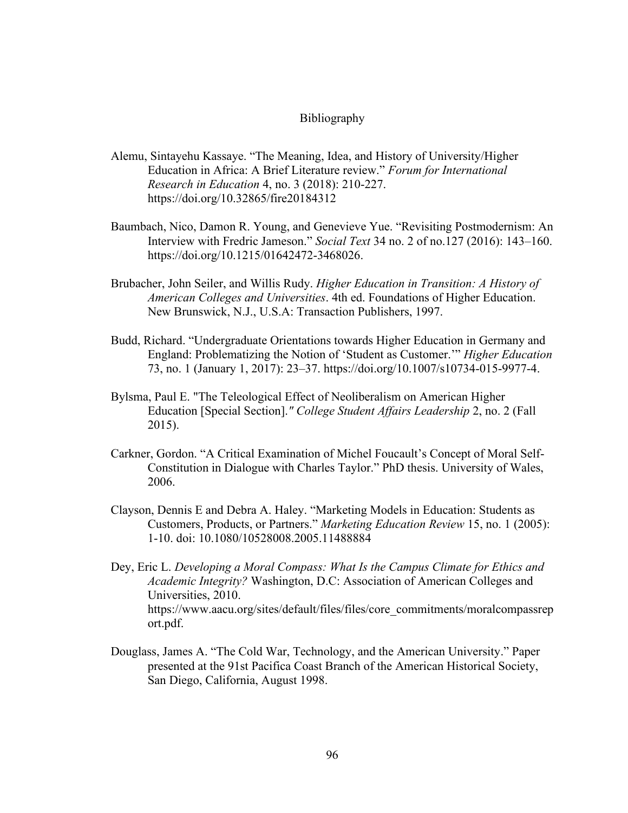### Bibliography

- Alemu, Sintayehu Kassaye. "The Meaning, Idea, and History of University/Higher Education in Africa: A Brief Literature review." *Forum for International Research in Education* 4, no. 3 (2018): 210-227. <https://doi.org/10.32865/fire20184312>
- Baumbach, Nico, Damon R. Young, and Genevieve Yue. "Revisiting Postmodernism: An Interview with Fredric Jameson." *Social Text* 34 no. 2 of no.127 (2016): 143–160. [https://doi.org/10.1215/01642472-3468026.](https://doi.org/10.1215/01642472-3468026)
- Brubacher, John Seiler, and Willis Rudy. *Higher Education in Transition: A History of American Colleges and Universities*. 4th ed. Foundations of Higher Education. New Brunswick, N.J., U.S.A: Transaction Publishers, 1997.
- Budd, Richard. "Undergraduate Orientations towards Higher Education in Germany and England: Problematizing the Notion of 'Student as Customer.'" *Higher Education* 73, no. 1 (January 1, 2017): 23–37. [https://doi.org/10.1007/s10734-015-9977-4.](https://doi.org/10.1007/s10734-015-9977-4)
- Bylsma, Paul E. "The Teleological Effect of Neoliberalism on American Higher Education [Special Section].*" College Student Affairs Leadership* 2, no. 2 (Fall 2015).
- Carkner, Gordon. "A Critical Examination of Michel Foucault's Concept of Moral Self-Constitution in Dialogue with Charles Taylor." PhD thesis. University of Wales, 2006.
- Clayson, Dennis E and Debra A. Haley. "Marketing Models in Education: Students as Customers, Products, or Partners." *Marketing Education Review* 15, no. 1 (2005): 1-10. doi: 10.1080/10528008.2005.11488884
- Dey, Eric L. *Developing a Moral Compass: What Is the Campus Climate for Ethics and Academic Integrity?* Washington, D.C: Association of American Colleges and Universities, 2010. [https://www.aacu.org/sites/default/files/files/core\\_commitments/moralcompassrep](https://www.aacu.org/sites/default/files/files/core_commitments/moralcompassreport.pdf) [ort.pdf.](https://www.aacu.org/sites/default/files/files/core_commitments/moralcompassreport.pdf)
- Douglass, James A. "The Cold War, Technology, and the American University." Paper presented at the 91st Pacifica Coast Branch of the American Historical Society, San Diego, California, August 1998.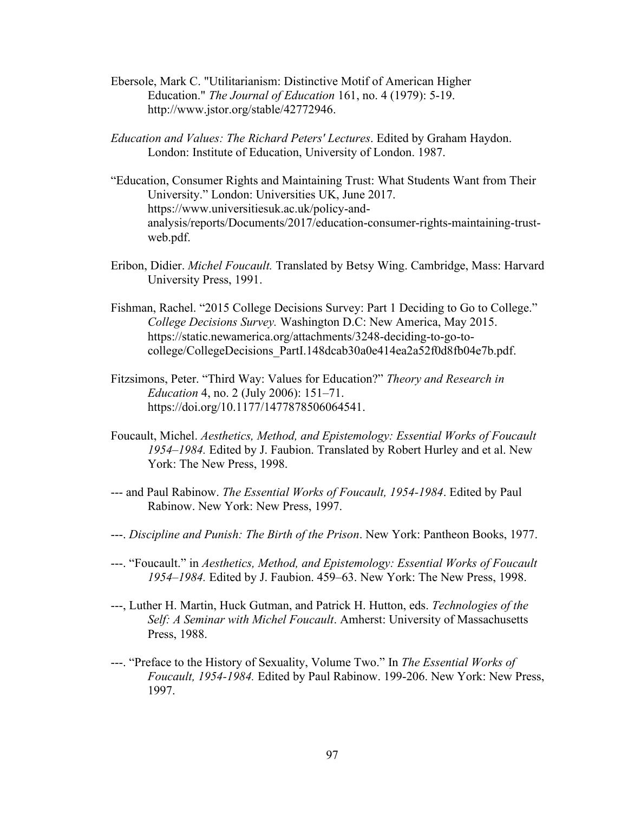- Ebersole, Mark C. "Utilitarianism: Distinctive Motif of American Higher Education." *The Journal of Education* 161, no. 4 (1979): 5-19. [http://www.jstor.org/stable/42772946.](http://www.jstor.org/stable/42772946)
- *Education and Values: The Richard Peters' Lectures*. Edited by Graham Haydon. London: Institute of Education, University of London. 1987.
- "Education, Consumer Rights and Maintaining Trust: What Students Want from Their University." London: Universities UK, June 2017. https://www.universitiesuk.ac.uk/policy-andanalysis/reports/Documents/2017/education-consumer-rights-maintaining-trustweb.pdf.
- Eribon, Didier. *Michel Foucault.* Translated by Betsy Wing. Cambridge, Mass: Harvard University Press, 1991.
- Fishman, Rachel. "2015 College Decisions Survey: Part 1 Deciding to Go to College." *College Decisions Survey.* Washington D.C: New America, May 2015. [https://static.newamerica.org/attachments/3248-deciding-to-go-to](https://static.newamerica.org/attachments/3248-deciding-to-go-to-college/CollegeDecisions_PartI.148dcab30a0e414ea2a52f0d8fb04e7b.pdf)[college/CollegeDecisions\\_PartI.148dcab30a0e414ea2a52f0d8fb04e7b.pdf.](https://static.newamerica.org/attachments/3248-deciding-to-go-to-college/CollegeDecisions_PartI.148dcab30a0e414ea2a52f0d8fb04e7b.pdf)
- Fitzsimons, Peter. "Third Way: Values for Education?" *Theory and Research in Education* 4, no. 2 (July 2006): 151–71. [https://doi.org/10.1177/1477878506064541.](https://doi.org/10.1177/1477878506064541)
- Foucault, Michel. *Aesthetics, Method, and Epistemology: Essential Works of Foucault 1954–1984.* Edited by J. Faubion. Translated by Robert Hurley and et al. New York: The New Press, 1998.
- --- and Paul Rabinow. *The Essential Works of Foucault, 1954-1984*. Edited by Paul Rabinow. New York: New Press, 1997.
- ---. *Discipline and Punish: The Birth of the Prison*. New York: Pantheon Books, 1977.
- ---. "Foucault." in *Aesthetics, Method, and Epistemology: Essential Works of Foucault 1954–1984.* Edited by J. Faubion. 459–63. New York: The New Press, 1998.
- ---, Luther H. Martin, Huck Gutman, and Patrick H. Hutton, eds. *Technologies of the Self: A Seminar with Michel Foucault*. Amherst: University of Massachusetts Press, 1988.
- ---. "Preface to the History of Sexuality, Volume Two." In *The Essential Works of Foucault, 1954-1984.* Edited by Paul Rabinow. 199-206. New York: New Press, 1997.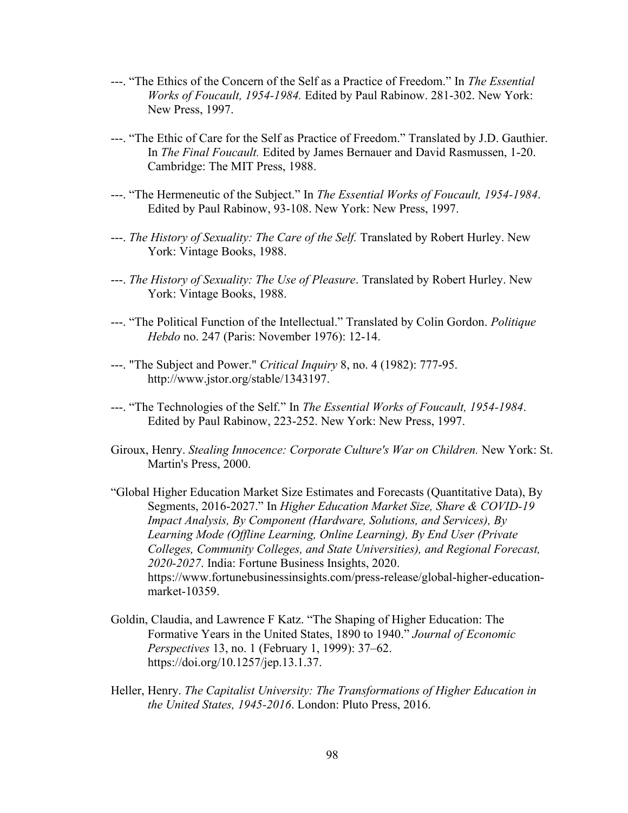- ---. "The Ethics of the Concern of the Self as a Practice of Freedom." In *The Essential Works of Foucault, 1954-1984.* Edited by Paul Rabinow. 281-302. New York: New Press, 1997.
- ---. "The Ethic of Care for the Self as Practice of Freedom." Translated by J.D. Gauthier. In *The Final Foucault.* Edited by James Bernauer and David Rasmussen, 1-20. Cambridge: The MIT Press, 1988.
- ---. "The Hermeneutic of the Subject." In *The Essential Works of Foucault, 1954-1984*. Edited by Paul Rabinow, 93-108. New York: New Press, 1997.
- ---. *The History of Sexuality: The Care of the Self.* Translated by [Robert Hurley.](https://www.google.com/search?rlz=1C1CHBF_enUS937US937&sxsrf=ALeKk02JTLLFEXTsl91iPg5zS6M0JxnocQ:1626275745663&q=Robert+Hurley&stick=H4sIAAAAAAAAAONgVuLSz9U3SDYxLMmqWsTKG5SflFpUouBRWpSTWgkAZeIq1B4AAAA&sa=X&ved=2ahUKEwj304Gh7eLxAhUNHM0KHd1SBmcQmxMoATAqegQIJxAD) New York: Vintage Books, 1988.
- ---. *The History of Sexuality: The Use of Pleasure*. Translated by [Robert Hurley.](https://www.google.com/search?rlz=1C1CHBF_enUS937US937&sxsrf=ALeKk02JTLLFEXTsl91iPg5zS6M0JxnocQ:1626275745663&q=Robert+Hurley&stick=H4sIAAAAAAAAAONgVuLSz9U3SDYxLMmqWsTKG5SflFpUouBRWpSTWgkAZeIq1B4AAAA&sa=X&ved=2ahUKEwj304Gh7eLxAhUNHM0KHd1SBmcQmxMoATAqegQIJxAD) New York: Vintage Books, 1988.
- ---. "The Political Function of the Intellectual." Translated by Colin Gordon. *Politique Hebdo* no. 247 (Paris: November 1976): 12-14.
- ---. "The Subject and Power." *Critical Inquiry* 8, no. 4 (1982): 777-95. [http://www.jstor.org/stable/1343197.](http://www.jstor.org/stable/1343197)
- ---. "The Technologies of the Self." In *The Essential Works of Foucault, 1954-1984*. Edited by Paul Rabinow, 223-252. New York: New Press, 1997.
- Giroux, Henry. *Stealing Innocence: Corporate Culture's War on Children.* New York: St. Martin's Press, 2000.
- "Global Higher Education Market Size Estimates and Forecasts (Quantitative Data), By Segments, 2016-2027." In *Higher Education Market Size, Share & COVID-19 Impact Analysis, By Component (Hardware, Solutions, and Services), By Learning Mode (Offline Learning, Online Learning), By End User (Private Colleges, Community Colleges, and State Universities), and Regional Forecast, 2020-2027*. India: Fortune Business Insights, 2020. [https://www.fortunebusinessinsights.com/press-release/global-higher-education](https://www.fortunebusinessinsights.com/press-release/global-higher-education-market-10359)[market-10359.](https://www.fortunebusinessinsights.com/press-release/global-higher-education-market-10359)
- Goldin, Claudia, and Lawrence F Katz. "The Shaping of Higher Education: The Formative Years in the United States, 1890 to 1940." *Journal of Economic Perspectives* 13, no. 1 (February 1, 1999): 37–62. [https://doi.org/10.1257/jep.13.1.37.](https://doi.org/10.1257/jep.13.1.37)
- Heller, Henry. *The Capitalist University: The Transformations of Higher Education in the United States, 1945-2016*. London: Pluto Press, 2016.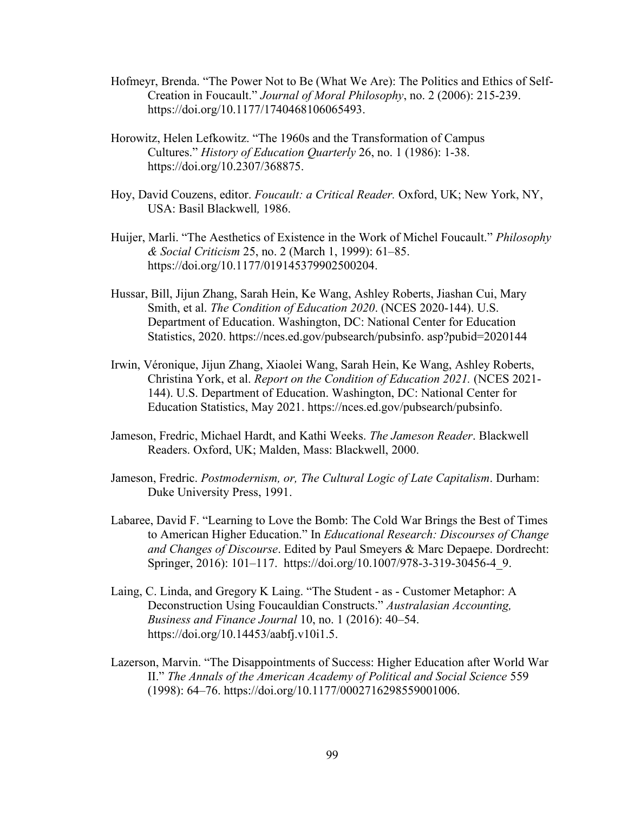- Hofmeyr, Brenda. "The Power Not to Be (What We Are): The Politics and Ethics of Self-Creation in Foucault." *Journal of Moral Philosophy*, no. 2 (2006): 215-239. [https://doi.org/10.1177/1740468106065493.](https://doi.org/10.1177/1740468106065493)
- Horowitz, Helen Lefkowitz. "The 1960s and the Transformation of Campus Cultures." *History of Education Quarterly* 26, no. 1 (1986): 1-38. [https://doi.org/10.2307/368875.](https://doi.org/10.2307/368875)
- Hoy, David Couzens, editor. *Foucault: a Critical Reader.* Oxford, UK; New York, NY, USA: Basil Blackwell*,* 1986.
- Huijer, Marli. "The Aesthetics of Existence in the Work of Michel Foucault." *Philosophy & Social Criticism* 25, no. 2 (March 1, 1999): 61–85. [https://doi.org/10.1177/019145379902500204.](https://doi.org/10.1177/019145379902500204)
- Hussar, Bill, Jijun Zhang, Sarah Hein, Ke Wang, Ashley Roberts, Jiashan Cui, Mary Smith, et al. *The Condition of Education 2020*. (NCES 2020-144). U.S. Department of Education. Washington, DC: National Center for Education Statistics, 2020. https://nces.ed.gov/pubsearch/pubsinfo. asp?pubid=2020144
- Irwin, Véronique, Jijun Zhang, Xiaolei Wang, Sarah Hein, Ke Wang, Ashley Roberts, Christina York, et al. *Report on the Condition of Education 2021.* (NCES 2021- 144). U.S. Department of Education. Washington, DC: National Center for Education Statistics, May 2021. https://nces.ed.gov/pubsearch/pubsinfo.
- Jameson, Fredric, Michael Hardt, and Kathi Weeks. *The Jameson Reader*. Blackwell Readers. Oxford, UK; Malden, Mass: Blackwell, 2000.
- Jameson, Fredric. *Postmodernism, or, The Cultural Logic of Late Capitalism*. Durham: Duke University Press, 1991.
- Labaree, David F. "Learning to Love the Bomb: The Cold War Brings the Best of Times to American Higher Education." In *Educational Research: Discourses of Change and Changes of Discourse*. Edited by Paul Smeyers & Marc Depaepe. Dordrecht: Springer, 2016): 101–117. [https://doi.org/10.1007/978-3-319-30456-4\\_9.](https://doi.org/10.1007/978-3-319-30456-4_9)
- Laing, C. Linda, and Gregory K Laing. "The Student as Customer Metaphor: A Deconstruction Using Foucauldian Constructs." *Australasian Accounting, Business and Finance Journal* 10, no. 1 (2016): 40–54. [https://doi.org/10.14453/aabfj.v10i1.5.](https://doi.org/10.14453/aabfj.v10i1.5)
- Lazerson, Marvin. "The Disappointments of Success: Higher Education after World War II." *The Annals of the American Academy of Political and Social Science* 559 (1998): 64–76. [https://doi.org/10.1177/0002716298559001006.](https://doi.org/10.1177/0002716298559001006)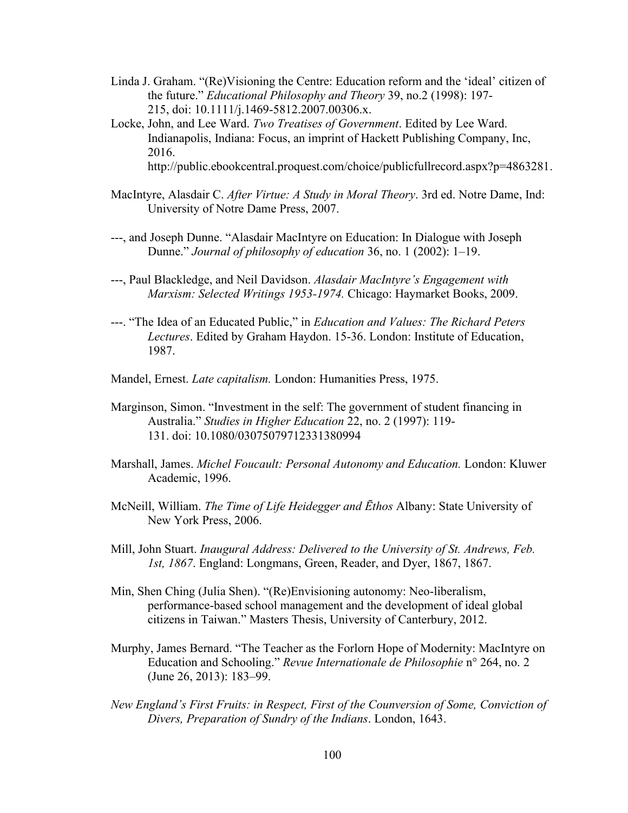- Linda J. Graham. "(Re)Visioning the Centre: Education reform and the 'ideal' citizen of the future." *Educational Philosophy and Theory* 39, no.2 (1998): 197- 215, doi: [10.1111/j.1469-5812.2007.00306.x.](https://doi-org.ezproxy.baylor.edu/10.1111/j.1469-5812.2007.00306.x)
- Locke, John, and Lee Ward. *Two Treatises of Government*. Edited by Lee Ward. Indianapolis, Indiana: Focus, an imprint of Hackett Publishing Company, Inc, 2016. [http://public.ebookcentral.proquest.com/choice/publicfullrecord.aspx?p=4863281.](http://public.ebookcentral.proquest.com/choice/publicfullrecord.aspx?p=4863281)
- MacIntyre, Alasdair C. *After Virtue: A Study in Moral Theory*. 3rd ed. Notre Dame, Ind: University of Notre Dame Press, 2007.
- ---, and Joseph Dunne. "Alasdair MacIntyre on Education: In Dialogue with Joseph Dunne." *Journal of philosophy of education* 36, no. 1 (2002): 1–19.
- ---, Paul Blackledge, and Neil Davidson. *Alasdair MacIntyre's Engagement with Marxism: Selected Writings 1953-1974.* Chicago: Haymarket Books, 2009.
- ---. "The Idea of an Educated Public," in *Education and Values: The Richard Peters Lectures*. Edited by Graham Haydon. 15-36. London: Institute of Education, 1987.
- Mandel, Ernest. *Late capitalism.* London: Humanities Press, 1975.
- Marginson, Simon. "Investment in the self: The government of student financing in Australia." *Studies in Higher Education* 22, no. 2 (1997): 119- 131. doi: [10.1080/03075079712331380994](https://doi-org.ezproxy.baylor.edu/10.1080/03075079712331380994)
- Marshall, James. *Michel Foucault: Personal Autonomy and Education.* London: Kluwer Academic, 1996.
- McNeill, William. *The Time of Life Heidegger and Ēthos* Albany: State University of New York Press, 2006.
- Mill, John Stuart. *Inaugural Address: Delivered to the University of St. Andrews, Feb. 1st, 1867*. England: Longmans, Green, Reader, and Dyer, 1867, 1867.
- Min, Shen Ching (Julia Shen). "(Re)Envisioning autonomy: Neo-liberalism, performance-based school management and the development of ideal global citizens in Taiwan." Masters Thesis, University of Canterbury, 2012.
- Murphy, James Bernard. "The Teacher as the Forlorn Hope of Modernity: MacIntyre on Education and Schooling." *Revue Internationale de Philosophie* n° 264, no. 2 (June 26, 2013): 183–99.
- *New England's First Fruits: in Respect, First of the Counversion of Some, Conviction of Divers, Preparation of Sundry of the Indians*. London, 1643.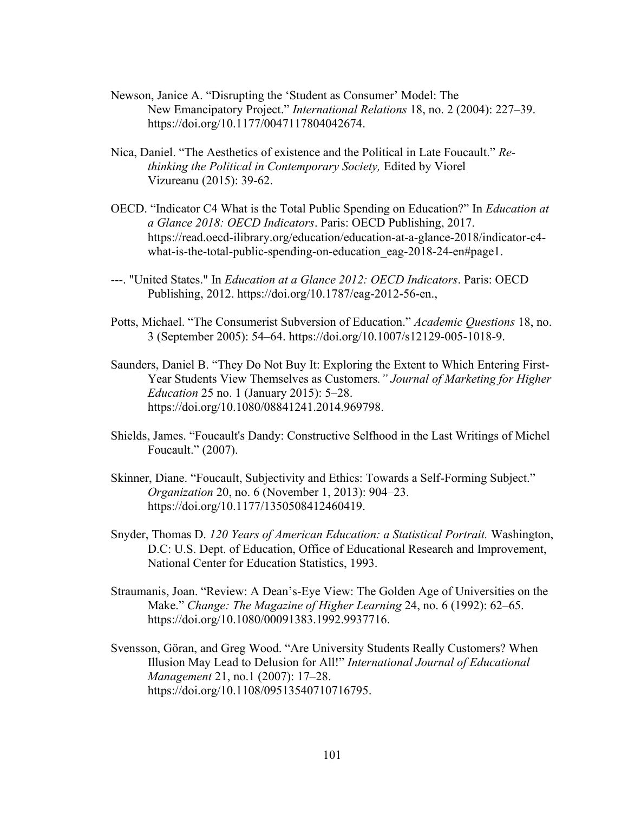- Newson, Janice A. "Disrupting the 'Student as Consumer' Model: The New Emancipatory Project." *International Relations* 18, no. 2 (2004): 227–39. [https://doi.org/10.1177/0047117804042674.](https://doi.org/10.1177/0047117804042674)
- Nica, Daniel. "The Aesthetics of existence and the Political in Late Foucault." *Rethinking the Political in Contemporary Society,* Edited by Viorel Vizureanu (2015): 39-62.
- OECD. "Indicator C4 What is the Total Public Spending on Education?" In *Education at a Glance 2018: OECD Indicators*. Paris: OECD Publishing, 2017. [https://read.oecd-ilibrary.org/education/education-at-a-glance-2018/indicator-c4](https://read.oecd-ilibrary.org/education/education-at-a-glance-2018/indicator-c4-what-is-the-total-public-spending-on-education_eag-2018-24-en#page1) what-is-the-total-public-spending-on-education eag-2018-24-en#page1.
- ---. "United States." In *Education at a Glance 2012: OECD Indicators*. Paris: OECD Publishing, 2012. https://doi.org/10.1787/eag-2012-56-en.,
- Potts, Michael. "The Consumerist Subversion of Education." *Academic Questions* 18, no. 3 (September 2005): 54–64. [https://doi.org/10.1007/s12129-005-1018-9.](https://doi.org/10.1007/s12129-005-1018-9)
- Saunders, Daniel B. "They Do Not Buy It: Exploring the Extent to Which Entering First-Year Students View Themselves as Customers*." Journal of Marketing for Higher Education* 25 no. 1 (January 2015): 5–28. https://doi.org/10.1080/08841241.2014.969798.
- Shields, James. "Foucault's Dandy: Constructive Selfhood in the Last Writings of Michel Foucault." (2007).
- Skinner, Diane. "Foucault, Subjectivity and Ethics: Towards a Self-Forming Subject." *Organization* 20, no. 6 (November 1, 2013): 904–23. [https://doi.org/10.1177/1350508412460419.](https://doi.org/10.1177/1350508412460419)
- Snyder, Thomas D. *120 Years of American Education: a Statistical Portrait.* Washington, D.C: U.S. Dept. of Education, Office of Educational Research and Improvement, National Center for Education Statistics, 1993.
- Straumanis, Joan. "Review: A Dean's-Eye View: The Golden Age of Universities on the Make." *Change: The Magazine of Higher Learning* 24, no. 6 (1992): 62–65. [https://doi.org/10.1080/00091383.1992.9937716.](https://doi.org/10.1080/00091383.1992.9937716)
- Svensson, Göran, and Greg Wood. "Are University Students Really Customers? When Illusion May Lead to Delusion for All!" *International Journal of Educational Management* 21, no.1 (2007): 17–28. [https://doi.org/10.1108/09513540710716795.](https://doi.org/10.1108/09513540710716795)